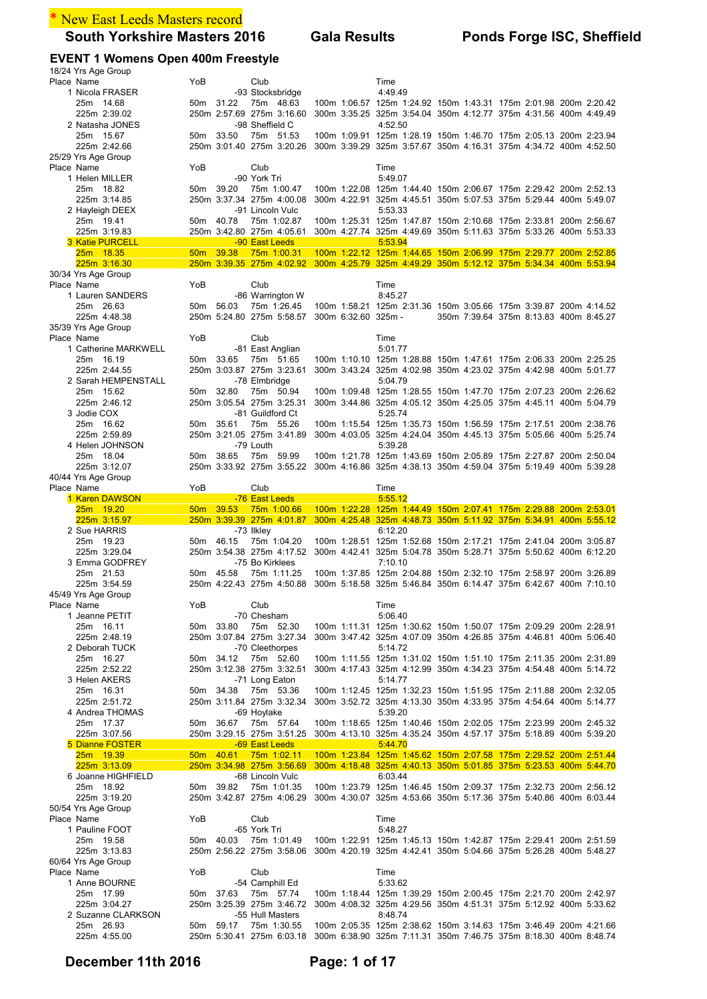# \* New East Leeds Masters record

## **EVENT 1 Womens Open 400m Freestyle**

| 18/24 Yrs Age Group                 |                 |           |                                               |                                                                                                                                                                |  |                                        |  |
|-------------------------------------|-----------------|-----------|-----------------------------------------------|----------------------------------------------------------------------------------------------------------------------------------------------------------------|--|----------------------------------------|--|
| Place Name<br>1 Nicola FRASER       | YoB             |           | Club<br>-93 Stocksbridge                      | Time<br>4:49.49                                                                                                                                                |  |                                        |  |
| 25m 14.68                           |                 | 50m 31.22 | 75m 48.63                                     | 100m 1:06.57 125m 1:24.92 150m 1:43.31 175m 2:01.98 200m 2:20.42                                                                                               |  |                                        |  |
| 225m 2:39.02                        |                 |           | 250m 2:57.69 275m 3:16.60                     | 300m 3:35.25 325m 3:54.04 350m 4:12.77 375m 4:31.56 400m 4:49.49                                                                                               |  |                                        |  |
| 2 Natasha JONES                     |                 |           | -98 Sheffield C                               | 4:52.50                                                                                                                                                        |  |                                        |  |
| 25m 15.67                           |                 | 50m 33.50 | 75m 51.53                                     | 100m 1:09.91 125m 1:28.19 150m 1:46.70 175m 2:05.13 200m 2:23.94                                                                                               |  |                                        |  |
| 225m 2:42.66                        |                 |           | 250m 3:01.40 275m 3:20.26                     | 300m 3:39.29 325m 3:57.67 350m 4:16.31 375m 4:34.72 400m 4:52.50                                                                                               |  |                                        |  |
| 25/29 Yrs Age Group<br>Place Name   | YoB             |           | Club                                          | Time                                                                                                                                                           |  |                                        |  |
| 1 Helen MILLER                      |                 |           | -90 York Tri                                  | 5:49.07                                                                                                                                                        |  |                                        |  |
| 25m 18.82                           |                 | 50m 39.20 | 75m 1:00.47                                   | 100m 1:22.08 125m 1:44.40 150m 2:06.67 175m 2:29.42 200m 2:52.13                                                                                               |  |                                        |  |
| 225m 3:14.85                        |                 |           | 250m 3:37.34 275m 4:00.08                     | 300m 4:22.91 325m 4:45.51 350m 5:07.53 375m 5:29.44 400m 5:49.07                                                                                               |  |                                        |  |
| 2 Hayleigh DEEX                     |                 |           | -91 Lincoln Vulc                              | 5:53.33                                                                                                                                                        |  |                                        |  |
| 25m 19.41<br>225m 3:19.83           |                 | 50m 40.78 | 75m 1:02.87<br>250m 3:42.80 275m 4:05.61      | 100m 1:25.31 125m 1:47.87 150m 2:10.68 175m 2:33.81 200m 2:56.67<br>300m 4:27.74 325m 4:49.69 350m 5:11.63 375m 5:33.26 400m 5:53.33                           |  |                                        |  |
| <b>3 Katie PURCELL</b>              |                 |           | -90 East Leeds                                | 5:53.94                                                                                                                                                        |  |                                        |  |
| 25m 18.35                           | 50 <sub>m</sub> | 39.38     | 75m 1:00.31                                   | 100m 1:22.12 125m 1:44.65 150m 2:06.99 175m 2:29.77 200m 2:52.85                                                                                               |  |                                        |  |
| 225m 3:16.30                        |                 |           |                                               | 250m 3:39.35 275m 4:02.92 300m 4:25.79 325m 4:49.29 350m 5:12.12 375m 5:34.34 400m 5:53.94                                                                     |  |                                        |  |
| 30/34 Yrs Age Group                 |                 |           |                                               |                                                                                                                                                                |  |                                        |  |
| Place Name                          | YoB             |           | Club                                          | Time                                                                                                                                                           |  |                                        |  |
| 1 Lauren SANDERS<br>25m 26.63       |                 | 50m 56.03 | -86 Warrington W<br>75m 1:26.45               | 8:45.27<br>100m 1:58.21 125m 2:31.36 150m 3:05.66 175m 3:39.87 200m 4:14.52                                                                                    |  |                                        |  |
| 225m 4:48.38                        |                 |           | 250m 5:24.80 275m 5:58.57 300m 6:32.60 325m - |                                                                                                                                                                |  | 350m 7:39.64 375m 8:13.83 400m 8:45.27 |  |
| 35/39 Yrs Age Group                 |                 |           |                                               |                                                                                                                                                                |  |                                        |  |
| Place Name                          | YoB             |           | Club                                          | Time                                                                                                                                                           |  |                                        |  |
| 1 Catherine MARKWELL                |                 |           | -81 East Anglian                              | 5:01.77                                                                                                                                                        |  |                                        |  |
| 25m 16.19                           |                 | 50m 33.65 | 75m 51.65                                     | 100m 1:10.10 125m 1:28.88 150m 1:47.61 175m 2:06.33 200m 2:25.25                                                                                               |  |                                        |  |
| 225m 2:44.55<br>2 Sarah HEMPENSTALL |                 |           | 250m 3:03.87 275m 3:23.61<br>-78 Elmbridge    | 300m 3:43.24 325m 4:02.98 350m 4:23.02 375m 4:42.98 400m 5:01.77<br>5:04.79                                                                                    |  |                                        |  |
| 25m 15.62                           |                 | 50m 32.80 | 75m 50.94                                     | 100m 1:09.48 125m 1:28.55 150m 1:47.70 175m 2:07.23 200m 2:26.62                                                                                               |  |                                        |  |
| 225m 2:46.12                        |                 |           | 250m 3:05.54 275m 3:25.31                     | 300m 3:44.86 325m 4:05.12 350m 4:25.05 375m 4:45.11 400m 5:04.79                                                                                               |  |                                        |  |
| 3 Jodie COX                         |                 |           | -81 Guildford Ct                              | 5:25.74                                                                                                                                                        |  |                                        |  |
| 25m 16.62                           |                 | 50m 35.61 | 75m 55.26                                     | 100m 1:15.54 125m 1:35.73 150m 1:56.59 175m 2:17.51 200m 2:38.76                                                                                               |  |                                        |  |
| 225m 2:59.89                        |                 |           | 250m 3:21.05 275m 3:41.89                     | 300m 4:03.05 325m 4:24.04 350m 4:45.13 375m 5:05.66 400m 5:25.74                                                                                               |  |                                        |  |
| 4 Helen JOHNSON<br>25m 18.04        |                 | 50m 38.65 | -79 Louth<br>75m 59.99                        | 5:39.28<br>100m 1:21.78 125m 1:43.69 150m 2:05.89 175m 2:27.87 200m 2:50.04                                                                                    |  |                                        |  |
| 225m 3:12.07                        |                 |           |                                               | 250m 3:33.92 275m 3:55.22 300m 4:16.86 325m 4:38.13 350m 4:59.04 375m 5:19.49 400m 5:39.28                                                                     |  |                                        |  |
| 40/44 Yrs Age Group                 |                 |           |                                               |                                                                                                                                                                |  |                                        |  |
| Place Name                          | YoB             |           | Club                                          | Time                                                                                                                                                           |  |                                        |  |
| 1 Karen DAWSON                      |                 |           | -76 East Leeds                                | 5:55.12                                                                                                                                                        |  |                                        |  |
|                                     |                 |           |                                               |                                                                                                                                                                |  |                                        |  |
| 25m 19.20                           | 50 <sub>m</sub> | 39.53     | 75m 1:00.66                                   | 100m 1:22.28 125m 1:44.49 150m 2:07.41 175m 2:29.88 200m 2:53.01                                                                                               |  |                                        |  |
| 225m 3:15.97                        |                 |           | 250m 3:39.39 275m 4:01.87                     | 300m 4:25.48 325m 4:48.73 350m 5:11.92 375m 5:34.91 400m 5:55.12                                                                                               |  |                                        |  |
| 2 Sue HARRIS                        |                 | 50m 46.15 | -73 Ilkley<br>75m 1:04.20                     | 6:12.20<br>100m 1:28.51 125m 1:52.68 150m 2:17.21 175m 2:41.04 200m 3:05.87                                                                                    |  |                                        |  |
| 25m 19.23<br>225m 3:29.04           |                 |           | 250m 3:54.38 275m 4:17.52                     | 300m 4:42.41 325m 5:04.78 350m 5:28.71 375m 5:50.62 400m 6:12.20                                                                                               |  |                                        |  |
| 3 Emma GODFREY                      |                 |           | -75 Bo Kirklees                               | 7:10.10                                                                                                                                                        |  |                                        |  |
| 25m 21.53                           |                 | 50m 45.58 | 75m 1:11.25                                   | 100m 1:37.85 125m 2:04.88 150m 2:32.10 175m 2:58.97 200m 3:26.89                                                                                               |  |                                        |  |
| 225m 3:54.59                        |                 |           |                                               | 250m 4:22.43 275m 4:50.88 300m 5:18.58 325m 5:46.84 350m 6:14.47 375m 6:42.67 400m 7:10.10                                                                     |  |                                        |  |
| 45/49 Yrs Age Group                 |                 |           |                                               |                                                                                                                                                                |  |                                        |  |
| Place Name                          | YoB             |           | Club                                          | Time                                                                                                                                                           |  |                                        |  |
| 1 Jeanne PETIT<br>25m 16.11         | 50m             | 33.80     | -70 Chesham<br>75m 52.30                      | 5:06.40<br>100m 1:11.31 125m 1:30.62 150m 1:50.07 175m 2:09.29 200m 2:28.91                                                                                    |  |                                        |  |
| 225m 2:48.19                        |                 |           | 250m 3:07.84 275m 3:27.34                     | 300m 3:47.42 325m 4:07.09 350m 4:26.85 375m 4:46.81 400m 5:06.40                                                                                               |  |                                        |  |
| 2 Deborah TUCK                      |                 |           | -70 Cleethorpes                               | 5:14.72                                                                                                                                                        |  |                                        |  |
| 25m 16.27                           |                 | 50m 34.12 | 75m 52.60                                     | 100m 1:11.55 125m 1:31.02 150m 1:51.10 175m 2:11.35 200m 2:31.89                                                                                               |  |                                        |  |
| 225m 2:52.22                        |                 |           | 250m 3:12.38 275m 3:32.51                     | 300m 4:17.43 325m 4:12.99 350m 4:34.23 375m 4:54.48 400m 5:14.72                                                                                               |  |                                        |  |
| 3 Helen AKERS<br>25m 16.31          |                 | 50m 34.38 | -71 Long Eaton<br>75m 53.36                   | 5:14.77<br>100m 1:12.45 125m 1:32.23 150m 1:51.95 175m 2:11.88 200m 2:32.05                                                                                    |  |                                        |  |
| 225m 2:51.72                        |                 |           | 250m 3:11.84 275m 3:32.34                     | 300m 3:52.72 325m 4:13.30 350m 4:33.95 375m 4:54.64 400m 5:14.77                                                                                               |  |                                        |  |
| 4 Andrea THOMAS                     |                 |           | -69 Hoylake                                   | 5:39.20                                                                                                                                                        |  |                                        |  |
| 25m 17.37                           |                 | 50m 36.67 | 75m 57.64                                     | 100m 1:18.65 125m 1:40.46 150m 2:02.05 175m 2:23.99 200m 2:45.32                                                                                               |  |                                        |  |
| 225m 3:07.56                        |                 |           | 250m 3:29.15 275m 3:51.25                     | 300m 4:13.10 325m 4:35.24 350m 4:57.17 375m 5:18.89 400m 5:39.20                                                                                               |  |                                        |  |
| 5 Dianne FOSTER                     |                 |           | -69 East Leeds                                | 5:44.70                                                                                                                                                        |  |                                        |  |
| 25m 19.39<br>225m 3:13.09           |                 | 50m 40.61 | 75m 1:02.11<br>250m 3:34.98 275m 3:56.69      | 100m 1:23.84 125m 1:45.62 150m 2:07.58 175m 2:29.52 200m 2:51.44<br>300m 4:18.48 325m 4:40.13 350m 5:01.85 375m 5:23.53 400m 5:44.70                           |  |                                        |  |
| 6 Joanne HIGHFIELD                  |                 |           | -68 Lincoln Vulc                              | 6:03.44                                                                                                                                                        |  |                                        |  |
| 25m 18.92                           |                 | 50m 39.82 | 75m 1:01.35                                   | 100m 1:23.79 125m 1:46.45 150m 2:09.37 175m 2:32.73 200m 2:56.12                                                                                               |  |                                        |  |
| 225m 3:19.20                        |                 |           | 250m 3:42.87 275m 4:06.29                     | 300m 4:30.07 325m 4:53.66 350m 5:17.36 375m 5:40.86 400m 6:03.44                                                                                               |  |                                        |  |
| 50/54 Yrs Age Group                 |                 |           |                                               |                                                                                                                                                                |  |                                        |  |
| Place Name<br>1 Pauline FOOT        | YoB             |           | Club<br>-65 York Tri                          | Time<br>5:48.27                                                                                                                                                |  |                                        |  |
| 25m 19.58                           |                 | 50m 40.03 | 75m 1:01.49                                   | 100m 1:22.91 125m 1:45.13 150m 1:42.87 175m 2:29.41 200m 2:51.59                                                                                               |  |                                        |  |
| 225m 3:13.83                        |                 |           | 250m 2:56.22 275m 3:58.06                     | 300m 4:20.19 325m 4:42.41 350m 5:04.66 375m 5:26.28 400m 5:48.27                                                                                               |  |                                        |  |
| 60/64 Yrs Age Group                 |                 |           |                                               |                                                                                                                                                                |  |                                        |  |
| Place Name                          | YoB             |           | Club                                          | Time                                                                                                                                                           |  |                                        |  |
| 1 Anne BOURNE                       |                 |           | -54 Camphill Ed                               | 5:33.62                                                                                                                                                        |  |                                        |  |
| 25m 17.99<br>225m 3:04.27           |                 | 50m 37.63 | 75m 57.74<br>250m 3:25.39 275m 3:46.72        | 100m 1:18.44 125m 1:39.29 150m 2:00.45 175m 2:21.70 200m 2:42.97<br>300m 4:08.32 325m 4:29.56 350m 4:51.31 375m 5:12.92 400m 5:33.62                           |  |                                        |  |
| 2 Suzanne CLARKSON                  |                 |           | -55 Hull Masters                              | 8:48.74                                                                                                                                                        |  |                                        |  |
| 25m 26.93<br>225m 4:55.00           |                 | 50m 59.17 | 75m 1:30.55                                   | 100m 2:05.35 125m 2:38.62 150m 3:14.63 175m 3:46.49 200m 4:21.66<br>250m 5:30.41 275m 6:03.18 300m 6:38.90 325m 7:11.31 350m 7:46.75 375m 8:18.30 400m 8:48.74 |  |                                        |  |

# **December 11th 2016 Page: 1 of 17**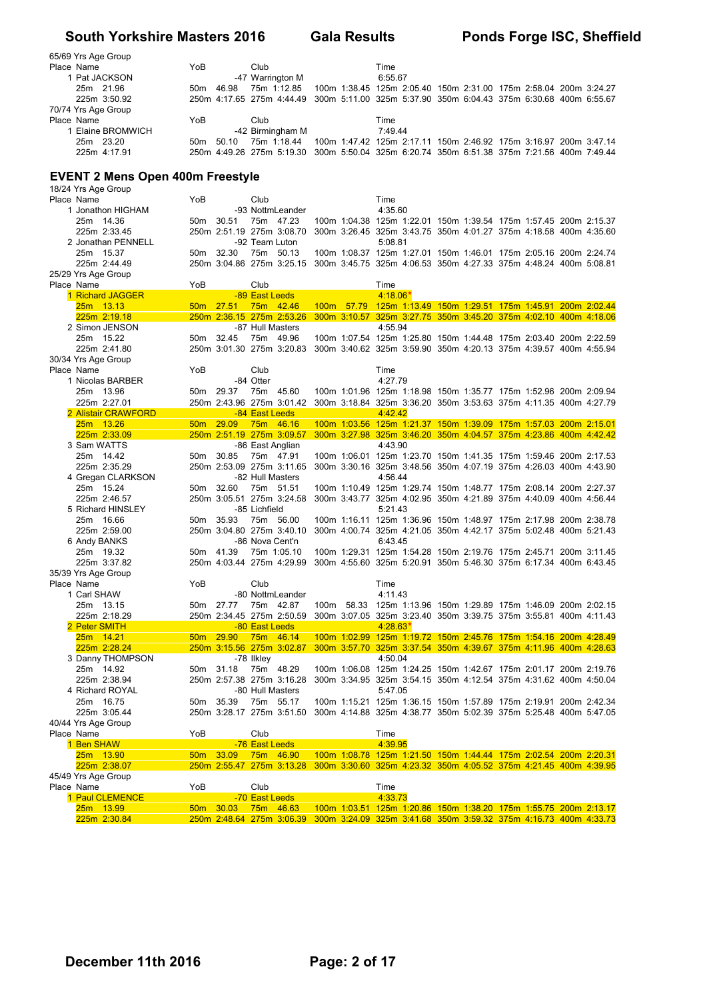| 65/69 Yrs Age Group |                 |           |                           |         |  |                                                                                            |
|---------------------|-----------------|-----------|---------------------------|---------|--|--------------------------------------------------------------------------------------------|
| Place Name          | YoB             |           | Club                      | Time    |  |                                                                                            |
| 1 Pat JACKSON       |                 |           | -47 Warrington M          | 6:55.67 |  |                                                                                            |
| 25m 21.96           | 50 <sub>m</sub> | 46.98     | 75m 1:12.85               |         |  | 100m 1:38.45 125m 2:05.40 150m 2:31.00 175m 2:58.04 200m 3:24.27                           |
| 225m 3:50.92        |                 |           |                           |         |  | 250m 4:17.65 275m 4:44.49 300m 5:11.00 325m 5:37.90 350m 6:04.43 375m 6:30.68 400m 6:55.67 |
| 70/74 Yrs Age Group |                 |           |                           |         |  |                                                                                            |
| Place Name          | YoB             |           | Club                      | Time    |  |                                                                                            |
| Elaine BROMWICH     |                 |           | -42 Birmingham M          | 7:49.44 |  |                                                                                            |
| 25m 23.20           |                 | 50m 50.10 | $75m$ 1.18.44             |         |  | 100m 1:47.42 125m 2:17.11 150m 2:46.92 175m 3:16.97 200m 3:47.14                           |
| 225m 4:17.91        |                 |           | 250m 4:49.26 275m 5:19.30 |         |  | 300m 5:50.04 325m 6:20.74 350m 6:51.38 375m 7:21.56 400m 7:49.44                           |

#### **EVENT 2 Mens Open 400m Freestyle**

|               | 18/24 Yrs Age Group |                 |                           |                  |  |            |                                                                                            |  |  |  |
|---------------|---------------------|-----------------|---------------------------|------------------|--|------------|--------------------------------------------------------------------------------------------|--|--|--|
| Place Name    |                     | YoB             |                           | Club             |  | Time       |                                                                                            |  |  |  |
|               | 1 Jonathon HIGHAM   |                 |                           | -93 NottmLeander |  | 4:35.60    |                                                                                            |  |  |  |
| 25m 14.36     |                     |                 | 50m 30.51                 | 75m 47.23        |  |            | 100m 1:04.38 125m 1:22.01 150m 1:39.54 175m 1:57.45 200m 2:15.37                           |  |  |  |
|               | 225m 2:33.45        |                 | 250m 2:51.19 275m 3:08.70 |                  |  |            | 300m 3:26.45 325m 3:43.75 350m 4:01.27 375m 4:18.58 400m 4:35.60                           |  |  |  |
|               | 2 Jonathan PENNELL  |                 |                           | -92 Team Luton   |  | 5:08.81    |                                                                                            |  |  |  |
| 25m 15.37     |                     |                 | 50m 32.30                 | 75m 50.13        |  |            | 100m 1:08.37 125m 1:27.01 150m 1:46.01 175m 2:05.16 200m 2:24.74                           |  |  |  |
|               | 225m 2:44.49        |                 | 250m 3:04.86 275m 3:25.15 |                  |  |            | 300m 3:45.75 325m 4:06.53 350m 4:27.33 375m 4:48.24 400m 5:08.81                           |  |  |  |
|               | 25/29 Yrs Age Group |                 |                           |                  |  |            |                                                                                            |  |  |  |
| Place Name    |                     | YoB             |                           | Club             |  | Time       |                                                                                            |  |  |  |
|               | 1 Richard JAGGER    |                 |                           | -89 East Leeds   |  | $4:18.06*$ |                                                                                            |  |  |  |
| 25m 13.13     |                     |                 | 50m 27.51                 | 75m 42.46        |  |            | 100m 57.79 125m 1:13.49 150m 1:29.51 175m 1:45.91 200m 2:02.44                             |  |  |  |
|               | 225m 2:19.18        |                 | 250m 2:36.15 275m 2:53.26 |                  |  |            | 300m 3:10.57 325m 3:27.75 350m 3:45.20 375m 4:02.10 400m 4:18.06                           |  |  |  |
|               | 2 Simon JENSON      |                 |                           | -87 Hull Masters |  | 4:55.94    |                                                                                            |  |  |  |
| 25m 15.22     |                     | 50m 32.45       |                           | 75m 49.96        |  |            | 100m 1:07.54 125m 1:25.80 150m 1:44.48 175m 2:03.40 200m 2:22.59                           |  |  |  |
|               | 225m 2:41.80        |                 | 250m 3:01.30 275m 3:20.83 |                  |  |            | 300m 3:40.62 325m 3:59.90 350m 4:20.13 375m 4:39.57 400m 4:55.94                           |  |  |  |
|               | 30/34 Yrs Age Group |                 |                           |                  |  |            |                                                                                            |  |  |  |
| Place Name    |                     | YoB             |                           | Club             |  | Time       |                                                                                            |  |  |  |
|               | 1 Nicolas BARBER    |                 |                           | -84 Otter        |  | 4:27.79    |                                                                                            |  |  |  |
| 25m 13.96     |                     |                 | 50m 29.37                 | 75m 45.60        |  |            | 100m 1:01.96 125m 1:18.98 150m 1:35.77 175m 1:52.96 200m 2:09.94                           |  |  |  |
|               | 225m 2:27.01        |                 | 250m 2:43.96 275m 3:01.42 |                  |  |            | 300m 3:18.84 325m 3:36.20 350m 3:53.63 375m 4:11.35 400m 4:27.79                           |  |  |  |
|               | 2 Alistair CRAWFORD |                 |                           | -84 East Leeds   |  | 4:42.42    |                                                                                            |  |  |  |
| 25m 13.26     |                     |                 | 50m 29.09 75m 46.16       |                  |  |            | 100m 1:03.56 125m 1:21.37 150m 1:39.09 175m 1:57.03 200m 2:15.01                           |  |  |  |
|               |                     |                 |                           |                  |  |            |                                                                                            |  |  |  |
|               | 225m 2:33.09        |                 |                           |                  |  |            | 250m 2:51.19 275m 3:09.57 300m 3:27.98 325m 3:46.20 350m 4:04.57 375m 4:23.86 400m 4:42.42 |  |  |  |
| 3 Sam WATTS   |                     |                 |                           | -86 East Anglian |  | 4:43.90    |                                                                                            |  |  |  |
| 25m 14.42     |                     |                 | 50m 30.85                 | 75m 47.91        |  |            | 100m 1:06.01 125m 1:23.70 150m 1:41.35 175m 1:59.46 200m 2:17.53                           |  |  |  |
|               | 225m 2:35.29        |                 | 250m 2:53.09 275m 3:11.65 |                  |  |            | 300m 3:30.16 325m 3:48.56 350m 4:07.19 375m 4:26.03 400m 4:43.90                           |  |  |  |
|               | 4 Gregan CLARKSON   |                 |                           | -82 Hull Masters |  | 4:56.44    |                                                                                            |  |  |  |
| 25m 15.24     |                     |                 | 50m 32.60                 | 75m 51.51        |  |            | 100m 1:10.49 125m 1:29.74 150m 1:48.77 175m 2:08.14 200m 2:27.37                           |  |  |  |
|               | 225m 2:46.57        |                 | 250m 3:05.51 275m 3:24.58 |                  |  |            | 300m 3:43.77 325m 4:02.95 350m 4:21.89 375m 4:40.09 400m 4:56.44                           |  |  |  |
|               | 5 Richard HINSLEY   |                 |                           | -85 Lichfield    |  | 5:21.43    |                                                                                            |  |  |  |
| 25m 16.66     |                     |                 | 50m 35.93                 | 75m 56.00        |  |            | 100m 1:16.11 125m 1:36.96 150m 1:48.97 175m 2:17.98 200m 2:38.78                           |  |  |  |
|               | 225m 2:59.00        |                 | 250m 3:04.80 275m 3:40.10 |                  |  |            | 300m 4:00.74 325m 4:21.05 350m 4:42.17 375m 5:02.48 400m 5:21.43                           |  |  |  |
| 6 Andy BANKS  |                     |                 |                           | -86 Nova Cent'n  |  | 6:43.45    |                                                                                            |  |  |  |
| 25m 19.32     |                     | 50m 41.39       |                           | 75m 1:05.10      |  |            | 100m 1:29.31 125m 1:54.28 150m 2:19.76 175m 2:45.71 200m 3:11.45                           |  |  |  |
|               | 225m 3:37.82        |                 | 250m 4:03.44 275m 4:29.99 |                  |  |            | 300m 4:55.60 325m 5:20.91 350m 5:46.30 375m 6:17.34 400m 6:43.45                           |  |  |  |
|               | 35/39 Yrs Age Group |                 |                           |                  |  |            |                                                                                            |  |  |  |
| Place Name    |                     | YoB             |                           | Club             |  | Time       |                                                                                            |  |  |  |
| 1 Carl SHAW   |                     |                 |                           | -80 NottmLeander |  | 4:11.43    |                                                                                            |  |  |  |
| 25m 13.15     |                     |                 | 50m 27.77                 | 75m 42.87        |  |            | 100m 58.33 125m 1:13.96 150m 1:29.89 175m 1:46.09 200m 2:02.15                             |  |  |  |
|               | 225m 2:18.29        |                 | 250m 2:34.45 275m 2:50.59 |                  |  |            | 300m 3:07.05 325m 3:23.40 350m 3:39.75 375m 3:55.81 400m 4:11.43                           |  |  |  |
| 2 Peter SMITH |                     |                 |                           | -80 East Leeds   |  | $4:28.63*$ |                                                                                            |  |  |  |
| 25m 14.21     |                     |                 | 50m 29.90 75m 46.14       |                  |  |            | 100m 1:02.99 125m 1:19.72 150m 2:45.76 175m 1:54.16 200m 4:28.49                           |  |  |  |
|               | 225m 2:28.24        |                 |                           |                  |  |            | 250m 3:15.56 275m 3:02.87 300m 3:57.70 325m 3:37.54 350m 4:39.67 375m 4:11.96 400m 4:28.63 |  |  |  |
|               | 3 Danny THOMPSON    |                 |                           | -78 Ilkley       |  | 4:50.04    |                                                                                            |  |  |  |
| 25m 14.92     |                     |                 | 50m 31.18                 | 75m 48.29        |  |            | 100m 1:06.08 125m 1:24.25 150m 1:42.67 175m 2:01.17 200m 2:19.76                           |  |  |  |
|               | 225m 2:38.94        |                 | 250m 2:57.38 275m 3:16.28 |                  |  |            | 300m 3:34.95 325m 3:54.15 350m 4:12.54 375m 4:31.62 400m 4:50.04                           |  |  |  |
|               | 4 Richard ROYAL     |                 |                           | -80 Hull Masters |  | 5:47.05    |                                                                                            |  |  |  |
| 25m 16.75     |                     |                 | 50m 35.39                 | 75m 55.17        |  |            | 100m 1:15.21 125m 1:36.15 150m 1:57.89 175m 2:19.91 200m 2:42.34                           |  |  |  |
|               | 225m 3:05.44        |                 | 250m 3:28.17 275m 3:51.50 |                  |  |            | 300m 4:14.88 325m 4:38.77 350m 5:02.39 375m 5:25.48 400m 5:47.05                           |  |  |  |
|               | 40/44 Yrs Age Group |                 |                           |                  |  |            |                                                                                            |  |  |  |
| Place Name    |                     | YoB             |                           | Club             |  | Time       |                                                                                            |  |  |  |
| 1 Ben SHAW    |                     |                 |                           | -76 East Leeds   |  | 4:39.95    |                                                                                            |  |  |  |
| 25m 13.90     |                     | 50 <sub>m</sub> | 33.09                     | 75m 46.90        |  |            | 100m 1:08.78 125m 1:21.50 150m 1:44.44 175m 2:02.54 200m 2:20.31                           |  |  |  |
|               | 225m 2:38.07        |                 |                           |                  |  |            | 250m 2:55.47 275m 3:13.28 300m 3:30.60 325m 4:23.32 350m 4:05.52 375m 4:21.45 400m 4:39.95 |  |  |  |
|               |                     |                 |                           |                  |  |            |                                                                                            |  |  |  |
|               | 45/49 Yrs Age Group |                 |                           |                  |  |            |                                                                                            |  |  |  |
| Place Name    |                     | YoB             |                           | Club             |  | Time       |                                                                                            |  |  |  |
|               | 1 Paul CLEMENCE     |                 |                           | -70 East Leeds   |  | 4:33.73    |                                                                                            |  |  |  |
| 25m 13.99     |                     | 50 <sub>m</sub> | 30.03                     | 75m 46.63        |  |            | 100m 1:03.51 125m 1:20.86 150m 1:38.20 175m 1:55.75 200m 2:13.17                           |  |  |  |
|               | 225m 2:30.84        |                 |                           |                  |  |            | 250m 2:48.64 275m 3:06.39 300m 3:24.09 325m 3:41.68 350m 3:59.32 375m 4:16.73 400m 4:33.73 |  |  |  |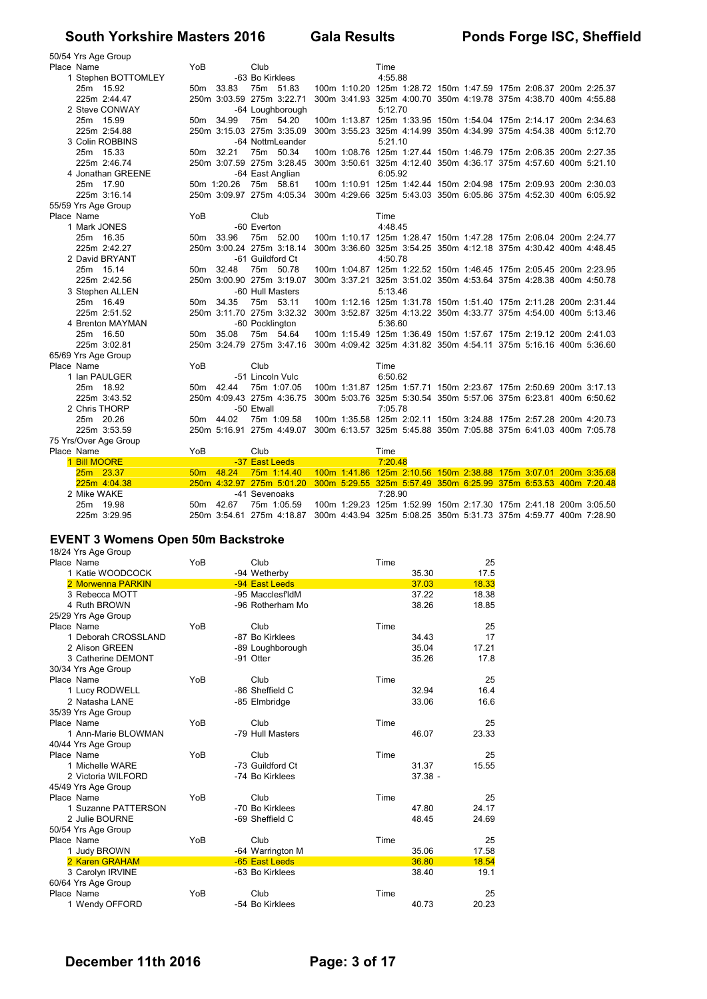| 50/54 Yrs Age Group   |     |             |                                                                                            |  |                                                                  |  |  |  |
|-----------------------|-----|-------------|--------------------------------------------------------------------------------------------|--|------------------------------------------------------------------|--|--|--|
| Place Name            | YoB |             | Club                                                                                       |  | Time                                                             |  |  |  |
| 1 Stephen BOTTOMLEY   |     |             | -63 Bo Kirklees                                                                            |  | 4:55.88                                                          |  |  |  |
| 25m 15.92             |     | 50m 33.83   | 75m 51.83                                                                                  |  | 100m 1:10.20 125m 1:28.72 150m 1:47.59 175m 2:06.37 200m 2:25.37 |  |  |  |
| 225m 2:44.47          |     |             | 250m 3:03.59 275m 3:22.71                                                                  |  | 300m 3:41.93 325m 4:00.70 350m 4:19.78 375m 4:38.70 400m 4:55.88 |  |  |  |
| 2 Steve CONWAY        |     |             | -64 Loughborough                                                                           |  | 5:12.70                                                          |  |  |  |
| 25m 15.99             |     | 50m 34.99   | 75m 54.20                                                                                  |  | 100m 1:13.87 125m 1:33.95 150m 1:54.04 175m 2:14.17 200m 2:34.63 |  |  |  |
| 225m 2:54.88          |     |             | 250m 3:15.03 275m 3:35.09                                                                  |  | 300m 3:55.23 325m 4:14.99 350m 4:34.99 375m 4:54.38 400m 5:12.70 |  |  |  |
| 3 Colin ROBBINS       |     |             | -64 NottmLeander                                                                           |  | 5:21.10                                                          |  |  |  |
| 25m 15.33             |     | 50m 32.21   | 75m 50.34                                                                                  |  | 100m 1:08.76 125m 1:27.44 150m 1:46.79 175m 2:06.35 200m 2:27.35 |  |  |  |
| 225m 2:46.74          |     |             | 250m 3:07.59 275m 3:28.45                                                                  |  | 300m 3:50.61 325m 4:12.40 350m 4:36.17 375m 4:57.60 400m 5:21.10 |  |  |  |
| 4 Jonathan GREENE     |     |             | -64 East Anglian                                                                           |  | 6:05.92                                                          |  |  |  |
| 25m 17.90             |     | 50m 1:20.26 | 75m 58.61                                                                                  |  | 100m 1:10.91 125m 1:42.44 150m 2:04.98 175m 2:09.93 200m 2:30.03 |  |  |  |
| 225m 3:16.14          |     |             | 250m 3:09.97 275m 4:05.34                                                                  |  | 300m 4:29.66 325m 5:43.03 350m 6:05.86 375m 4:52.30 400m 6:05.92 |  |  |  |
| 55/59 Yrs Age Group   |     |             |                                                                                            |  |                                                                  |  |  |  |
| Place Name            | YoB |             | Club                                                                                       |  | Time                                                             |  |  |  |
| 1 Mark JONES          |     |             | -60 Everton                                                                                |  | 4:48.45                                                          |  |  |  |
| 25m 16.35             |     | 50m 33.96   | 75m 52.00                                                                                  |  | 100m 1:10.17 125m 1:28.47 150m 1:47.28 175m 2:06.04 200m 2:24.77 |  |  |  |
| 225m 2:42.27          |     |             | 250m 3:00.24 275m 3:18.14                                                                  |  | 300m 3:36.60 325m 3:54.25 350m 4:12.18 375m 4:30.42 400m 4:48.45 |  |  |  |
| 2 David BRYANT        |     |             | -61 Guildford Ct                                                                           |  | 4:50.78                                                          |  |  |  |
| 25m 15.14             |     | 50m 32.48   | 75m 50.78                                                                                  |  | 100m 1:04.87 125m 1:22.52 150m 1:46.45 175m 2:05.45 200m 2:23.95 |  |  |  |
| 225m 2:42.56          |     |             | 250m 3:00.90 275m 3:19.07                                                                  |  | 300m 3:37.21 325m 3:51.02 350m 4:53.64 375m 4:28.38 400m 4:50.78 |  |  |  |
| 3 Stephen ALLEN       |     |             | -60 Hull Masters                                                                           |  | 5:13.46                                                          |  |  |  |
| 25m 16.49             |     | 50m 34.35   | 75m 53.11                                                                                  |  | 100m 1:12.16 125m 1:31.78 150m 1:51.40 175m 2:11.28 200m 2:31.44 |  |  |  |
| 225m 2:51.52          |     |             | 250m 3:11.70 275m 3:32.32                                                                  |  | 300m 3:52.87 325m 4:13.22 350m 4:33.77 375m 4:54.00 400m 5:13.46 |  |  |  |
| 4 Brenton MAYMAN      |     |             | -60 Pocklington                                                                            |  | 5:36.60                                                          |  |  |  |
| 25m 16.50             |     | 50m 35.08   | 75m 54.64                                                                                  |  | 100m 1:15.49 125m 1:36.49 150m 1:57.67 175m 2:19.12 200m 2:41.03 |  |  |  |
| 225m 3:02.81          |     |             | 250m 3:24.79 275m 3:47.16                                                                  |  | 300m 4:09.42 325m 4:31.82 350m 4:54.11 375m 5:16.16 400m 5:36.60 |  |  |  |
| 65/69 Yrs Age Group   |     |             |                                                                                            |  |                                                                  |  |  |  |
| Place Name            | YoB |             | Club                                                                                       |  | Time                                                             |  |  |  |
| 1 Ian PAULGER         |     |             | -51 Lincoln Vulc                                                                           |  | 6:50.62                                                          |  |  |  |
| 25m 18.92             |     | 50m 42.44   | 75m 1:07.05                                                                                |  | 100m 1:31.87 125m 1:57.71 150m 2:23.67 175m 2:50.69 200m 3:17.13 |  |  |  |
| 225m 3:43.52          |     |             | 250m 4:09.43 275m 4:36.75                                                                  |  | 300m 5:03.76 325m 5:30.54 350m 5:57.06 375m 6:23.81 400m 6:50.62 |  |  |  |
| 2 Chris THORP         |     |             | -50 Etwall                                                                                 |  | 7:05.78                                                          |  |  |  |
| 25m 20.26             |     | 50m 44.02   | 75m 1:09.58                                                                                |  | 100m 1:35.58 125m 2:02.11 150m 3:24.88 175m 2:57.28 200m 4:20.73 |  |  |  |
| 225m 3:53.59          |     |             | 250m 5:16.91 275m 4:49.07                                                                  |  | 300m 6:13.57 325m 5:45.88 350m 7:05.88 375m 6:41.03 400m 7:05.78 |  |  |  |
| 75 Yrs/Over Age Group |     |             |                                                                                            |  |                                                                  |  |  |  |
| Place Name            | YoB |             | Club                                                                                       |  | Time                                                             |  |  |  |
| 1 Bill MOORE          |     |             | -37 East Leeds                                                                             |  | 7:20.48                                                          |  |  |  |
| 25m 23.37             |     | 50m 48.24   | 75m 1:14.40                                                                                |  | 100m 1:41.86 125m 2:10.56 150m 2:38.88 175m 3:07.01 200m 3:35.68 |  |  |  |
| 225m 4:04.38          |     |             | 250m 4:32.97 275m 5:01.20 300m 5:29.55 325m 5:57.49 350m 6:25.99 375m 6:53.53 400m 7:20.48 |  |                                                                  |  |  |  |
| 2 Mike WAKE           |     |             | -41 Sevenoaks                                                                              |  | 7:28.90                                                          |  |  |  |
| 25m 19.98             |     | 50m 42.67   | 75m 1:05.59                                                                                |  | 100m 1:29.23 125m 1:52.99 150m 2:17.30 175m 2:41.18 200m 3:05.50 |  |  |  |
| 225m 3:29.95          |     |             | 250m 3:54.61 275m 4:18.87                                                                  |  | 300m 4:43.94 325m 5:08.25 350m 5:31.73 375m 4:59.77 400m 7:28.90 |  |  |  |

#### **EVENT 3 Womens Open 50m Backstroke**

18/24 Yrs Age Group

| Place Name          | YoB | Club             | Time | 25             |
|---------------------|-----|------------------|------|----------------|
| 1 Katie WOODCOCK    |     | -94 Wetherby     |      | 35.30<br>17.5  |
| 2 Morwenna PARKIN   |     | -94 East Leeds   |      | 18.33<br>37.03 |
| 3 Rebecca MOTT      |     | -95 MacclesfldM  |      | 18.38<br>37.22 |
| 4 Ruth BROWN        |     | -96 Rotherham Mo |      | 38.26<br>18.85 |
| 25/29 Yrs Age Group |     |                  |      |                |
| Place Name          | YoB | Club             | Time | 25             |
| 1 Deborah CROSSLAND |     | -87 Bo Kirklees  |      | 17<br>34.43    |
| 2 Alison GREEN      |     | -89 Loughborough |      | 35.04<br>17.21 |
| 3 Catherine DEMONT  |     | -91 Otter        |      | 35.26<br>17.8  |
| 30/34 Yrs Age Group |     |                  |      |                |
| Place Name          | YoB | Club             | Time | 25             |
| 1 Lucy RODWELL      |     | -86 Sheffield C  |      | 16.4<br>32.94  |
| 2 Natasha LANE      |     | -85 Elmbridge    |      | 33.06<br>16.6  |
| 35/39 Yrs Age Group |     |                  |      |                |
| Place Name          | YoB | Club             | Time | 25             |
| 1 Ann-Marie BLOWMAN |     | -79 Hull Masters |      | 23.33<br>46.07 |
| 40/44 Yrs Age Group |     |                  |      |                |
| Place Name          | YoB | Club             | Time | 25             |
| 1 Michelle WARE     |     | -73 Guildford Ct |      | 31.37<br>15.55 |
| 2 Victoria WILFORD  |     | -74 Bo Kirklees  |      | $37.38 -$      |
| 45/49 Yrs Age Group |     |                  |      |                |
| Place Name          | YoB | Club             | Time | 25             |
| 1 Suzanne PATTERSON |     | -70 Bo Kirklees  |      | 47.80<br>24.17 |
| 2 Julie BOURNE      |     | -69 Sheffield C  |      | 48.45<br>24.69 |
| 50/54 Yrs Age Group |     |                  |      |                |
| Place Name          | YoB | Club             | Time | 25             |
| 1 Judy BROWN        |     | -64 Warrington M |      | 35.06<br>17.58 |
| 2 Karen GRAHAM      |     | -65 East Leeds   |      | 36.80<br>18.54 |
| 3 Carolyn IRVINE    |     | -63 Bo Kirklees  |      | 38.40<br>19.1  |
| 60/64 Yrs Age Group |     |                  |      |                |
| Place Name          | YoB | Club             | Time | 25             |
| 1 Wendy OFFORD      |     | -54 Bo Kirklees  |      | 20.23<br>40.73 |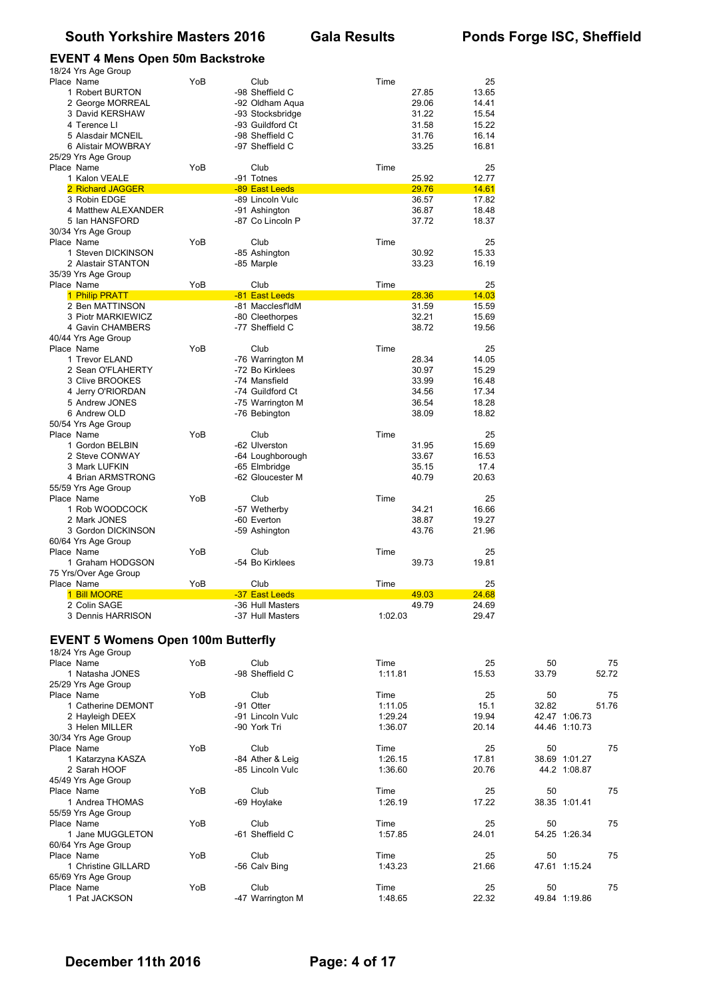#### **EVENT 4 Mens Open 50m Backstroke**

| 18/24 Yrs Age Group                       |     |                  |         |       |       |       |
|-------------------------------------------|-----|------------------|---------|-------|-------|-------|
| Place Name                                | YoB | Club             | Time    | 25    |       |       |
| 1 Robert BURTON                           |     | -98 Sheffield C  | 27.85   | 13.65 |       |       |
| 2 George MORREAL                          |     | -92 Oldham Aqua  | 29.06   | 14.41 |       |       |
| 3 David KERSHAW                           |     | -93 Stocksbridge | 31.22   | 15.54 |       |       |
| 4 Terence LI                              |     | -93 Guildford Ct | 31.58   | 15.22 |       |       |
| 5 Alasdair MCNEIL                         |     | -98 Sheffield C  | 31.76   | 16.14 |       |       |
| 6 Alistair MOWBRAY                        |     | -97 Sheffield C  | 33.25   | 16.81 |       |       |
| 25/29 Yrs Age Group                       |     |                  |         |       |       |       |
| Place Name                                | YoB | Club             | Time    | 25    |       |       |
|                                           |     |                  |         |       |       |       |
| 1 Kalon VEALE                             |     | -91 Totnes       | 25.92   | 12.77 |       |       |
| 2 Richard JAGGER                          |     | -89 East Leeds   | 29.76   | 14.61 |       |       |
| 3 Robin EDGE                              |     | -89 Lincoln Vulc | 36.57   | 17.82 |       |       |
| 4 Matthew ALEXANDER                       |     | -91 Ashington    | 36.87   | 18.48 |       |       |
| 5 Ian HANSFORD                            |     | -87 Co Lincoln P | 37.72   | 18.37 |       |       |
| 30/34 Yrs Age Group                       |     |                  |         |       |       |       |
| Place Name                                | YoB | Club             | Time    | 25    |       |       |
| 1 Steven DICKINSON                        |     | -85 Ashington    | 30.92   | 15.33 |       |       |
| 2 Alastair STANTON                        |     | -85 Marple       | 33.23   | 16.19 |       |       |
| 35/39 Yrs Age Group                       |     |                  |         |       |       |       |
| Place Name                                | YoB | Club             | Time    | 25    |       |       |
| 1 Philip PRATT                            |     | -81 East Leeds   | 28.36   | 14.03 |       |       |
| 2 Ben MATTINSON                           |     | -81 MacclesfldM  | 31.59   | 15.59 |       |       |
| 3 Piotr MARKIEWICZ                        |     | -80 Cleethorpes  | 32.21   | 15.69 |       |       |
|                                           |     |                  |         |       |       |       |
| 4 Gavin CHAMBERS                          |     | -77 Sheffield C  | 38.72   | 19.56 |       |       |
| 40/44 Yrs Age Group                       |     |                  |         |       |       |       |
| Place Name                                | YoB | Club             | Time    | 25    |       |       |
| 1 Trevor ELAND                            |     | -76 Warrington M | 28.34   | 14.05 |       |       |
| 2 Sean O'FLAHERTY                         |     | -72 Bo Kirklees  | 30.97   | 15.29 |       |       |
| 3 Clive BROOKES                           |     | -74 Mansfield    | 33.99   | 16.48 |       |       |
| 4 Jerry O'RIORDAN                         |     | -74 Guildford Ct | 34.56   | 17.34 |       |       |
| 5 Andrew JONES                            |     | -75 Warrington M | 36.54   | 18.28 |       |       |
| 6 Andrew OLD                              |     | -76 Bebington    | 38.09   | 18.82 |       |       |
| 50/54 Yrs Age Group                       |     |                  |         |       |       |       |
| Place Name                                | YoB | Club             | Time    | 25    |       |       |
| 1 Gordon BELBIN                           |     | -62 Ulverston    | 31.95   | 15.69 |       |       |
| 2 Steve CONWAY                            |     | -64 Loughborough | 33.67   | 16.53 |       |       |
| 3 Mark LUFKIN                             |     | -65 Elmbridge    | 35.15   | 17.4  |       |       |
|                                           |     | -62 Gloucester M | 40.79   | 20.63 |       |       |
| 4 Brian ARMSTRONG                         |     |                  |         |       |       |       |
| 55/59 Yrs Age Group                       |     |                  |         |       |       |       |
| Place Name                                | YoB | Club             | Time    | 25    |       |       |
| 1 Rob WOODCOCK                            |     | -57 Wetherby     | 34.21   | 16.66 |       |       |
| 2 Mark JONES                              |     | -60 Everton      | 38.87   | 19.27 |       |       |
| 3 Gordon DICKINSON                        |     | -59 Ashington    | 43.76   | 21.96 |       |       |
| 60/64 Yrs Age Group                       |     |                  |         |       |       |       |
| Place Name                                | YoB | Club             | Time    | 25    |       |       |
| 1 Graham HODGSON                          |     | -54 Bo Kirklees  | 39.73   | 19.81 |       |       |
| 75 Yrs/Over Age Group                     |     |                  |         |       |       |       |
| Place Name                                | YoB | Club             | Time    | 25    |       |       |
| 1 Bill MOORE                              |     | -37 East Leeds   | 49.03   | 24.68 |       |       |
| 2 Colin SAGE                              |     | -36 Hull Masters | 49.79   | 24.69 |       |       |
| 3 Dennis HARRISON                         |     | -37 Hull Masters | 1:02.03 | 29.47 |       |       |
|                                           |     |                  |         |       |       |       |
|                                           |     |                  |         |       |       |       |
| <b>EVENT 5 Womens Open 100m Butterfly</b> |     |                  |         |       |       |       |
| 18/24 Yrs Age Group                       |     |                  |         |       |       |       |
| Place Name                                | YoB | Club             | Time    | 25    | 50    |       |
| 1 Natasha JONES                           |     | -98 Sheffield C  | 1:11.81 | 15.53 | 33.79 | 52.72 |
| $25/20$ Vre Age Croup                     |     |                  |         |       |       |       |

| 1 Natasha JONES     |     | -98 Sheffield C  | 1:11.81 | 15.53 | 33.79 | 52.72         |
|---------------------|-----|------------------|---------|-------|-------|---------------|
| 25/29 Yrs Age Group |     |                  |         |       |       |               |
| Place Name          | YoB | Club             | Time    | 25    | 50    | 75            |
| 1 Catherine DEMONT  |     | -91 Otter        | 1:11.05 | 15.1  | 32.82 | 51.76         |
| 2 Hayleigh DEEX     |     | -91 Lincoln Vulc | 1:29.24 | 19.94 |       | 42.47 1:06.73 |
| 3 Helen MILLER      |     | -90 York Tri     | 1:36.07 | 20.14 |       | 44.46 1:10.73 |
| 30/34 Yrs Age Group |     |                  |         |       |       |               |
| Place Name          | YoB | Club             | Time    | 25    | 50    | 75            |
| 1 Katarzyna KASZA   |     | -84 Ather & Leig | 1:26.15 | 17.81 | 38.69 | 1:01.27       |
| 2 Sarah HOOF        |     | -85 Lincoln Vulc | 1:36.60 | 20.76 |       | 44.2 1:08.87  |
| 45/49 Yrs Age Group |     |                  |         |       |       |               |
| Place Name          | YoB | Club             | Time    | 25    | 50    | 75            |
| 1 Andrea THOMAS     |     | -69 Hoylake      | 1:26.19 | 17.22 |       | 38.35 1:01.41 |
| 55/59 Yrs Age Group |     |                  |         |       |       |               |
| Place Name          | YoB | Club             | Time    | 25    | 50    | 75            |
| 1 Jane MUGGLETON    |     | -61 Sheffield C  | 1:57.85 | 24.01 |       | 54.25 1:26.34 |
| 60/64 Yrs Age Group |     |                  |         |       |       |               |
| Place Name          | YoB | Club             | Time    | 25    | 50    | 75            |
| 1 Christine GILLARD |     | -56 Calv Bing    | 1:43.23 | 21.66 |       | 47.61 1:15.24 |
| 65/69 Yrs Age Group |     |                  |         |       |       |               |
| Place Name          | YoB | Club             | Time    | 25    | 50    | 75            |
| 1 Pat JACKSON       |     | -47 Warrington M | 1:48.65 | 22.32 |       | 49.84 1:19.86 |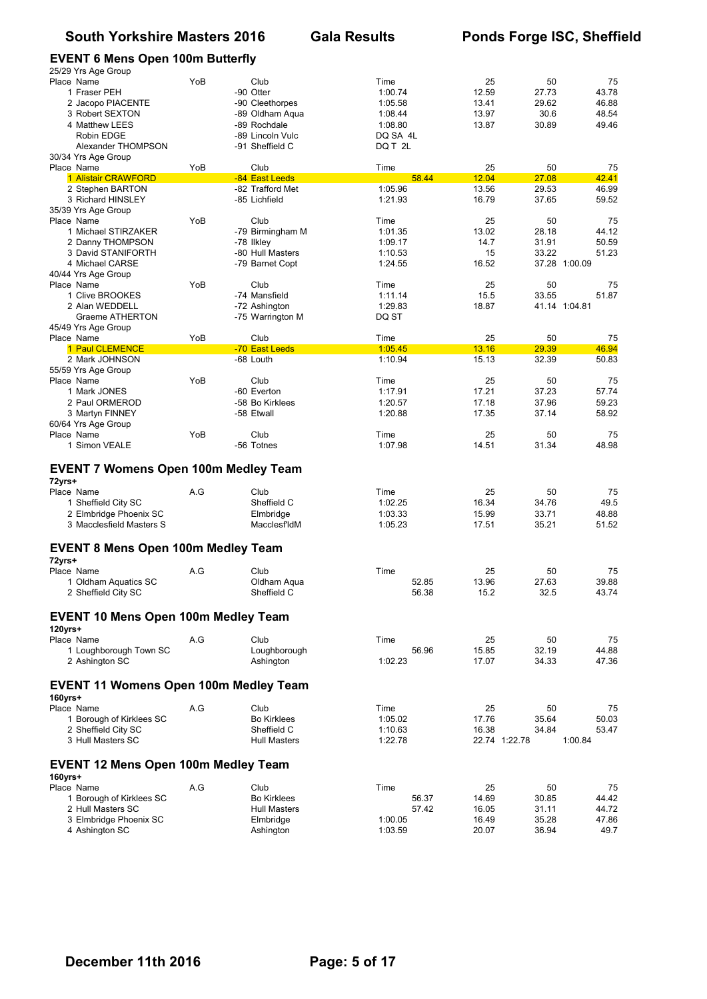#### **EVENT 6 Mens Open 100m Butterfly**

| 25/29 Yrs Age Group                          |     |                                     |                    |                |                        |                |
|----------------------------------------------|-----|-------------------------------------|--------------------|----------------|------------------------|----------------|
| Place Name                                   | YoB | Club                                | Time               | 25             | 50                     | 75             |
| 1 Fraser PEH                                 |     | -90 Otter                           | 1:00.74            | 12.59          | 27.73                  | 43.78          |
| 2 Jacopo PIACENTE<br>3 Robert SEXTON         |     | -90 Cleethorpes<br>-89 Oldham Aqua  | 1:05.58<br>1:08.44 | 13.41<br>13.97 | 29.62<br>30.6          | 46.88<br>48.54 |
| 4 Matthew LEES                               |     | -89 Rochdale                        | 1:08.80            | 13.87          | 30.89                  | 49.46          |
| Robin EDGE                                   |     | -89 Lincoln Vulc                    | DQ SA 4L           |                |                        |                |
| Alexander THOMPSON                           |     | -91 Sheffield C                     | DQ T 2L            |                |                        |                |
| 30/34 Yrs Age Group                          |     |                                     |                    |                |                        |                |
| Place Name                                   | YoB | Club                                | Time               | 25             | 50                     | 75             |
| 1 Alistair CRAWFORD<br>2 Stephen BARTON      |     | -84 East Leeds<br>-82 Trafford Met  | 58.44<br>1:05.96   | 12.04<br>13.56 | 27.08<br>29.53         | 42.41<br>46.99 |
| 3 Richard HINSLEY                            |     | -85 Lichfield                       | 1:21.93            | 16.79          | 37.65                  | 59.52          |
| 35/39 Yrs Age Group                          |     |                                     |                    |                |                        |                |
| Place Name                                   | YoB | Club                                | Time               | 25             | 50                     | 75             |
| 1 Michael STIRZAKER                          |     | -79 Birmingham M                    | 1:01.35            | 13.02          | 28.18                  | 44.12          |
| 2 Danny THOMPSON                             |     | -78 Ilkley                          | 1:09.17            | 14.7           | 31.91                  | 50.59          |
| 3 David STANIFORTH<br>4 Michael CARSE        |     | -80 Hull Masters<br>-79 Barnet Copt | 1:10.53<br>1:24.55 | 15<br>16.52    | 33.22<br>37.28 1:00.09 | 51.23          |
| 40/44 Yrs Age Group                          |     |                                     |                    |                |                        |                |
| Place Name                                   | YoB | Club                                | Time               | 25             | 50                     | 75             |
| 1 Clive BROOKES                              |     | -74 Mansfield                       | 1:11.14            | 15.5           | 33.55                  | 51.87          |
| 2 Alan WEDDELL                               |     | -72 Ashington                       | 1:29.83            | 18.87          | 41.14 1:04.81          |                |
| Graeme ATHERTON                              |     | -75 Warrington M                    | DQ ST              |                |                        |                |
| 45/49 Yrs Age Group<br>Place Name            | YoB | Club                                | Time               | 25             | 50                     | 75             |
| 1 Paul CLEMENCE                              |     | -70 East Leeds                      | 1:05.45            | 13.16          | 29.39                  | 46.94          |
| 2 Mark JOHNSON                               |     | -68 Louth                           | 1:10.94            | 15.13          | 32.39                  | 50.83          |
| 55/59 Yrs Age Group                          |     |                                     |                    |                |                        |                |
| Place Name                                   | YoB | Club                                | Time               | 25             | 50                     | 75             |
| 1 Mark JONES                                 |     | -60 Everton                         | 1:17.91            | 17.21          | 37.23                  | 57.74          |
| 2 Paul ORMEROD                               |     | -58 Bo Kirklees<br>-58 Etwall       | 1:20.57<br>1:20.88 | 17.18<br>17.35 | 37.96<br>37.14         | 59.23<br>58.92 |
| 3 Martyn FINNEY<br>60/64 Yrs Age Group       |     |                                     |                    |                |                        |                |
| Place Name                                   | YoB | Club                                | Time               | 25             | 50                     | 75             |
|                                              |     |                                     |                    |                |                        | 48.98          |
| 1 Simon VEALE                                |     | -56 Totnes                          | 1:07.98            | 14.51          | 31.34                  |                |
| <b>EVENT 7 Womens Open 100m Medley Team</b>  |     |                                     |                    |                |                        |                |
| 72yrs+<br>Place Name                         | A.G | Club                                | Time               | 25             | 50                     | 75             |
| 1 Sheffield City SC                          |     | Sheffield C                         | 1:02.25            | 16.34          | 34.76                  | 49.5           |
| 2 Elmbridge Phoenix SC                       |     | Elmbridge                           | 1:03.33            | 15.99          | 33.71                  | 48.88          |
| 3 Macclesfield Masters S                     |     | <b>MacclesfldM</b>                  | 1:05.23            | 17.51          | 35.21                  | 51.52          |
| <b>EVENT 8 Mens Open 100m Medley Team</b>    |     |                                     |                    |                |                        |                |
| 72yrs+                                       |     |                                     |                    |                |                        |                |
| Place Name<br>1 Oldham Aquatics SC           | A.G | Club<br>Oldham Aqua                 | Time<br>52.85      | 25<br>13.96    | 50<br>27.63            | 75<br>39.88    |
| 2 Sheffield City SC                          |     | Sheffield C                         | 56.38              | 15.2           | 32.5                   | 43.74          |
| <b>EVENT 10 Mens Open 100m Medley Team</b>   |     |                                     |                    |                |                        |                |
| $120$ yrs+                                   |     |                                     |                    |                |                        |                |
| Place Name                                   | A.G | Club                                | Time<br>56.96      | 25<br>15.85    | 50<br>32.19            | 75             |
| 1 Loughborough Town SC<br>2 Ashington SC     |     | Loughborough<br>Ashington           | 1:02.23            | 17.07          | 34.33                  | 44.88<br>47.36 |
| <b>EVENT 11 Womens Open 100m Medley Team</b> |     |                                     |                    |                |                        |                |
| 160yrs+                                      |     |                                     |                    |                |                        |                |
| Place Name                                   | A.G | Club                                | Time               | 25             | 50                     | 75             |
| 1 Borough of Kirklees SC                     |     | <b>Bo Kirklees</b>                  | 1:05.02            | 17.76          | 35.64                  | 50.03          |
| 2 Sheffield City SC                          |     | Sheffield C                         | 1:10.63            | 16.38          | 34.84                  | 53.47          |
| 3 Hull Masters SC                            |     | <b>Hull Masters</b>                 | 1:22.78            | 22.74 1:22.78  | 1:00.84                |                |
| <b>EVENT 12 Mens Open 100m Medley Team</b>   |     |                                     |                    |                |                        |                |
| 160yrs+<br>Place Name                        | A.G | Club                                | Time               | 25             | 50                     | 75             |
| 1 Borough of Kirklees SC                     |     | <b>Bo Kirklees</b>                  | 56.37              | 14.69          | 30.85                  | 44.42          |
| 2 Hull Masters SC                            |     | <b>Hull Masters</b>                 | 57.42              | 16.05          | 31.11                  | 44.72          |
| 3 Elmbridge Phoenix SC<br>4 Ashington SC     |     | Elmbridge<br>Ashington              | 1:00.05<br>1:03.59 | 16.49<br>20.07 | 35.28<br>36.94         | 47.86<br>49.7  |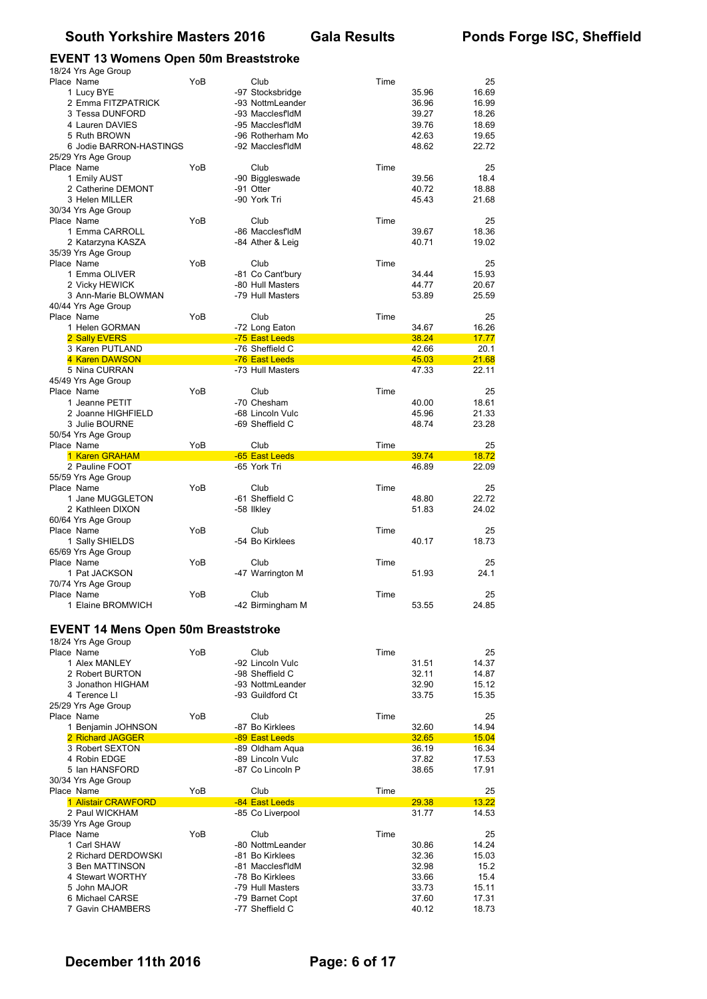#### **EVENT 13 Womens Open 50m Breaststroke**

| 18/24 Yrs Age Group                        |     |                                     |      |                |                |
|--------------------------------------------|-----|-------------------------------------|------|----------------|----------------|
| Place Name                                 | YoB | Club                                | Time |                | 25             |
| 1 Lucy BYE                                 |     | -97 Stocksbridge                    |      | 35.96          | 16.69          |
| 2 Emma FITZPATRICK                         |     | -93 NottmLeander                    |      | 36.96          | 16.99          |
| 3 Tessa DUNFORD                            |     | -93 MacclesfldM                     |      | 39.27          | 18.26          |
| 4 Lauren DAVIES                            |     | -95 MacclesfldM                     |      | 39.76          | 18.69          |
| 5 Ruth BROWN<br>6 Jodie BARRON-HASTINGS    |     | -96 Rotherham Mo<br>-92 MacclesfldM |      | 42.63<br>48.62 | 19.65<br>22.72 |
| 25/29 Yrs Age Group                        |     |                                     |      |                |                |
| Place Name                                 | YoB | Club                                | Time |                | 25             |
| 1 Emily AUST                               |     | -90 Biggleswade                     |      | 39.56          | 18.4           |
| 2 Catherine DEMONT                         |     | -91 Otter                           |      | 40.72          | 18.88          |
| 3 Helen MILLER                             |     | -90 York Tri                        |      | 45.43          | 21.68          |
| 30/34 Yrs Age Group                        |     |                                     |      |                |                |
| Place Name                                 | YoB | Club                                | Time |                | 25             |
| 1 Emma CARROLL                             |     | -86 MacclesfldM<br>-84 Ather & Leig |      | 39.67<br>40.71 | 18.36<br>19.02 |
| 2 Katarzyna KASZA<br>35/39 Yrs Age Group   |     |                                     |      |                |                |
| Place Name                                 | YoB | Club                                | Time |                | 25             |
| 1 Emma OLIVER                              |     | -81 Co Cant'bury                    |      | 34.44          | 15.93          |
| 2 Vicky HEWICK                             |     | -80 Hull Masters                    |      | 44.77          | 20.67          |
| 3 Ann-Marie BLOWMAN                        |     | -79 Hull Masters                    |      | 53.89          | 25.59          |
| 40/44 Yrs Age Group                        |     |                                     |      |                |                |
| Place Name                                 | YoB | Club                                | Time |                | 25             |
| 1 Helen GORMAN                             |     | -72 Long Eaton                      |      | 34.67          | 16.26          |
| 2 Sally EVERS                              |     | -75 East Leeds<br>-76 Sheffield C   |      | 38.24          | 17.77          |
| 3 Karen PUTLAND<br>4 Karen DAWSON          |     | -76 East Leeds                      |      | 42.66<br>45.03 | 20.1<br>21.68  |
| 5 Nina CURRAN                              |     | -73 Hull Masters                    |      | 47.33          | 22.11          |
| 45/49 Yrs Age Group                        |     |                                     |      |                |                |
| Place Name                                 | YoB | Club                                | Time |                | 25             |
| 1 Jeanne PETIT                             |     | -70 Chesham                         |      | 40.00          | 18.61          |
| 2 Joanne HIGHFIELD                         |     | -68 Lincoln Vulc                    |      | 45.96          | 21.33          |
| 3 Julie BOURNE                             |     | -69 Sheffield C                     |      | 48.74          | 23.28          |
| 50/54 Yrs Age Group                        |     |                                     |      |                |                |
| Place Name                                 | YoB | Club                                | Time |                | 25             |
| 1 Karen GRAHAM<br>2 Pauline FOOT           |     | -65 East Leeds<br>-65 York Tri      |      | 39.74<br>46.89 | 18.72<br>22.09 |
|                                            |     |                                     |      |                |                |
|                                            |     |                                     |      |                |                |
| 55/59 Yrs Age Group                        |     |                                     |      |                |                |
| Place Name<br>1 Jane MUGGLETON             | YoB | Club<br>-61 Sheffield C             | Time | 48.80          | 25<br>22.72    |
| 2 Kathleen DIXON                           |     | -58 Ilkley                          |      | 51.83          | 24.02          |
| 60/64 Yrs Age Group                        |     |                                     |      |                |                |
| Place Name                                 | YoB | Club                                | Time |                | 25             |
| 1 Sally SHIELDS                            |     | -54 Bo Kirklees                     |      | 40.17          | 18.73          |
| 65/69 Yrs Age Group                        |     |                                     |      |                |                |
| Place Name                                 | YoB | Club                                | Time |                | 25             |
| 1 Pat JACKSON                              |     | -47 Warrington M                    |      | 51.93          | 24.1           |
| 70/74 Yrs Age Group                        |     |                                     |      |                |                |
| Place Name                                 | YoB | Club                                | Time |                | 25             |
| 1 Elaine BROMWICH                          |     | -42 Birmingham M                    |      | 53.55          | 24.85          |
|                                            |     |                                     |      |                |                |
| <b>EVENT 14 Mens Open 50m Breaststroke</b> |     |                                     |      |                |                |
| 18/24 Yrs Age Group<br>Place Name          | YoB | Club                                | Time |                | 25             |
| 1 Alex MANLEY                              |     | -92 Lincoln Vulc                    |      | 31.51          | 14.37          |
| 2 Robert BURTON                            |     | -98 Sheffield C                     |      | 32.11          | 14.87          |
| 3 Jonathon HIGHAM                          |     | -93 NottmLeander                    |      | 32.90          | 15.12          |
| 4 Terence LI                               |     | -93 Guildford Ct                    |      | 33.75          | 15.35          |
| 25/29 Yrs Age Group                        |     |                                     |      |                |                |
| Place Name                                 | YoB | Club                                | Time |                | 25             |
| 1 Benjamin JOHNSON                         |     | -87 Bo Kirklees                     |      | 32.60          | 14.94          |
| 2 Richard JAGGER                           |     | -89 East Leeds                      |      | 32.65          | 15.04          |
| 3 Robert SEXTON<br>4 Robin EDGE            |     | -89 Oldham Aqua<br>-89 Lincoln Vulc |      | 36.19<br>37.82 | 16.34<br>17.53 |
| 5 Ian HANSFORD                             |     | -87 Co Lincoln P                    |      | 38.65          | 17.91          |
| 30/34 Yrs Age Group                        |     |                                     |      |                |                |
| Place Name                                 | YoB | Club                                | Time |                | 25             |
| 1 Alistair CRAWFORD                        |     | -84 East Leeds                      |      | 29.38          | 13.22          |
| 2 Paul WICKHAM                             |     | -85 Co Liverpool                    |      | 31.77          | 14.53          |
| 35/39 Yrs Age Group                        |     |                                     |      |                |                |
| Place Name                                 | YoB | Club                                | Time |                | 25             |
| 1 Carl SHAW                                |     | -80 NottmLeander                    |      | 30.86          | 14.24          |
| 2 Richard DERDOWSKI                        |     | -81 Bo Kirklees                     |      | 32.36          | 15.03<br>15.2  |
| 3 Ben MATTINSON<br>4 Stewart WORTHY        |     | -81 MacclesfldM<br>-78 Bo Kirklees  |      | 32.98<br>33.66 | 15.4           |
| 5 John MAJOR                               |     | -79 Hull Masters                    |      | 33.73          | 15.11          |
| 6 Michael CARSE                            |     | -79 Barnet Copt                     |      | 37.60          | 17.31          |
| 7 Gavin CHAMBERS                           |     | -77 Sheffield C                     |      | 40.12          | 18.73          |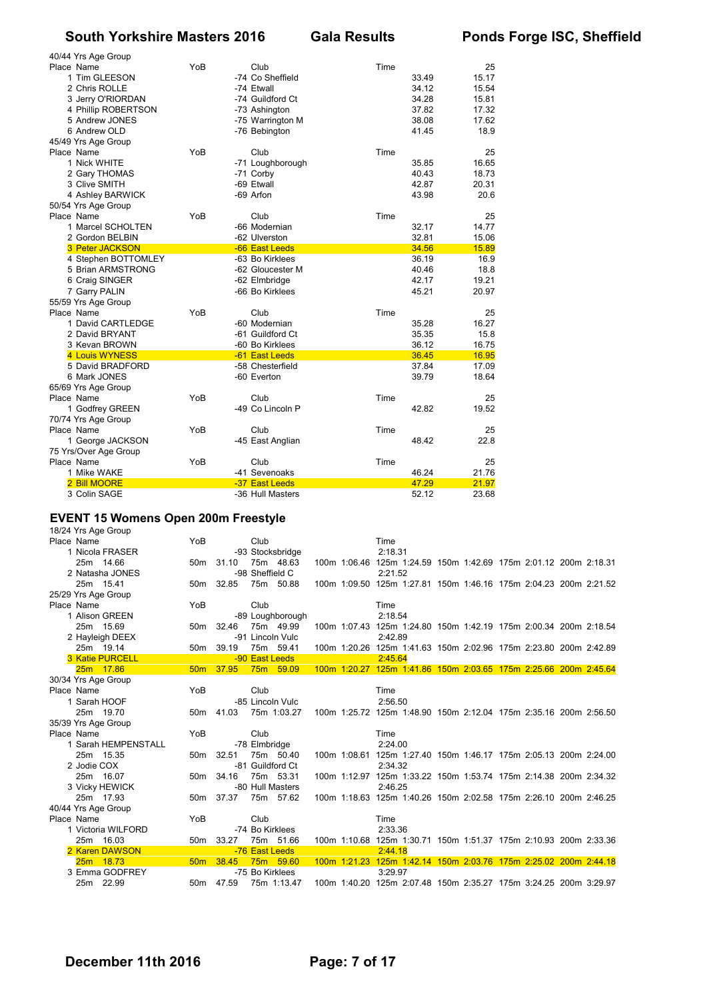| 40/44 Yrs Age Group    |     |                  |      |       |       |
|------------------------|-----|------------------|------|-------|-------|
| Place Name             | YoB | Club             | Time |       | 25    |
| 1 Tim GLEESON          |     | -74 Co Sheffield |      | 33.49 | 15.17 |
| 2 Chris ROLLE          |     | -74 Etwall       |      | 34.12 | 15.54 |
| 3 Jerry O'RIORDAN      |     | -74 Guildford Ct |      | 34.28 | 15.81 |
| 4 Phillip ROBERTSON    |     | -73 Ashington    |      | 37.82 | 17.32 |
| 5 Andrew JONES         |     | -75 Warrington M |      | 38.08 | 17.62 |
| 6 Andrew OLD           |     | -76 Bebington    |      | 41.45 | 18.9  |
| 45/49 Yrs Age Group    |     |                  |      |       |       |
| Place Name             | YoB | Club             | Time |       | 25    |
| 1 Nick WHITE           |     | -71 Loughborough |      | 35.85 | 16.65 |
| 2 Gary THOMAS          |     | -71 Corby        |      | 40.43 | 18.73 |
| 3 Clive SMITH          |     | -69 Etwall       |      | 42.87 | 20.31 |
| 4 Ashley BARWICK       |     | -69 Arfon        |      | 43.98 | 20.6  |
| 50/54 Yrs Age Group    |     |                  |      |       |       |
| Place Name             | YoB | Club             | Time |       | 25    |
| 1 Marcel SCHOLTEN      |     | -66 Modernian    |      | 32.17 | 14.77 |
|                        |     |                  |      |       |       |
| 2 Gordon BELBIN        |     | -62 Ulverston    |      | 32.81 | 15.06 |
| <b>3 Peter JACKSON</b> |     | -66 East Leeds   |      | 34.56 | 15.89 |
| 4 Stephen BOTTOMLEY    |     | -63 Bo Kirklees  |      | 36.19 | 16.9  |
| 5 Brian ARMSTRONG      |     | -62 Gloucester M |      | 40.46 | 18.8  |
| 6 Craig SINGER         |     | -62 Elmbridge    |      | 42.17 | 19.21 |
| 7 Garry PALIN          |     | -66 Bo Kirklees  |      | 45.21 | 20.97 |
| 55/59 Yrs Age Group    |     |                  |      |       |       |
| Place Name             | YoB | Club             | Time |       | 25    |
| 1 David CARTLEDGE      |     | -60 Modernian    |      | 35.28 | 16.27 |
| 2 David BRYANT         |     | -61 Guildford Ct |      | 35.35 | 15.8  |
| 3 Kevan BROWN          |     | -60 Bo Kirklees  |      | 36.12 | 16.75 |
| 4 Louis WYNESS         |     | -61 East Leeds   |      | 36.45 | 16.95 |
| 5 David BRADFORD       |     | -58 Chesterfield |      | 37.84 | 17.09 |
| 6 Mark JONES           |     | -60 Everton      |      | 39.79 | 18.64 |
| 65/69 Yrs Age Group    |     |                  |      |       |       |
| Place Name             | YoB | Club             | Time |       | 25    |
| 1 Godfrey GREEN        |     | -49 Co Lincoln P |      | 42.82 | 19.52 |
| 70/74 Yrs Age Group    |     |                  |      |       |       |
| Place Name             | YoB | Club             | Time |       | 25    |
| 1 George JACKSON       |     | -45 East Anglian |      | 48.42 | 22.8  |
| 75 Yrs/Over Age Group  |     |                  |      |       |       |
| Place Name             | YoB | Club             | Time |       | 25    |
| 1 Mike WAKE            |     | -41 Sevenoaks    |      | 46.24 | 21.76 |
| 2 Bill MOORE           |     | -37 East Leeds   |      | 47.29 | 21.97 |
| 3 Colin SAGE           |     | -36 Hull Masters |      | 52.12 | 23.68 |

#### **EVENT 15 Womens Open 200m Freestyle**

18/24 Yrs Age Group Place Name  $\begin{array}{ccc} 1 \text{ Nicol} & 2.1831 \\ 2.1831 & -93 \text{ Stocksbridge} \end{array}$  Time 2:18.31 1 Nicola FRASER -93 Stocksbridge<br>25m 14.66 50m 31.10 75m 48.63 0 75m 48.63 100m 1:06.46 125m 1:24.59 150m 1:42.69 175m 2:01.12 200m 2:18.31<br>-98 Sheffield C 2:21.52 2 Natasha JONES<br>25m 1541 25m 15.41 50m 32.85 75m 50.88 100m 1:09.50 125m 1:27.81 150m 1:46.16 175m 2:04.23 200m 2:21.52 25/29 Yrs Age Group Place Name  $YoB$  Club Club Time Time 1 Alison GREEN  $-89$  Loughborough 2:18.54 1 -89 Loughborough<br>1 1 50m - 32.46 75m 25m 15.69 50m 32.46 75m 49.99 100m 1:07.43 125m 1:24.80 150m 1:42.19 175m 2:00.34 200m 2:18.54 2 Hayleigh DEEX -91 Lincoln Vulc 2:42.89 25m 19.14 50m 39.19 75m 59.41 100m 1:20.26 125m 1:41.63 150m 2:02.96 175m 2:23.80 200m 2:42.89 3 Katie PURCELL -90 East Leeds 2:45.64 25m 17.86 50m 37.95 75m 59.09 100m 1:20.27 125m 1:41.86 150m 2:03.65 175m 2:25.66 200m 2:45.64 30/34 Yrs Age Group Place Name **The Club Club** Time 1 Sarah HOOF 1000 -85 Lincoln Vulc 2:56.50<br>1 25m 19.70 - 50m 41.03 75m 1:03.27 100m 1:25.72 125m 25m 19.70 50m 41.03 75m 1:03.27 100m 1:25.72 125m 1:48.90 150m 2:12.04 175m 2:35.16 200m 2:56.50 35/39 Yrs Age Group Place Name  $YoB$  Club Club Time<br>1 Sarah HEMPENSTALL - 78 Elmbridge 2:24 1 Sarah HEMPENSTALL - 2:24.00 25m 15.35 50m 32.51 75m 50.40 100m 1:08.61 125m 1:27.40 150m 1:46.17 175m 2:05.13 200m 2:24.00 2 Jodie COX -81 Guildford Ct 2:34.32 25m 16.07 50m 34.16 75m 53.31 100m 1:12.97 125m 1:33.22 150m 1:53.74 175m 2:14.38 200m 2:34.32 3 Vicky HEWICK -80 Hull Masters 2:46.25<br>1 25m 17.93 - 50m 37.37 75m 57.62 100m 1:18.63 125m 25m 17.93 50m 37.37 75m 57.62 100m 1:18.63 125m 1:40.26 150m 2:02.58 175m 2:26.10 200m 2:46.25 40/44 Yrs Age Group Place Name  $YoB$  Club Club Time Time 1 Victoria WILFORD -74 Bo Kirklees 2:33.36 1 Victoria WILFORD -74 Bo Kirklees<br>25m 16.03 50m 33.27 75m 51.66 25m 16.03 50m 33.27 75m 51.66 100m 1:10.68 125m 1:30.71 150m 1:51.37 175m 2:10.93 200m 2:33.36 2 Karen DAWSON -76 East Leeds 2:44.18 5 75m 59.60 100m 1:21.23 125m 1:42.14 150m 2:03.76 175m 2:25.02 200m 2:44.18<br>-75 Bo Kirklees 3:29.97 3 Emma GODFREY -75 Bo Kirklees 3:29.97<br>25 am 22.99 50m 47.59 75m 1:13.47 100m 1:40.20 125m 25m 22.99 50m 47.59 75m 1:13.47 100m 1:40.20 125m 2:07.48 150m 2:35.27 175m 3:24.25 200m 3:29.97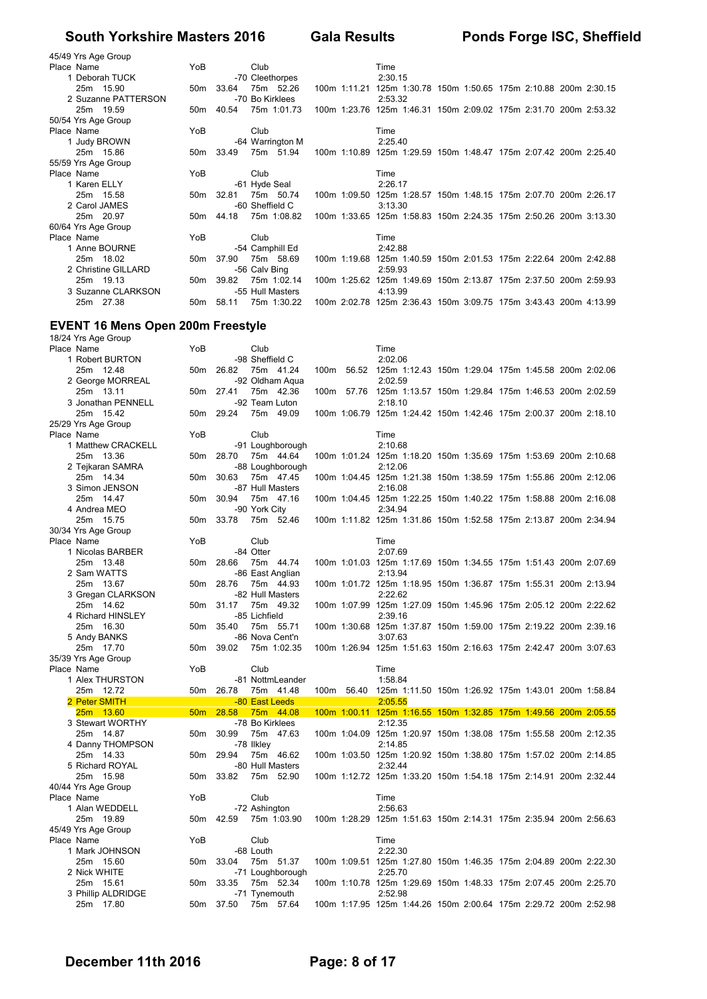| 45/49 Yrs Age Group |                 |           |               |                  |  |         |  |                                                                  |  |  |
|---------------------|-----------------|-----------|---------------|------------------|--|---------|--|------------------------------------------------------------------|--|--|
| Place Name          | YoB             |           | Club          |                  |  | Time    |  |                                                                  |  |  |
| 1 Deborah TUCK      |                 |           |               | -70 Cleethorpes  |  | 2:30.15 |  |                                                                  |  |  |
| 25m 15.90           | 50 <sub>m</sub> | 33.64     |               | 75m 52.26        |  |         |  | 100m 1:11.21 125m 1:30.78 150m 1:50.65 175m 2:10.88 200m 2:30.15 |  |  |
| 2 Suzanne PATTERSON |                 |           |               | -70 Bo Kirklees  |  | 2:53.32 |  |                                                                  |  |  |
| 25m 19.59           | 50m             | 40.54     |               | 75m 1:01.73      |  |         |  | 100m 1:23.76 125m 1:46.31 150m 2:09.02 175m 2:31.70 200m 2:53.32 |  |  |
| 50/54 Yrs Age Group |                 |           |               |                  |  |         |  |                                                                  |  |  |
| Place Name          | YoB             |           | Club          |                  |  | Time    |  |                                                                  |  |  |
| 1 Judy BROWN        |                 |           |               | -64 Warrington M |  | 2:25.40 |  |                                                                  |  |  |
| 25m 15.86           |                 | 50m 33.49 |               | 75m 51.94        |  |         |  | 100m 1:10.89 125m 1:29.59 150m 1:48.47 175m 2:07.42 200m 2:25.40 |  |  |
| 55/59 Yrs Age Group |                 |           |               |                  |  |         |  |                                                                  |  |  |
| Place Name          | YoB             |           | Club          |                  |  | Time    |  |                                                                  |  |  |
| 1 Karen ELLY        |                 |           |               | -61 Hyde Seal    |  | 2:26.17 |  |                                                                  |  |  |
| 25m 15.58           | 50m             | 32.81     |               | 75m 50.74        |  |         |  | 100m 1:09.50 125m 1:28.57 150m 1:48.15 175m 2:07.70 200m 2:26.17 |  |  |
| 2 Carol JAMES       |                 |           |               | -60 Sheffield C  |  | 3:13.30 |  |                                                                  |  |  |
| 25m 20.97           | 50 <sub>m</sub> | 44.18     |               | 75m 1:08.82      |  |         |  | 100m 1:33.65 125m 1:58.83 150m 2:24.35 175m 2:50.26 200m 3:13.30 |  |  |
| 60/64 Yrs Age Group |                 |           |               |                  |  |         |  |                                                                  |  |  |
| Place Name          | YoB             |           | Club          |                  |  | Time    |  |                                                                  |  |  |
| 1 Anne BOURNE       |                 |           |               | -54 Camphill Ed  |  | 2:42.88 |  |                                                                  |  |  |
| 25m 18.02           | 50 <sub>m</sub> | 37.90     |               | 75m 58.69        |  |         |  | 100m 1:19.68 125m 1:40.59 150m 2:01.53 175m 2:22.64 200m 2:42.88 |  |  |
| 2 Christine GILLARD |                 |           | -56 Calv Bing |                  |  | 2:59.93 |  |                                                                  |  |  |
| 25m 19.13           | 50m             | 39.82     |               | 75m 1:02.14      |  |         |  | 100m 1:25.62 125m 1:49.69 150m 2:13.87 175m 2:37.50 200m 2:59.93 |  |  |
| 3 Suzanne CLARKSON  |                 |           |               | -55 Hull Masters |  | 4:13.99 |  |                                                                  |  |  |
| 25m 27.38           |                 | 50m 58.11 |               | 75m 1:30.22      |  |         |  | 100m 2:02.78 125m 2:36.43 150m 3:09.75 175m 3:43.43 200m 4:13.99 |  |  |

## **EVENT 16 Mens Open 200m Freestyle**

| 18/24 Yrs Age Group           |                 |           |                 |                  |  |                                                                             |  |  |  |
|-------------------------------|-----------------|-----------|-----------------|------------------|--|-----------------------------------------------------------------------------|--|--|--|
| Place Name                    | YoB             |           | Club            |                  |  | Time                                                                        |  |  |  |
| 1 Robert BURTON               |                 |           | -98 Sheffield C |                  |  | 2:02.06                                                                     |  |  |  |
| 25m 12.48                     | 50m             | 26.82     |                 | 75m 41.24        |  | 100m 56.52 125m 1:12.43 150m 1:29.04 175m 1:45.58 200m 2:02.06              |  |  |  |
| 2 George MORREAL              |                 |           |                 | -92 Oldham Aqua  |  | 2:02.59                                                                     |  |  |  |
| 25m 13.11                     |                 | 50m 27.41 |                 | 75m 42.36        |  | 100m 57.76 125m 1:13.57 150m 1:29.84 175m 1:46.53 200m 2:02.59              |  |  |  |
| 3 Jonathan PENNELL            |                 |           |                 | -92 Team Luton   |  | 2:18.10                                                                     |  |  |  |
| 25m 15.42                     |                 | 50m 29.24 |                 | 75m 49.09        |  | 100m 1:06.79 125m 1:24.42 150m 1:42.46 175m 2:00.37 200m 2:18.10            |  |  |  |
| 25/29 Yrs Age Group           |                 |           |                 |                  |  |                                                                             |  |  |  |
| Place Name                    | YoB             |           | Club            |                  |  | Time                                                                        |  |  |  |
| 1 Matthew CRACKELL            |                 |           |                 | -91 Loughborough |  | 2:10.68                                                                     |  |  |  |
| 25m 13.36                     | 50 <sub>m</sub> | 28.70     |                 | 75m 44.64        |  | 100m 1:01.24 125m 1:18.20 150m 1:35.69 175m 1:53.69 200m 2:10.68            |  |  |  |
| 2 Tejkaran SAMRA              |                 |           |                 | -88 Loughborough |  | 2:12.06                                                                     |  |  |  |
| 25m 14.34                     | 50m             | 30.63     |                 | 75m 47.45        |  | 100m 1:04.45 125m 1:21.38 150m 1:38.59 175m 1:55.86 200m 2:12.06            |  |  |  |
| 3 Simon JENSON                |                 |           |                 | -87 Hull Masters |  | 2:16.08                                                                     |  |  |  |
| 25m 14.47                     |                 | 50m 30.94 |                 | 75m 47.16        |  | 100m 1:04.45 125m 1:22.25 150m 1:40.22 175m 1:58.88 200m 2:16.08            |  |  |  |
| 4 Andrea MEO                  |                 |           | -90 York City   |                  |  | 2:34.94                                                                     |  |  |  |
| 25m 15.75                     | 50 <sub>m</sub> | 33.78     |                 | 75m 52.46        |  | 100m 1:11.82 125m 1:31.86 150m 1:52.58 175m 2:13.87 200m 2:34.94            |  |  |  |
| 30/34 Yrs Age Group           |                 |           |                 |                  |  |                                                                             |  |  |  |
| Place Name                    | YoB             |           | Club            |                  |  | Time                                                                        |  |  |  |
| 1 Nicolas BARBER              |                 |           | -84 Otter       |                  |  | 2:07.69                                                                     |  |  |  |
| 25m 13.48                     | 50m             | 28.66     |                 | 75m 44.74        |  | 100m 1:01.03 125m 1:17.69 150m 1:34.55 175m 1:51.43 200m 2:07.69            |  |  |  |
| 2 Sam WATTS                   |                 |           |                 | -86 East Anglian |  | 2:13.94                                                                     |  |  |  |
| 25m 13.67                     |                 | 50m 28.76 |                 | 75m 44.93        |  | 100m 1:01.72 125m 1:18.95 150m 1:36.87 175m 1:55.31 200m 2:13.94            |  |  |  |
| 3 Gregan CLARKSON             |                 |           |                 | -82 Hull Masters |  | 2:22.62                                                                     |  |  |  |
| 25m 14.62                     |                 | 50m 31.17 |                 | 75m 49.32        |  | 100m 1:07.99 125m 1:27.09 150m 1:45.96 175m 2:05.12 200m 2:22.62            |  |  |  |
| 4 Richard HINSLEY             |                 |           | -85 Lichfield   |                  |  | 2:39.16                                                                     |  |  |  |
| 25m 16.30                     | 50 <sub>m</sub> | 35.40     |                 | 75m 55.71        |  | 100m 1:30.68 125m 1:37.87 150m 1:59.00 175m 2:19.22 200m 2:39.16            |  |  |  |
| 5 Andy BANKS                  |                 |           |                 | -86 Nova Cent'n  |  | 3:07.63                                                                     |  |  |  |
| 25m 17.70                     | 50m             | 39.02     |                 | 75m 1:02.35      |  | 100m 1:26.94 125m 1:51.63 150m 2:16.63 175m 2:42.47 200m 3:07.63            |  |  |  |
| 35/39 Yrs Age Group           |                 |           |                 |                  |  |                                                                             |  |  |  |
| Place Name                    | YoB             |           | Club            |                  |  | Time                                                                        |  |  |  |
| 1 Alex THURSTON               |                 |           |                 | -81 NottmLeander |  | 1:58.84                                                                     |  |  |  |
| 25m 12.72                     | 50 <sub>m</sub> | 26.78     |                 | 75m 41.48        |  | 100m 56.40 125m 1:11.50 150m 1:26.92 175m 1:43.01 200m 1:58.84              |  |  |  |
| 2 Peter SMITH                 |                 |           | -80 East Leeds  |                  |  | 2:05.55                                                                     |  |  |  |
| 25m 13.60                     |                 | 50m 28.58 |                 | 75m 44.08        |  | 100m 1:00.11 125m 1:16.55 150m 1:32.85 175m 1:49.56 200m 2:05.55            |  |  |  |
| 3 Stewart WORTHY              |                 |           |                 | -78 Bo Kirklees  |  | 2:12.35                                                                     |  |  |  |
| 25m 14.87                     | 50m             | 30.99     | -78 Ilkley      | 75m 47.63        |  | 100m 1:04.09 125m 1:20.97 150m 1:38.08 175m 1:55.58 200m 2:12.35<br>2:14.85 |  |  |  |
| 4 Danny THOMPSON<br>25m 14.33 |                 | 50m 29.94 |                 | 75m 46.62        |  |                                                                             |  |  |  |
| 5 Richard ROYAL               |                 |           |                 | -80 Hull Masters |  | 100m 1:03.50 125m 1:20.92 150m 1:38.80 175m 1:57.02 200m 2:14.85<br>2:32.44 |  |  |  |
| 25m 15.98                     | 50m             | 33.82     |                 | 75m 52.90        |  | 100m 1:12.72 125m 1:33.20 150m 1:54.18 175m 2:14.91 200m 2:32.44            |  |  |  |
| 40/44 Yrs Age Group           |                 |           |                 |                  |  |                                                                             |  |  |  |
| Place Name                    | YoB             |           | Club            |                  |  | Time                                                                        |  |  |  |
| 1 Alan WEDDELL                |                 |           | -72 Ashington   |                  |  | 2:56.63                                                                     |  |  |  |
| 25m 19.89                     |                 | 50m 42.59 |                 | 75m 1:03.90      |  | 100m 1:28.29 125m 1:51.63 150m 2:14.31 175m 2:35.94 200m 2:56.63            |  |  |  |
| 45/49 Yrs Age Group           |                 |           |                 |                  |  |                                                                             |  |  |  |
| Place Name                    | YoB             |           | Club            |                  |  | Time                                                                        |  |  |  |
| 1 Mark JOHNSON                |                 |           | -68 Louth       |                  |  | 2:22.30                                                                     |  |  |  |
| 25m 15.60                     | 50 <sub>m</sub> | 33.04     |                 | 75m 51.37        |  | 100m 1:09.51 125m 1:27.80 150m 1:46.35 175m 2:04.89 200m 2:22.30            |  |  |  |
| 2 Nick WHITE                  |                 |           |                 | -71 Loughborough |  | 2:25.70                                                                     |  |  |  |
| 25m 15.61                     | 50 <sub>m</sub> | 33.35     |                 | 75m 52.34        |  | 100m 1:10.78 125m 1:29.69 150m 1:48.33 175m 2:07.45 200m 2:25.70            |  |  |  |
| 3 Phillip ALDRIDGE            |                 |           |                 | -71 Tynemouth    |  | 2:52.98                                                                     |  |  |  |
| 25m 17.80                     |                 | 50m 37.50 |                 | 75m 57.64        |  | 100m 1:17.95 125m 1:44.26 150m 2:00.64 175m 2:29.72 200m 2:52.98            |  |  |  |
|                               |                 |           |                 |                  |  |                                                                             |  |  |  |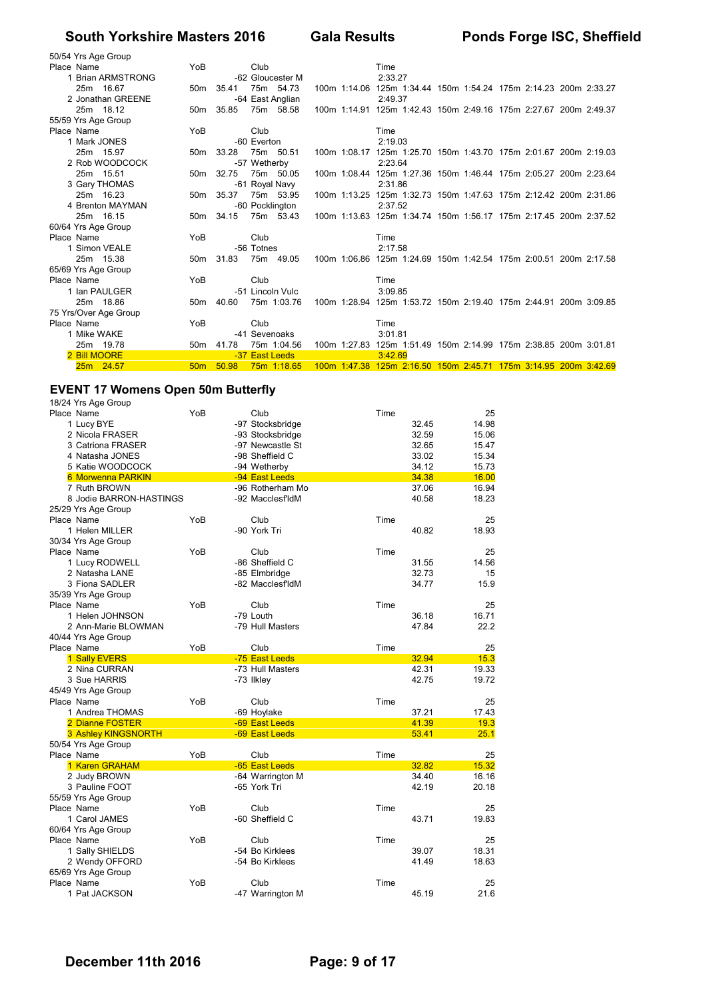| 50/54 Yrs Age Group   |                 |           |                |                  |  |                                                                  |  |  |  |
|-----------------------|-----------------|-----------|----------------|------------------|--|------------------------------------------------------------------|--|--|--|
| Place Name            | YoB             |           | Club           |                  |  | Time                                                             |  |  |  |
| 1 Brian ARMSTRONG     |                 |           |                | -62 Gloucester M |  | 2:33.27                                                          |  |  |  |
| 25m 16.67             |                 | 50m 35.41 |                | 75m 54.73        |  | 100m 1:14.06 125m 1:34.44 150m 1:54.24 175m 2:14.23 200m 2:33.27 |  |  |  |
| 2 Jonathan GREENE     |                 |           |                | -64 East Anglian |  | 2:49.37                                                          |  |  |  |
| 25m 18.12             |                 | 50m 35.85 |                | 75m 58.58        |  | 100m 1:14.91 125m 1:42.43 150m 2:49.16 175m 2:27.67 200m 2:49.37 |  |  |  |
| 55/59 Yrs Age Group   |                 |           |                |                  |  |                                                                  |  |  |  |
| Place Name            | YoB             |           | Club           |                  |  | Time                                                             |  |  |  |
| 1 Mark JONES          |                 |           | -60 Everton    |                  |  | 2:19.03                                                          |  |  |  |
| 25m 15.97             |                 | 50m 33.28 |                | 75m 50.51        |  | 100m 1:08.17 125m 1:25.70 150m 1:43.70 175m 2:01.67 200m 2:19.03 |  |  |  |
| 2 Rob WOODCOCK        |                 |           | -57 Wetherby   |                  |  | 2:23.64                                                          |  |  |  |
| 25m 15.51             | 50 <sub>m</sub> | 32.75     |                | 75m 50.05        |  | 100m 1:08.44 125m 1:27.36 150m 1:46.44 175m 2:05.27 200m 2:23.64 |  |  |  |
| 3 Gary THOMAS         |                 |           |                | -61 Royal Navy   |  | 2:31.86                                                          |  |  |  |
| 25m 16.23             |                 | 50m 35.37 |                | 75m 53.95        |  | 100m 1:13.25 125m 1:32.73 150m 1:47.63 175m 2:12.42 200m 2:31.86 |  |  |  |
| 4 Brenton MAYMAN      |                 |           |                | -60 Pocklington  |  | 2:37.52                                                          |  |  |  |
| 25m 16.15             |                 | 50m 34.15 |                | 75m 53.43        |  | 100m 1:13.63 125m 1:34.74 150m 1:56.17 175m 2:17.45 200m 2:37.52 |  |  |  |
| 60/64 Yrs Age Group   |                 |           |                |                  |  |                                                                  |  |  |  |
| Place Name            | YoB             |           | Club           |                  |  | Time                                                             |  |  |  |
| 1 Simon VEALE         |                 |           | -56 Totnes     |                  |  | 2:17.58                                                          |  |  |  |
| 25m 15.38             |                 | 50m 31.83 |                | 75m 49.05        |  | 100m 1:06.86 125m 1:24.69 150m 1:42.54 175m 2:00.51 200m 2:17.58 |  |  |  |
| 65/69 Yrs Age Group   |                 |           |                |                  |  |                                                                  |  |  |  |
| Place Name            | YoB             |           | Club           |                  |  | Time                                                             |  |  |  |
| 1 Ian PAULGER         |                 |           |                | -51 Lincoln Vulc |  | 3:09.85                                                          |  |  |  |
| 25m 18.86             |                 | 50m 40.60 |                | 75m 1:03.76      |  | 100m 1:28.94 125m 1:53.72 150m 2:19.40 175m 2:44.91 200m 3:09.85 |  |  |  |
| 75 Yrs/Over Age Group |                 |           |                |                  |  |                                                                  |  |  |  |
| Place Name            | YoB             |           | Club           |                  |  | Time                                                             |  |  |  |
| 1 Mike WAKE           |                 |           | -41 Sevenoaks  |                  |  | 3:01.81                                                          |  |  |  |
| 25m 19.78             | 50 <sub>m</sub> | 41.78     |                | 75m 1:04.56      |  | 100m 1:27.83 125m 1:51.49 150m 2:14.99 175m 2:38.85 200m 3:01.81 |  |  |  |
| 2 Bill MOORE          |                 |           | -37 East Leeds |                  |  | 3:42.69                                                          |  |  |  |
| 25m 24.57             | 50 <sub>m</sub> | 50.98     |                | 75m 1:18.65      |  | 100m 1:47.38 125m 2:16.50 150m 2:45.71 175m 3:14.95 200m 3:42.69 |  |  |  |

## **EVENT 17 Womens Open 50m Butterfly**

|            | 18/24 Yrs Age Group     |     |                  |      |       |       |
|------------|-------------------------|-----|------------------|------|-------|-------|
| Place Name |                         | YoB | Club             | Time |       | 25    |
|            | 1 Lucy BYE              |     | -97 Stocksbridge |      | 32.45 | 14.98 |
|            | 2 Nicola FRASER         |     | -93 Stocksbridge |      | 32.59 | 15.06 |
|            | 3 Catriona FRASER       |     | -97 Newcastle St |      | 32.65 | 15.47 |
|            | 4 Natasha JONES         |     | -98 Sheffield C  |      | 33.02 | 15.34 |
|            | 5 Katie WOODCOCK        |     | -94 Wetherby     |      | 34.12 | 15.73 |
|            | 6 Morwenna PARKIN       |     | -94 East Leeds   |      | 34.38 | 16.00 |
|            | 7 Ruth BROWN            |     | -96 Rotherham Mo |      | 37.06 | 16.94 |
|            | 8 Jodie BARRON-HASTINGS |     | -92 MacclesfldM  |      | 40.58 | 18.23 |
|            | 25/29 Yrs Age Group     |     |                  |      |       |       |
| Place Name |                         | YoB | Club             | Time |       | 25    |
|            | 1 Helen MILLER          |     | -90 York Tri     |      | 40.82 | 18.93 |
|            | 30/34 Yrs Age Group     |     |                  |      |       |       |
| Place Name |                         | YoB | Club             | Time |       | 25    |
|            | 1 Lucy RODWELL          |     | -86 Sheffield C  |      | 31.55 | 14.56 |
|            | 2 Natasha LANE          |     | -85 Elmbridge    |      | 32.73 | 15    |
|            | 3 Fiona SADLER          |     | -82 MacclesfldM  |      | 34.77 | 15.9  |
|            | 35/39 Yrs Age Group     |     |                  |      |       |       |
| Place Name |                         | YoB | Club             | Time |       | 25    |
|            | 1 Helen JOHNSON         |     | -79 Louth        |      | 36.18 | 16.71 |
|            | 2 Ann-Marie BLOWMAN     |     | -79 Hull Masters |      | 47.84 | 22.2  |
|            | 40/44 Yrs Age Group     |     |                  |      |       |       |
| Place Name |                         | YoB | Club             | Time |       | 25    |
|            | 1 Sally EVERS           |     | -75 East Leeds   |      | 32.94 | 15.3  |
|            | 2 Nina CURRAN           |     | -73 Hull Masters |      | 42.31 | 19.33 |
|            | 3 Sue HARRIS            |     | -73 Ilkley       |      | 42.75 | 19.72 |
|            | 45/49 Yrs Age Group     |     |                  |      |       |       |
| Place Name |                         | YoB | Club             | Time |       | 25    |
|            | 1 Andrea THOMAS         |     | -69 Hoylake      |      | 37.21 | 17.43 |
|            | 2 Dianne FOSTER         |     | -69 East Leeds   |      | 41.39 | 19.3  |
|            | 3 Ashley KINGSNORTH     |     | -69 East Leeds   |      | 53.41 | 25.1  |
|            | 50/54 Yrs Age Group     |     |                  |      |       |       |
| Place Name |                         | YoB | Club             | Time |       | 25    |
|            | 1 Karen GRAHAM          |     | -65 East Leeds   |      | 32.82 | 15.32 |
|            | 2 Judy BROWN            |     | -64 Warrington M |      | 34.40 | 16.16 |
|            | 3 Pauline FOOT          |     | -65 York Tri     |      | 42.19 | 20.18 |
|            | 55/59 Yrs Age Group     |     |                  |      |       |       |
| Place Name |                         | YoB | Club             | Time |       | 25    |
|            | 1 Carol JAMES           |     | -60 Sheffield C  |      | 43.71 | 19.83 |
|            | 60/64 Yrs Age Group     |     |                  |      |       |       |
| Place Name |                         | YoB | Club             | Time |       | 25    |
|            | 1 Sally SHIELDS         |     | -54 Bo Kirklees  |      | 39.07 | 18.31 |
|            | 2 Wendy OFFORD          |     | -54 Bo Kirklees  |      | 41.49 | 18.63 |
|            | 65/69 Yrs Age Group     |     |                  |      |       |       |
| Place Name |                         | YoB | Club             | Time |       | 25    |
|            | 1 Pat JACKSON           |     | -47 Warrington M |      | 45.19 | 21.6  |
|            |                         |     |                  |      |       |       |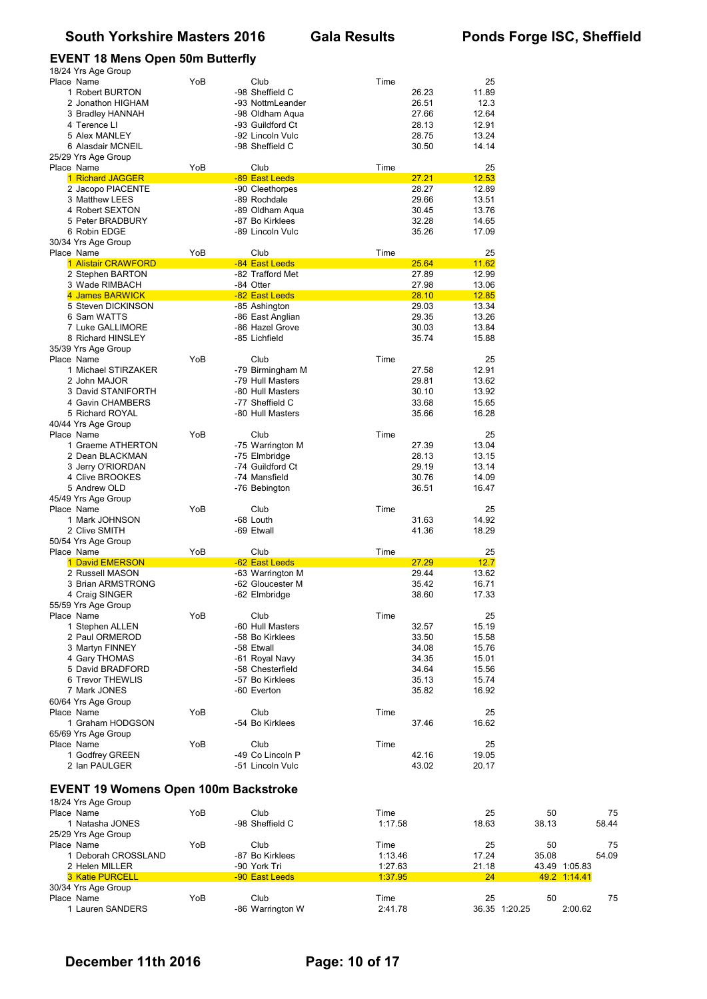#### **EVENT 18 Mens Open 50m Butterfly**

| 25<br>Place Name<br>YoB<br>Club<br>Time<br>-98 Sheffield C<br>11.89<br>1 Robert BURTON<br>26.23<br>2 Jonathon HIGHAM<br>-93 NottmLeander<br>26.51<br>12.3<br>27.66<br>12.64<br>3 Bradley HANNAH<br>-98 Oldham Aqua<br>4 Terence LI<br>-93 Guildford Ct<br>28.13<br>12.91<br>-92 Lincoln Vulc<br>28.75<br>13.24<br>5 Alex MANLEY<br>14.14<br>-98 Sheffield C<br>30.50<br>6 Alasdair MCNEIL<br>25/29 Yrs Age Group<br>YoB<br>Club<br>25<br>Place Name<br>Time<br>-89 East Leeds<br>27.21<br>12.53<br>1 Richard JAGGER<br>28.27<br>12.89<br>2 Jacopo PIACENTE<br>-90 Cleethorpes<br>29.66<br>-89 Rochdale<br>13.51<br>3 Matthew LEES<br>4 Robert SEXTON<br>-89 Oldham Aqua<br>30.45<br>13.76<br>5 Peter BRADBURY<br>-87 Bo Kirklees<br>32.28<br>14.65<br>35.26<br>6 Robin EDGE<br>-89 Lincoln Vulc<br>17.09<br>30/34 Yrs Age Group<br>YoB<br>Club<br>25<br>Place Name<br>Time<br>-84 East Leeds<br>25.64<br>11.62<br>1 Alistair CRAWFORD<br>27.89<br>2 Stephen BARTON<br>-82 Trafford Met<br>12.99<br>27.98<br>3 Wade RIMBACH<br>-84 Otter<br>13.06<br>-82 East Leeds<br>28.10<br>12.85<br>4 James BARWICK<br>29.03<br>5 Steven DICKINSON<br>-85 Ashington<br>13.34<br>6 Sam WATTS<br>-86 East Anglian<br>29.35<br>13.26<br>7 Luke GALLIMORE<br>-86 Hazel Grove<br>30.03<br>13.84<br>8 Richard HINSLEY<br>-85 Lichfield<br>35.74<br>15.88<br>35/39 Yrs Age Group<br>YoB<br>25<br>Place Name<br>Club<br>Time<br>1 Michael STIRZAKER<br>-79 Birmingham M<br>27.58<br>12.91<br>2 John MAJOR<br>-79 Hull Masters<br>29.81<br>13.62<br>3 David STANIFORTH<br>-80 Hull Masters<br>30.10<br>13.92<br>4 Gavin CHAMBERS<br>-77 Sheffield C<br>33.68<br>15.65<br>5 Richard ROYAL<br>-80 Hull Masters<br>35.66<br>16.28<br>40/44 Yrs Age Group<br>YoB<br>25<br>Place Name<br>Club<br>Time<br>1 Graeme ATHERTON<br>-75 Warrington M<br>27.39<br>13.04<br>2 Dean BLACKMAN<br>-75 Elmbridge<br>28.13<br>13.15<br>3 Jerry O'RIORDAN<br>-74 Guildford Ct<br>29.19<br>13.14<br>4 Clive BROOKES<br>-74 Mansfield<br>30.76<br>14.09<br>36.51<br>5 Andrew OLD<br>16.47<br>-76 Bebington<br>45/49 Yrs Age Group<br>YoB<br>25<br>Place Name<br>Club<br>Time<br>1 Mark JOHNSON<br>-68 Louth<br>31.63<br>14.92<br>2 Clive SMITH<br>-69 Etwall<br>41.36<br>18.29<br>50/54 Yrs Age Group<br>YoB<br>25<br>Place Name<br>Club<br>Time<br>12.7<br>1 David EMERSON<br>-62 East Leeds<br>27.29<br>2 Russell MASON<br>-63 Warrington M<br>29.44<br>13.62<br>3 Brian ARMSTRONG<br>35.42<br>16.71<br>-62 Gloucester M<br>38.60<br>4 Craig SINGER<br>-62 Elmbridge<br>17.33<br>55/59 Yrs Age Group<br>YoB<br>Club<br>25<br>Place Name<br>Time<br>-60 Hull Masters<br>15.19<br>1 Stephen ALLEN<br>32.57<br>2 Paul ORMEROD<br>-58 Bo Kirklees<br>33.50<br>15.58<br>3 Martyn FINNEY<br>-58 Etwall<br>34.08<br>15.76<br>4 Gary THOMAS<br>-61 Royal Navy<br>34.35<br>15.01<br>34.64<br>5 David BRADFORD<br>-58 Chesterfield<br>15.56<br>35.13<br>15.74<br>6 Trevor THEWLIS<br>-57 Bo Kirklees<br>35.82<br>7 Mark JONES<br>-60 Everton<br>16.92<br>60/64 Yrs Age Group<br>YoB<br>Club<br>25<br>Place Name<br>Time<br>1 Graham HODGSON<br>-54 Bo Kirklees<br>37.46<br>16.62<br>65/69 Yrs Age Group<br>Place Name<br>YoB<br>25<br>Club<br>Time<br>-49 Co Lincoln P<br>1 Godfrey GREEN<br>42.16<br>19.05<br>2 Ian PAULGER<br>-51 Lincoln Vulc<br>43.02<br>20.17<br><b>EVENT 19 Womens Open 100m Backstroke</b><br>18/24 Yrs Age Group<br>YoB<br>Club<br>Time<br>Place Name<br>25<br>50<br>-98 Sheffield C<br>1 Natasha JONES<br>1:17.58<br>18.63<br>38.13<br>25/29 Yrs Age Group<br>Place Name<br>YoB<br>Club<br>Time<br>25<br>50<br>-87 Bo Kirklees<br>1 Deborah CROSSLAND<br>1:13.46<br>17.24<br>35.08<br>2 Helen MILLER<br>-90 York Tri<br>1:27.63<br>21.18<br>43.49 1:05.83<br><b>3 Katie PURCELL</b><br>-90 East Leeds<br>1:37.95<br>24<br>49.2 1:14.41<br>30/34 Yrs Age Group<br>Place Name<br>YoB<br>Club<br>Time<br>25<br>50<br>36.35 1:20.25<br>-86 Warrington W | 18/24 Yrs Age Group |  |         |  |         |
|----------------------------------------------------------------------------------------------------------------------------------------------------------------------------------------------------------------------------------------------------------------------------------------------------------------------------------------------------------------------------------------------------------------------------------------------------------------------------------------------------------------------------------------------------------------------------------------------------------------------------------------------------------------------------------------------------------------------------------------------------------------------------------------------------------------------------------------------------------------------------------------------------------------------------------------------------------------------------------------------------------------------------------------------------------------------------------------------------------------------------------------------------------------------------------------------------------------------------------------------------------------------------------------------------------------------------------------------------------------------------------------------------------------------------------------------------------------------------------------------------------------------------------------------------------------------------------------------------------------------------------------------------------------------------------------------------------------------------------------------------------------------------------------------------------------------------------------------------------------------------------------------------------------------------------------------------------------------------------------------------------------------------------------------------------------------------------------------------------------------------------------------------------------------------------------------------------------------------------------------------------------------------------------------------------------------------------------------------------------------------------------------------------------------------------------------------------------------------------------------------------------------------------------------------------------------------------------------------------------------------------------------------------------------------------------------------------------------------------------------------------------------------------------------------------------------------------------------------------------------------------------------------------------------------------------------------------------------------------------------------------------------------------------------------------------------------------------------------------------------------------------------------------------------------------------------------------------------------------------------------------------------------------------------------------------------------------------------------------------------------------------------------------------------------------------------------------------------------------------------------------------------------------------------------------------------------------------------------------------------------------------------------------------------------------------------------------------------------------------------------------------------------------------------------------------------------------------------------------------------------------------------------------------------------|---------------------|--|---------|--|---------|
|                                                                                                                                                                                                                                                                                                                                                                                                                                                                                                                                                                                                                                                                                                                                                                                                                                                                                                                                                                                                                                                                                                                                                                                                                                                                                                                                                                                                                                                                                                                                                                                                                                                                                                                                                                                                                                                                                                                                                                                                                                                                                                                                                                                                                                                                                                                                                                                                                                                                                                                                                                                                                                                                                                                                                                                                                                                                                                                                                                                                                                                                                                                                                                                                                                                                                                                                                                                                                                                                                                                                                                                                                                                                                                                                                                                                                                                                                                                            |                     |  |         |  |         |
|                                                                                                                                                                                                                                                                                                                                                                                                                                                                                                                                                                                                                                                                                                                                                                                                                                                                                                                                                                                                                                                                                                                                                                                                                                                                                                                                                                                                                                                                                                                                                                                                                                                                                                                                                                                                                                                                                                                                                                                                                                                                                                                                                                                                                                                                                                                                                                                                                                                                                                                                                                                                                                                                                                                                                                                                                                                                                                                                                                                                                                                                                                                                                                                                                                                                                                                                                                                                                                                                                                                                                                                                                                                                                                                                                                                                                                                                                                                            |                     |  |         |  |         |
|                                                                                                                                                                                                                                                                                                                                                                                                                                                                                                                                                                                                                                                                                                                                                                                                                                                                                                                                                                                                                                                                                                                                                                                                                                                                                                                                                                                                                                                                                                                                                                                                                                                                                                                                                                                                                                                                                                                                                                                                                                                                                                                                                                                                                                                                                                                                                                                                                                                                                                                                                                                                                                                                                                                                                                                                                                                                                                                                                                                                                                                                                                                                                                                                                                                                                                                                                                                                                                                                                                                                                                                                                                                                                                                                                                                                                                                                                                                            |                     |  |         |  |         |
|                                                                                                                                                                                                                                                                                                                                                                                                                                                                                                                                                                                                                                                                                                                                                                                                                                                                                                                                                                                                                                                                                                                                                                                                                                                                                                                                                                                                                                                                                                                                                                                                                                                                                                                                                                                                                                                                                                                                                                                                                                                                                                                                                                                                                                                                                                                                                                                                                                                                                                                                                                                                                                                                                                                                                                                                                                                                                                                                                                                                                                                                                                                                                                                                                                                                                                                                                                                                                                                                                                                                                                                                                                                                                                                                                                                                                                                                                                                            |                     |  |         |  |         |
|                                                                                                                                                                                                                                                                                                                                                                                                                                                                                                                                                                                                                                                                                                                                                                                                                                                                                                                                                                                                                                                                                                                                                                                                                                                                                                                                                                                                                                                                                                                                                                                                                                                                                                                                                                                                                                                                                                                                                                                                                                                                                                                                                                                                                                                                                                                                                                                                                                                                                                                                                                                                                                                                                                                                                                                                                                                                                                                                                                                                                                                                                                                                                                                                                                                                                                                                                                                                                                                                                                                                                                                                                                                                                                                                                                                                                                                                                                                            |                     |  |         |  |         |
|                                                                                                                                                                                                                                                                                                                                                                                                                                                                                                                                                                                                                                                                                                                                                                                                                                                                                                                                                                                                                                                                                                                                                                                                                                                                                                                                                                                                                                                                                                                                                                                                                                                                                                                                                                                                                                                                                                                                                                                                                                                                                                                                                                                                                                                                                                                                                                                                                                                                                                                                                                                                                                                                                                                                                                                                                                                                                                                                                                                                                                                                                                                                                                                                                                                                                                                                                                                                                                                                                                                                                                                                                                                                                                                                                                                                                                                                                                                            |                     |  |         |  |         |
|                                                                                                                                                                                                                                                                                                                                                                                                                                                                                                                                                                                                                                                                                                                                                                                                                                                                                                                                                                                                                                                                                                                                                                                                                                                                                                                                                                                                                                                                                                                                                                                                                                                                                                                                                                                                                                                                                                                                                                                                                                                                                                                                                                                                                                                                                                                                                                                                                                                                                                                                                                                                                                                                                                                                                                                                                                                                                                                                                                                                                                                                                                                                                                                                                                                                                                                                                                                                                                                                                                                                                                                                                                                                                                                                                                                                                                                                                                                            |                     |  |         |  |         |
|                                                                                                                                                                                                                                                                                                                                                                                                                                                                                                                                                                                                                                                                                                                                                                                                                                                                                                                                                                                                                                                                                                                                                                                                                                                                                                                                                                                                                                                                                                                                                                                                                                                                                                                                                                                                                                                                                                                                                                                                                                                                                                                                                                                                                                                                                                                                                                                                                                                                                                                                                                                                                                                                                                                                                                                                                                                                                                                                                                                                                                                                                                                                                                                                                                                                                                                                                                                                                                                                                                                                                                                                                                                                                                                                                                                                                                                                                                                            |                     |  |         |  |         |
|                                                                                                                                                                                                                                                                                                                                                                                                                                                                                                                                                                                                                                                                                                                                                                                                                                                                                                                                                                                                                                                                                                                                                                                                                                                                                                                                                                                                                                                                                                                                                                                                                                                                                                                                                                                                                                                                                                                                                                                                                                                                                                                                                                                                                                                                                                                                                                                                                                                                                                                                                                                                                                                                                                                                                                                                                                                                                                                                                                                                                                                                                                                                                                                                                                                                                                                                                                                                                                                                                                                                                                                                                                                                                                                                                                                                                                                                                                                            |                     |  |         |  |         |
|                                                                                                                                                                                                                                                                                                                                                                                                                                                                                                                                                                                                                                                                                                                                                                                                                                                                                                                                                                                                                                                                                                                                                                                                                                                                                                                                                                                                                                                                                                                                                                                                                                                                                                                                                                                                                                                                                                                                                                                                                                                                                                                                                                                                                                                                                                                                                                                                                                                                                                                                                                                                                                                                                                                                                                                                                                                                                                                                                                                                                                                                                                                                                                                                                                                                                                                                                                                                                                                                                                                                                                                                                                                                                                                                                                                                                                                                                                                            |                     |  |         |  |         |
|                                                                                                                                                                                                                                                                                                                                                                                                                                                                                                                                                                                                                                                                                                                                                                                                                                                                                                                                                                                                                                                                                                                                                                                                                                                                                                                                                                                                                                                                                                                                                                                                                                                                                                                                                                                                                                                                                                                                                                                                                                                                                                                                                                                                                                                                                                                                                                                                                                                                                                                                                                                                                                                                                                                                                                                                                                                                                                                                                                                                                                                                                                                                                                                                                                                                                                                                                                                                                                                                                                                                                                                                                                                                                                                                                                                                                                                                                                                            |                     |  |         |  |         |
|                                                                                                                                                                                                                                                                                                                                                                                                                                                                                                                                                                                                                                                                                                                                                                                                                                                                                                                                                                                                                                                                                                                                                                                                                                                                                                                                                                                                                                                                                                                                                                                                                                                                                                                                                                                                                                                                                                                                                                                                                                                                                                                                                                                                                                                                                                                                                                                                                                                                                                                                                                                                                                                                                                                                                                                                                                                                                                                                                                                                                                                                                                                                                                                                                                                                                                                                                                                                                                                                                                                                                                                                                                                                                                                                                                                                                                                                                                                            |                     |  |         |  |         |
|                                                                                                                                                                                                                                                                                                                                                                                                                                                                                                                                                                                                                                                                                                                                                                                                                                                                                                                                                                                                                                                                                                                                                                                                                                                                                                                                                                                                                                                                                                                                                                                                                                                                                                                                                                                                                                                                                                                                                                                                                                                                                                                                                                                                                                                                                                                                                                                                                                                                                                                                                                                                                                                                                                                                                                                                                                                                                                                                                                                                                                                                                                                                                                                                                                                                                                                                                                                                                                                                                                                                                                                                                                                                                                                                                                                                                                                                                                                            |                     |  |         |  |         |
|                                                                                                                                                                                                                                                                                                                                                                                                                                                                                                                                                                                                                                                                                                                                                                                                                                                                                                                                                                                                                                                                                                                                                                                                                                                                                                                                                                                                                                                                                                                                                                                                                                                                                                                                                                                                                                                                                                                                                                                                                                                                                                                                                                                                                                                                                                                                                                                                                                                                                                                                                                                                                                                                                                                                                                                                                                                                                                                                                                                                                                                                                                                                                                                                                                                                                                                                                                                                                                                                                                                                                                                                                                                                                                                                                                                                                                                                                                                            |                     |  |         |  |         |
|                                                                                                                                                                                                                                                                                                                                                                                                                                                                                                                                                                                                                                                                                                                                                                                                                                                                                                                                                                                                                                                                                                                                                                                                                                                                                                                                                                                                                                                                                                                                                                                                                                                                                                                                                                                                                                                                                                                                                                                                                                                                                                                                                                                                                                                                                                                                                                                                                                                                                                                                                                                                                                                                                                                                                                                                                                                                                                                                                                                                                                                                                                                                                                                                                                                                                                                                                                                                                                                                                                                                                                                                                                                                                                                                                                                                                                                                                                                            |                     |  |         |  |         |
|                                                                                                                                                                                                                                                                                                                                                                                                                                                                                                                                                                                                                                                                                                                                                                                                                                                                                                                                                                                                                                                                                                                                                                                                                                                                                                                                                                                                                                                                                                                                                                                                                                                                                                                                                                                                                                                                                                                                                                                                                                                                                                                                                                                                                                                                                                                                                                                                                                                                                                                                                                                                                                                                                                                                                                                                                                                                                                                                                                                                                                                                                                                                                                                                                                                                                                                                                                                                                                                                                                                                                                                                                                                                                                                                                                                                                                                                                                                            |                     |  |         |  |         |
|                                                                                                                                                                                                                                                                                                                                                                                                                                                                                                                                                                                                                                                                                                                                                                                                                                                                                                                                                                                                                                                                                                                                                                                                                                                                                                                                                                                                                                                                                                                                                                                                                                                                                                                                                                                                                                                                                                                                                                                                                                                                                                                                                                                                                                                                                                                                                                                                                                                                                                                                                                                                                                                                                                                                                                                                                                                                                                                                                                                                                                                                                                                                                                                                                                                                                                                                                                                                                                                                                                                                                                                                                                                                                                                                                                                                                                                                                                                            |                     |  |         |  |         |
|                                                                                                                                                                                                                                                                                                                                                                                                                                                                                                                                                                                                                                                                                                                                                                                                                                                                                                                                                                                                                                                                                                                                                                                                                                                                                                                                                                                                                                                                                                                                                                                                                                                                                                                                                                                                                                                                                                                                                                                                                                                                                                                                                                                                                                                                                                                                                                                                                                                                                                                                                                                                                                                                                                                                                                                                                                                                                                                                                                                                                                                                                                                                                                                                                                                                                                                                                                                                                                                                                                                                                                                                                                                                                                                                                                                                                                                                                                                            |                     |  |         |  |         |
|                                                                                                                                                                                                                                                                                                                                                                                                                                                                                                                                                                                                                                                                                                                                                                                                                                                                                                                                                                                                                                                                                                                                                                                                                                                                                                                                                                                                                                                                                                                                                                                                                                                                                                                                                                                                                                                                                                                                                                                                                                                                                                                                                                                                                                                                                                                                                                                                                                                                                                                                                                                                                                                                                                                                                                                                                                                                                                                                                                                                                                                                                                                                                                                                                                                                                                                                                                                                                                                                                                                                                                                                                                                                                                                                                                                                                                                                                                                            |                     |  |         |  |         |
|                                                                                                                                                                                                                                                                                                                                                                                                                                                                                                                                                                                                                                                                                                                                                                                                                                                                                                                                                                                                                                                                                                                                                                                                                                                                                                                                                                                                                                                                                                                                                                                                                                                                                                                                                                                                                                                                                                                                                                                                                                                                                                                                                                                                                                                                                                                                                                                                                                                                                                                                                                                                                                                                                                                                                                                                                                                                                                                                                                                                                                                                                                                                                                                                                                                                                                                                                                                                                                                                                                                                                                                                                                                                                                                                                                                                                                                                                                                            |                     |  |         |  |         |
|                                                                                                                                                                                                                                                                                                                                                                                                                                                                                                                                                                                                                                                                                                                                                                                                                                                                                                                                                                                                                                                                                                                                                                                                                                                                                                                                                                                                                                                                                                                                                                                                                                                                                                                                                                                                                                                                                                                                                                                                                                                                                                                                                                                                                                                                                                                                                                                                                                                                                                                                                                                                                                                                                                                                                                                                                                                                                                                                                                                                                                                                                                                                                                                                                                                                                                                                                                                                                                                                                                                                                                                                                                                                                                                                                                                                                                                                                                                            |                     |  |         |  |         |
|                                                                                                                                                                                                                                                                                                                                                                                                                                                                                                                                                                                                                                                                                                                                                                                                                                                                                                                                                                                                                                                                                                                                                                                                                                                                                                                                                                                                                                                                                                                                                                                                                                                                                                                                                                                                                                                                                                                                                                                                                                                                                                                                                                                                                                                                                                                                                                                                                                                                                                                                                                                                                                                                                                                                                                                                                                                                                                                                                                                                                                                                                                                                                                                                                                                                                                                                                                                                                                                                                                                                                                                                                                                                                                                                                                                                                                                                                                                            |                     |  |         |  |         |
|                                                                                                                                                                                                                                                                                                                                                                                                                                                                                                                                                                                                                                                                                                                                                                                                                                                                                                                                                                                                                                                                                                                                                                                                                                                                                                                                                                                                                                                                                                                                                                                                                                                                                                                                                                                                                                                                                                                                                                                                                                                                                                                                                                                                                                                                                                                                                                                                                                                                                                                                                                                                                                                                                                                                                                                                                                                                                                                                                                                                                                                                                                                                                                                                                                                                                                                                                                                                                                                                                                                                                                                                                                                                                                                                                                                                                                                                                                                            |                     |  |         |  |         |
|                                                                                                                                                                                                                                                                                                                                                                                                                                                                                                                                                                                                                                                                                                                                                                                                                                                                                                                                                                                                                                                                                                                                                                                                                                                                                                                                                                                                                                                                                                                                                                                                                                                                                                                                                                                                                                                                                                                                                                                                                                                                                                                                                                                                                                                                                                                                                                                                                                                                                                                                                                                                                                                                                                                                                                                                                                                                                                                                                                                                                                                                                                                                                                                                                                                                                                                                                                                                                                                                                                                                                                                                                                                                                                                                                                                                                                                                                                                            |                     |  |         |  |         |
|                                                                                                                                                                                                                                                                                                                                                                                                                                                                                                                                                                                                                                                                                                                                                                                                                                                                                                                                                                                                                                                                                                                                                                                                                                                                                                                                                                                                                                                                                                                                                                                                                                                                                                                                                                                                                                                                                                                                                                                                                                                                                                                                                                                                                                                                                                                                                                                                                                                                                                                                                                                                                                                                                                                                                                                                                                                                                                                                                                                                                                                                                                                                                                                                                                                                                                                                                                                                                                                                                                                                                                                                                                                                                                                                                                                                                                                                                                                            |                     |  |         |  |         |
|                                                                                                                                                                                                                                                                                                                                                                                                                                                                                                                                                                                                                                                                                                                                                                                                                                                                                                                                                                                                                                                                                                                                                                                                                                                                                                                                                                                                                                                                                                                                                                                                                                                                                                                                                                                                                                                                                                                                                                                                                                                                                                                                                                                                                                                                                                                                                                                                                                                                                                                                                                                                                                                                                                                                                                                                                                                                                                                                                                                                                                                                                                                                                                                                                                                                                                                                                                                                                                                                                                                                                                                                                                                                                                                                                                                                                                                                                                                            |                     |  |         |  |         |
|                                                                                                                                                                                                                                                                                                                                                                                                                                                                                                                                                                                                                                                                                                                                                                                                                                                                                                                                                                                                                                                                                                                                                                                                                                                                                                                                                                                                                                                                                                                                                                                                                                                                                                                                                                                                                                                                                                                                                                                                                                                                                                                                                                                                                                                                                                                                                                                                                                                                                                                                                                                                                                                                                                                                                                                                                                                                                                                                                                                                                                                                                                                                                                                                                                                                                                                                                                                                                                                                                                                                                                                                                                                                                                                                                                                                                                                                                                                            |                     |  |         |  |         |
|                                                                                                                                                                                                                                                                                                                                                                                                                                                                                                                                                                                                                                                                                                                                                                                                                                                                                                                                                                                                                                                                                                                                                                                                                                                                                                                                                                                                                                                                                                                                                                                                                                                                                                                                                                                                                                                                                                                                                                                                                                                                                                                                                                                                                                                                                                                                                                                                                                                                                                                                                                                                                                                                                                                                                                                                                                                                                                                                                                                                                                                                                                                                                                                                                                                                                                                                                                                                                                                                                                                                                                                                                                                                                                                                                                                                                                                                                                                            |                     |  |         |  |         |
|                                                                                                                                                                                                                                                                                                                                                                                                                                                                                                                                                                                                                                                                                                                                                                                                                                                                                                                                                                                                                                                                                                                                                                                                                                                                                                                                                                                                                                                                                                                                                                                                                                                                                                                                                                                                                                                                                                                                                                                                                                                                                                                                                                                                                                                                                                                                                                                                                                                                                                                                                                                                                                                                                                                                                                                                                                                                                                                                                                                                                                                                                                                                                                                                                                                                                                                                                                                                                                                                                                                                                                                                                                                                                                                                                                                                                                                                                                                            |                     |  |         |  |         |
|                                                                                                                                                                                                                                                                                                                                                                                                                                                                                                                                                                                                                                                                                                                                                                                                                                                                                                                                                                                                                                                                                                                                                                                                                                                                                                                                                                                                                                                                                                                                                                                                                                                                                                                                                                                                                                                                                                                                                                                                                                                                                                                                                                                                                                                                                                                                                                                                                                                                                                                                                                                                                                                                                                                                                                                                                                                                                                                                                                                                                                                                                                                                                                                                                                                                                                                                                                                                                                                                                                                                                                                                                                                                                                                                                                                                                                                                                                                            |                     |  |         |  |         |
|                                                                                                                                                                                                                                                                                                                                                                                                                                                                                                                                                                                                                                                                                                                                                                                                                                                                                                                                                                                                                                                                                                                                                                                                                                                                                                                                                                                                                                                                                                                                                                                                                                                                                                                                                                                                                                                                                                                                                                                                                                                                                                                                                                                                                                                                                                                                                                                                                                                                                                                                                                                                                                                                                                                                                                                                                                                                                                                                                                                                                                                                                                                                                                                                                                                                                                                                                                                                                                                                                                                                                                                                                                                                                                                                                                                                                                                                                                                            |                     |  |         |  |         |
|                                                                                                                                                                                                                                                                                                                                                                                                                                                                                                                                                                                                                                                                                                                                                                                                                                                                                                                                                                                                                                                                                                                                                                                                                                                                                                                                                                                                                                                                                                                                                                                                                                                                                                                                                                                                                                                                                                                                                                                                                                                                                                                                                                                                                                                                                                                                                                                                                                                                                                                                                                                                                                                                                                                                                                                                                                                                                                                                                                                                                                                                                                                                                                                                                                                                                                                                                                                                                                                                                                                                                                                                                                                                                                                                                                                                                                                                                                                            |                     |  |         |  |         |
|                                                                                                                                                                                                                                                                                                                                                                                                                                                                                                                                                                                                                                                                                                                                                                                                                                                                                                                                                                                                                                                                                                                                                                                                                                                                                                                                                                                                                                                                                                                                                                                                                                                                                                                                                                                                                                                                                                                                                                                                                                                                                                                                                                                                                                                                                                                                                                                                                                                                                                                                                                                                                                                                                                                                                                                                                                                                                                                                                                                                                                                                                                                                                                                                                                                                                                                                                                                                                                                                                                                                                                                                                                                                                                                                                                                                                                                                                                                            |                     |  |         |  |         |
|                                                                                                                                                                                                                                                                                                                                                                                                                                                                                                                                                                                                                                                                                                                                                                                                                                                                                                                                                                                                                                                                                                                                                                                                                                                                                                                                                                                                                                                                                                                                                                                                                                                                                                                                                                                                                                                                                                                                                                                                                                                                                                                                                                                                                                                                                                                                                                                                                                                                                                                                                                                                                                                                                                                                                                                                                                                                                                                                                                                                                                                                                                                                                                                                                                                                                                                                                                                                                                                                                                                                                                                                                                                                                                                                                                                                                                                                                                                            |                     |  |         |  |         |
|                                                                                                                                                                                                                                                                                                                                                                                                                                                                                                                                                                                                                                                                                                                                                                                                                                                                                                                                                                                                                                                                                                                                                                                                                                                                                                                                                                                                                                                                                                                                                                                                                                                                                                                                                                                                                                                                                                                                                                                                                                                                                                                                                                                                                                                                                                                                                                                                                                                                                                                                                                                                                                                                                                                                                                                                                                                                                                                                                                                                                                                                                                                                                                                                                                                                                                                                                                                                                                                                                                                                                                                                                                                                                                                                                                                                                                                                                                                            |                     |  |         |  |         |
|                                                                                                                                                                                                                                                                                                                                                                                                                                                                                                                                                                                                                                                                                                                                                                                                                                                                                                                                                                                                                                                                                                                                                                                                                                                                                                                                                                                                                                                                                                                                                                                                                                                                                                                                                                                                                                                                                                                                                                                                                                                                                                                                                                                                                                                                                                                                                                                                                                                                                                                                                                                                                                                                                                                                                                                                                                                                                                                                                                                                                                                                                                                                                                                                                                                                                                                                                                                                                                                                                                                                                                                                                                                                                                                                                                                                                                                                                                                            |                     |  |         |  |         |
|                                                                                                                                                                                                                                                                                                                                                                                                                                                                                                                                                                                                                                                                                                                                                                                                                                                                                                                                                                                                                                                                                                                                                                                                                                                                                                                                                                                                                                                                                                                                                                                                                                                                                                                                                                                                                                                                                                                                                                                                                                                                                                                                                                                                                                                                                                                                                                                                                                                                                                                                                                                                                                                                                                                                                                                                                                                                                                                                                                                                                                                                                                                                                                                                                                                                                                                                                                                                                                                                                                                                                                                                                                                                                                                                                                                                                                                                                                                            |                     |  |         |  |         |
|                                                                                                                                                                                                                                                                                                                                                                                                                                                                                                                                                                                                                                                                                                                                                                                                                                                                                                                                                                                                                                                                                                                                                                                                                                                                                                                                                                                                                                                                                                                                                                                                                                                                                                                                                                                                                                                                                                                                                                                                                                                                                                                                                                                                                                                                                                                                                                                                                                                                                                                                                                                                                                                                                                                                                                                                                                                                                                                                                                                                                                                                                                                                                                                                                                                                                                                                                                                                                                                                                                                                                                                                                                                                                                                                                                                                                                                                                                                            |                     |  |         |  |         |
|                                                                                                                                                                                                                                                                                                                                                                                                                                                                                                                                                                                                                                                                                                                                                                                                                                                                                                                                                                                                                                                                                                                                                                                                                                                                                                                                                                                                                                                                                                                                                                                                                                                                                                                                                                                                                                                                                                                                                                                                                                                                                                                                                                                                                                                                                                                                                                                                                                                                                                                                                                                                                                                                                                                                                                                                                                                                                                                                                                                                                                                                                                                                                                                                                                                                                                                                                                                                                                                                                                                                                                                                                                                                                                                                                                                                                                                                                                                            |                     |  |         |  |         |
|                                                                                                                                                                                                                                                                                                                                                                                                                                                                                                                                                                                                                                                                                                                                                                                                                                                                                                                                                                                                                                                                                                                                                                                                                                                                                                                                                                                                                                                                                                                                                                                                                                                                                                                                                                                                                                                                                                                                                                                                                                                                                                                                                                                                                                                                                                                                                                                                                                                                                                                                                                                                                                                                                                                                                                                                                                                                                                                                                                                                                                                                                                                                                                                                                                                                                                                                                                                                                                                                                                                                                                                                                                                                                                                                                                                                                                                                                                                            |                     |  |         |  |         |
|                                                                                                                                                                                                                                                                                                                                                                                                                                                                                                                                                                                                                                                                                                                                                                                                                                                                                                                                                                                                                                                                                                                                                                                                                                                                                                                                                                                                                                                                                                                                                                                                                                                                                                                                                                                                                                                                                                                                                                                                                                                                                                                                                                                                                                                                                                                                                                                                                                                                                                                                                                                                                                                                                                                                                                                                                                                                                                                                                                                                                                                                                                                                                                                                                                                                                                                                                                                                                                                                                                                                                                                                                                                                                                                                                                                                                                                                                                                            |                     |  |         |  |         |
|                                                                                                                                                                                                                                                                                                                                                                                                                                                                                                                                                                                                                                                                                                                                                                                                                                                                                                                                                                                                                                                                                                                                                                                                                                                                                                                                                                                                                                                                                                                                                                                                                                                                                                                                                                                                                                                                                                                                                                                                                                                                                                                                                                                                                                                                                                                                                                                                                                                                                                                                                                                                                                                                                                                                                                                                                                                                                                                                                                                                                                                                                                                                                                                                                                                                                                                                                                                                                                                                                                                                                                                                                                                                                                                                                                                                                                                                                                                            |                     |  |         |  |         |
|                                                                                                                                                                                                                                                                                                                                                                                                                                                                                                                                                                                                                                                                                                                                                                                                                                                                                                                                                                                                                                                                                                                                                                                                                                                                                                                                                                                                                                                                                                                                                                                                                                                                                                                                                                                                                                                                                                                                                                                                                                                                                                                                                                                                                                                                                                                                                                                                                                                                                                                                                                                                                                                                                                                                                                                                                                                                                                                                                                                                                                                                                                                                                                                                                                                                                                                                                                                                                                                                                                                                                                                                                                                                                                                                                                                                                                                                                                                            |                     |  |         |  |         |
|                                                                                                                                                                                                                                                                                                                                                                                                                                                                                                                                                                                                                                                                                                                                                                                                                                                                                                                                                                                                                                                                                                                                                                                                                                                                                                                                                                                                                                                                                                                                                                                                                                                                                                                                                                                                                                                                                                                                                                                                                                                                                                                                                                                                                                                                                                                                                                                                                                                                                                                                                                                                                                                                                                                                                                                                                                                                                                                                                                                                                                                                                                                                                                                                                                                                                                                                                                                                                                                                                                                                                                                                                                                                                                                                                                                                                                                                                                                            |                     |  |         |  |         |
|                                                                                                                                                                                                                                                                                                                                                                                                                                                                                                                                                                                                                                                                                                                                                                                                                                                                                                                                                                                                                                                                                                                                                                                                                                                                                                                                                                                                                                                                                                                                                                                                                                                                                                                                                                                                                                                                                                                                                                                                                                                                                                                                                                                                                                                                                                                                                                                                                                                                                                                                                                                                                                                                                                                                                                                                                                                                                                                                                                                                                                                                                                                                                                                                                                                                                                                                                                                                                                                                                                                                                                                                                                                                                                                                                                                                                                                                                                                            |                     |  |         |  |         |
|                                                                                                                                                                                                                                                                                                                                                                                                                                                                                                                                                                                                                                                                                                                                                                                                                                                                                                                                                                                                                                                                                                                                                                                                                                                                                                                                                                                                                                                                                                                                                                                                                                                                                                                                                                                                                                                                                                                                                                                                                                                                                                                                                                                                                                                                                                                                                                                                                                                                                                                                                                                                                                                                                                                                                                                                                                                                                                                                                                                                                                                                                                                                                                                                                                                                                                                                                                                                                                                                                                                                                                                                                                                                                                                                                                                                                                                                                                                            |                     |  |         |  |         |
|                                                                                                                                                                                                                                                                                                                                                                                                                                                                                                                                                                                                                                                                                                                                                                                                                                                                                                                                                                                                                                                                                                                                                                                                                                                                                                                                                                                                                                                                                                                                                                                                                                                                                                                                                                                                                                                                                                                                                                                                                                                                                                                                                                                                                                                                                                                                                                                                                                                                                                                                                                                                                                                                                                                                                                                                                                                                                                                                                                                                                                                                                                                                                                                                                                                                                                                                                                                                                                                                                                                                                                                                                                                                                                                                                                                                                                                                                                                            |                     |  |         |  |         |
|                                                                                                                                                                                                                                                                                                                                                                                                                                                                                                                                                                                                                                                                                                                                                                                                                                                                                                                                                                                                                                                                                                                                                                                                                                                                                                                                                                                                                                                                                                                                                                                                                                                                                                                                                                                                                                                                                                                                                                                                                                                                                                                                                                                                                                                                                                                                                                                                                                                                                                                                                                                                                                                                                                                                                                                                                                                                                                                                                                                                                                                                                                                                                                                                                                                                                                                                                                                                                                                                                                                                                                                                                                                                                                                                                                                                                                                                                                                            |                     |  |         |  |         |
|                                                                                                                                                                                                                                                                                                                                                                                                                                                                                                                                                                                                                                                                                                                                                                                                                                                                                                                                                                                                                                                                                                                                                                                                                                                                                                                                                                                                                                                                                                                                                                                                                                                                                                                                                                                                                                                                                                                                                                                                                                                                                                                                                                                                                                                                                                                                                                                                                                                                                                                                                                                                                                                                                                                                                                                                                                                                                                                                                                                                                                                                                                                                                                                                                                                                                                                                                                                                                                                                                                                                                                                                                                                                                                                                                                                                                                                                                                                            |                     |  |         |  |         |
|                                                                                                                                                                                                                                                                                                                                                                                                                                                                                                                                                                                                                                                                                                                                                                                                                                                                                                                                                                                                                                                                                                                                                                                                                                                                                                                                                                                                                                                                                                                                                                                                                                                                                                                                                                                                                                                                                                                                                                                                                                                                                                                                                                                                                                                                                                                                                                                                                                                                                                                                                                                                                                                                                                                                                                                                                                                                                                                                                                                                                                                                                                                                                                                                                                                                                                                                                                                                                                                                                                                                                                                                                                                                                                                                                                                                                                                                                                                            |                     |  |         |  |         |
|                                                                                                                                                                                                                                                                                                                                                                                                                                                                                                                                                                                                                                                                                                                                                                                                                                                                                                                                                                                                                                                                                                                                                                                                                                                                                                                                                                                                                                                                                                                                                                                                                                                                                                                                                                                                                                                                                                                                                                                                                                                                                                                                                                                                                                                                                                                                                                                                                                                                                                                                                                                                                                                                                                                                                                                                                                                                                                                                                                                                                                                                                                                                                                                                                                                                                                                                                                                                                                                                                                                                                                                                                                                                                                                                                                                                                                                                                                                            |                     |  |         |  |         |
|                                                                                                                                                                                                                                                                                                                                                                                                                                                                                                                                                                                                                                                                                                                                                                                                                                                                                                                                                                                                                                                                                                                                                                                                                                                                                                                                                                                                                                                                                                                                                                                                                                                                                                                                                                                                                                                                                                                                                                                                                                                                                                                                                                                                                                                                                                                                                                                                                                                                                                                                                                                                                                                                                                                                                                                                                                                                                                                                                                                                                                                                                                                                                                                                                                                                                                                                                                                                                                                                                                                                                                                                                                                                                                                                                                                                                                                                                                                            |                     |  |         |  |         |
|                                                                                                                                                                                                                                                                                                                                                                                                                                                                                                                                                                                                                                                                                                                                                                                                                                                                                                                                                                                                                                                                                                                                                                                                                                                                                                                                                                                                                                                                                                                                                                                                                                                                                                                                                                                                                                                                                                                                                                                                                                                                                                                                                                                                                                                                                                                                                                                                                                                                                                                                                                                                                                                                                                                                                                                                                                                                                                                                                                                                                                                                                                                                                                                                                                                                                                                                                                                                                                                                                                                                                                                                                                                                                                                                                                                                                                                                                                                            |                     |  |         |  |         |
|                                                                                                                                                                                                                                                                                                                                                                                                                                                                                                                                                                                                                                                                                                                                                                                                                                                                                                                                                                                                                                                                                                                                                                                                                                                                                                                                                                                                                                                                                                                                                                                                                                                                                                                                                                                                                                                                                                                                                                                                                                                                                                                                                                                                                                                                                                                                                                                                                                                                                                                                                                                                                                                                                                                                                                                                                                                                                                                                                                                                                                                                                                                                                                                                                                                                                                                                                                                                                                                                                                                                                                                                                                                                                                                                                                                                                                                                                                                            |                     |  |         |  |         |
|                                                                                                                                                                                                                                                                                                                                                                                                                                                                                                                                                                                                                                                                                                                                                                                                                                                                                                                                                                                                                                                                                                                                                                                                                                                                                                                                                                                                                                                                                                                                                                                                                                                                                                                                                                                                                                                                                                                                                                                                                                                                                                                                                                                                                                                                                                                                                                                                                                                                                                                                                                                                                                                                                                                                                                                                                                                                                                                                                                                                                                                                                                                                                                                                                                                                                                                                                                                                                                                                                                                                                                                                                                                                                                                                                                                                                                                                                                                            |                     |  |         |  |         |
|                                                                                                                                                                                                                                                                                                                                                                                                                                                                                                                                                                                                                                                                                                                                                                                                                                                                                                                                                                                                                                                                                                                                                                                                                                                                                                                                                                                                                                                                                                                                                                                                                                                                                                                                                                                                                                                                                                                                                                                                                                                                                                                                                                                                                                                                                                                                                                                                                                                                                                                                                                                                                                                                                                                                                                                                                                                                                                                                                                                                                                                                                                                                                                                                                                                                                                                                                                                                                                                                                                                                                                                                                                                                                                                                                                                                                                                                                                                            |                     |  |         |  |         |
|                                                                                                                                                                                                                                                                                                                                                                                                                                                                                                                                                                                                                                                                                                                                                                                                                                                                                                                                                                                                                                                                                                                                                                                                                                                                                                                                                                                                                                                                                                                                                                                                                                                                                                                                                                                                                                                                                                                                                                                                                                                                                                                                                                                                                                                                                                                                                                                                                                                                                                                                                                                                                                                                                                                                                                                                                                                                                                                                                                                                                                                                                                                                                                                                                                                                                                                                                                                                                                                                                                                                                                                                                                                                                                                                                                                                                                                                                                                            |                     |  |         |  |         |
|                                                                                                                                                                                                                                                                                                                                                                                                                                                                                                                                                                                                                                                                                                                                                                                                                                                                                                                                                                                                                                                                                                                                                                                                                                                                                                                                                                                                                                                                                                                                                                                                                                                                                                                                                                                                                                                                                                                                                                                                                                                                                                                                                                                                                                                                                                                                                                                                                                                                                                                                                                                                                                                                                                                                                                                                                                                                                                                                                                                                                                                                                                                                                                                                                                                                                                                                                                                                                                                                                                                                                                                                                                                                                                                                                                                                                                                                                                                            |                     |  |         |  |         |
|                                                                                                                                                                                                                                                                                                                                                                                                                                                                                                                                                                                                                                                                                                                                                                                                                                                                                                                                                                                                                                                                                                                                                                                                                                                                                                                                                                                                                                                                                                                                                                                                                                                                                                                                                                                                                                                                                                                                                                                                                                                                                                                                                                                                                                                                                                                                                                                                                                                                                                                                                                                                                                                                                                                                                                                                                                                                                                                                                                                                                                                                                                                                                                                                                                                                                                                                                                                                                                                                                                                                                                                                                                                                                                                                                                                                                                                                                                                            |                     |  |         |  |         |
|                                                                                                                                                                                                                                                                                                                                                                                                                                                                                                                                                                                                                                                                                                                                                                                                                                                                                                                                                                                                                                                                                                                                                                                                                                                                                                                                                                                                                                                                                                                                                                                                                                                                                                                                                                                                                                                                                                                                                                                                                                                                                                                                                                                                                                                                                                                                                                                                                                                                                                                                                                                                                                                                                                                                                                                                                                                                                                                                                                                                                                                                                                                                                                                                                                                                                                                                                                                                                                                                                                                                                                                                                                                                                                                                                                                                                                                                                                                            |                     |  |         |  |         |
|                                                                                                                                                                                                                                                                                                                                                                                                                                                                                                                                                                                                                                                                                                                                                                                                                                                                                                                                                                                                                                                                                                                                                                                                                                                                                                                                                                                                                                                                                                                                                                                                                                                                                                                                                                                                                                                                                                                                                                                                                                                                                                                                                                                                                                                                                                                                                                                                                                                                                                                                                                                                                                                                                                                                                                                                                                                                                                                                                                                                                                                                                                                                                                                                                                                                                                                                                                                                                                                                                                                                                                                                                                                                                                                                                                                                                                                                                                                            |                     |  |         |  |         |
|                                                                                                                                                                                                                                                                                                                                                                                                                                                                                                                                                                                                                                                                                                                                                                                                                                                                                                                                                                                                                                                                                                                                                                                                                                                                                                                                                                                                                                                                                                                                                                                                                                                                                                                                                                                                                                                                                                                                                                                                                                                                                                                                                                                                                                                                                                                                                                                                                                                                                                                                                                                                                                                                                                                                                                                                                                                                                                                                                                                                                                                                                                                                                                                                                                                                                                                                                                                                                                                                                                                                                                                                                                                                                                                                                                                                                                                                                                                            |                     |  |         |  |         |
|                                                                                                                                                                                                                                                                                                                                                                                                                                                                                                                                                                                                                                                                                                                                                                                                                                                                                                                                                                                                                                                                                                                                                                                                                                                                                                                                                                                                                                                                                                                                                                                                                                                                                                                                                                                                                                                                                                                                                                                                                                                                                                                                                                                                                                                                                                                                                                                                                                                                                                                                                                                                                                                                                                                                                                                                                                                                                                                                                                                                                                                                                                                                                                                                                                                                                                                                                                                                                                                                                                                                                                                                                                                                                                                                                                                                                                                                                                                            |                     |  |         |  | 75      |
|                                                                                                                                                                                                                                                                                                                                                                                                                                                                                                                                                                                                                                                                                                                                                                                                                                                                                                                                                                                                                                                                                                                                                                                                                                                                                                                                                                                                                                                                                                                                                                                                                                                                                                                                                                                                                                                                                                                                                                                                                                                                                                                                                                                                                                                                                                                                                                                                                                                                                                                                                                                                                                                                                                                                                                                                                                                                                                                                                                                                                                                                                                                                                                                                                                                                                                                                                                                                                                                                                                                                                                                                                                                                                                                                                                                                                                                                                                                            |                     |  |         |  | 58.44   |
|                                                                                                                                                                                                                                                                                                                                                                                                                                                                                                                                                                                                                                                                                                                                                                                                                                                                                                                                                                                                                                                                                                                                                                                                                                                                                                                                                                                                                                                                                                                                                                                                                                                                                                                                                                                                                                                                                                                                                                                                                                                                                                                                                                                                                                                                                                                                                                                                                                                                                                                                                                                                                                                                                                                                                                                                                                                                                                                                                                                                                                                                                                                                                                                                                                                                                                                                                                                                                                                                                                                                                                                                                                                                                                                                                                                                                                                                                                                            |                     |  |         |  |         |
|                                                                                                                                                                                                                                                                                                                                                                                                                                                                                                                                                                                                                                                                                                                                                                                                                                                                                                                                                                                                                                                                                                                                                                                                                                                                                                                                                                                                                                                                                                                                                                                                                                                                                                                                                                                                                                                                                                                                                                                                                                                                                                                                                                                                                                                                                                                                                                                                                                                                                                                                                                                                                                                                                                                                                                                                                                                                                                                                                                                                                                                                                                                                                                                                                                                                                                                                                                                                                                                                                                                                                                                                                                                                                                                                                                                                                                                                                                                            |                     |  |         |  | 75      |
|                                                                                                                                                                                                                                                                                                                                                                                                                                                                                                                                                                                                                                                                                                                                                                                                                                                                                                                                                                                                                                                                                                                                                                                                                                                                                                                                                                                                                                                                                                                                                                                                                                                                                                                                                                                                                                                                                                                                                                                                                                                                                                                                                                                                                                                                                                                                                                                                                                                                                                                                                                                                                                                                                                                                                                                                                                                                                                                                                                                                                                                                                                                                                                                                                                                                                                                                                                                                                                                                                                                                                                                                                                                                                                                                                                                                                                                                                                                            |                     |  |         |  | 54.09   |
|                                                                                                                                                                                                                                                                                                                                                                                                                                                                                                                                                                                                                                                                                                                                                                                                                                                                                                                                                                                                                                                                                                                                                                                                                                                                                                                                                                                                                                                                                                                                                                                                                                                                                                                                                                                                                                                                                                                                                                                                                                                                                                                                                                                                                                                                                                                                                                                                                                                                                                                                                                                                                                                                                                                                                                                                                                                                                                                                                                                                                                                                                                                                                                                                                                                                                                                                                                                                                                                                                                                                                                                                                                                                                                                                                                                                                                                                                                                            |                     |  |         |  |         |
|                                                                                                                                                                                                                                                                                                                                                                                                                                                                                                                                                                                                                                                                                                                                                                                                                                                                                                                                                                                                                                                                                                                                                                                                                                                                                                                                                                                                                                                                                                                                                                                                                                                                                                                                                                                                                                                                                                                                                                                                                                                                                                                                                                                                                                                                                                                                                                                                                                                                                                                                                                                                                                                                                                                                                                                                                                                                                                                                                                                                                                                                                                                                                                                                                                                                                                                                                                                                                                                                                                                                                                                                                                                                                                                                                                                                                                                                                                                            |                     |  |         |  |         |
|                                                                                                                                                                                                                                                                                                                                                                                                                                                                                                                                                                                                                                                                                                                                                                                                                                                                                                                                                                                                                                                                                                                                                                                                                                                                                                                                                                                                                                                                                                                                                                                                                                                                                                                                                                                                                                                                                                                                                                                                                                                                                                                                                                                                                                                                                                                                                                                                                                                                                                                                                                                                                                                                                                                                                                                                                                                                                                                                                                                                                                                                                                                                                                                                                                                                                                                                                                                                                                                                                                                                                                                                                                                                                                                                                                                                                                                                                                                            |                     |  |         |  | 75      |
|                                                                                                                                                                                                                                                                                                                                                                                                                                                                                                                                                                                                                                                                                                                                                                                                                                                                                                                                                                                                                                                                                                                                                                                                                                                                                                                                                                                                                                                                                                                                                                                                                                                                                                                                                                                                                                                                                                                                                                                                                                                                                                                                                                                                                                                                                                                                                                                                                                                                                                                                                                                                                                                                                                                                                                                                                                                                                                                                                                                                                                                                                                                                                                                                                                                                                                                                                                                                                                                                                                                                                                                                                                                                                                                                                                                                                                                                                                                            | 1 Lauren SANDERS    |  | 2:41.78 |  | 2:00.62 |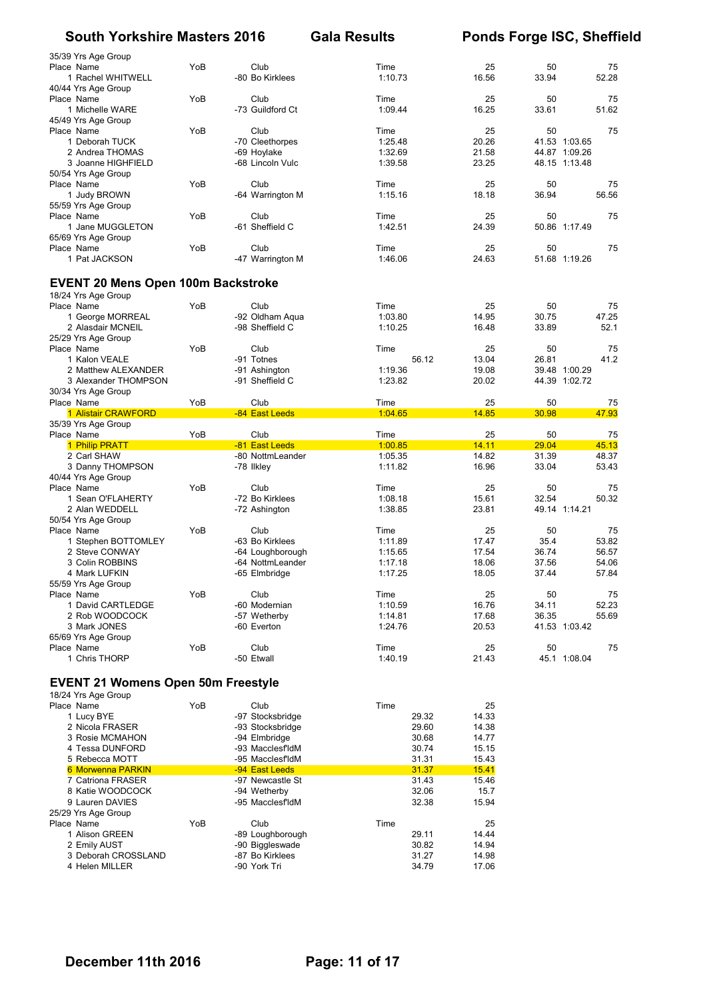| 35/39 Yrs Age Group                       |     |                                     |                    |                |                        |               |
|-------------------------------------------|-----|-------------------------------------|--------------------|----------------|------------------------|---------------|
| Place Name                                | YoB | Club                                | Time               | 25             | 50                     | 75            |
| 1 Rachel WHITWELL                         |     | -80 Bo Kirklees                     | 1:10.73            | 16.56          | 33.94                  | 52.28         |
| 40/44 Yrs Age Group                       |     |                                     |                    |                |                        |               |
| Place Name                                | YoB | Club                                | Time               | 25             | 50                     | 75            |
| 1 Michelle WARE                           |     | -73 Guildford Ct                    | 1:09.44            | 16.25          | 33.61                  | 51.62         |
| 45/49 Yrs Age Group                       | YoB | Club                                | Time               | 25             | 50                     | 75            |
| Place Name<br>1 Deborah TUCK              |     | -70 Cleethorpes                     | 1:25.48            | 20.26          | 41.53 1:03.65          |               |
| 2 Andrea THOMAS                           |     | -69 Hoylake                         | 1:32.69            | 21.58          | 44.87 1:09.26          |               |
| 3 Joanne HIGHFIELD                        |     | -68 Lincoln Vulc                    | 1:39.58            | 23.25          | 48.15 1:13.48          |               |
| 50/54 Yrs Age Group                       |     |                                     |                    |                |                        |               |
| Place Name                                | YoB | Club                                | Time               | 25             | 50                     | 75            |
| 1 Judy BROWN                              |     | -64 Warrington M                    | 1:15.16            | 18.18          | 36.94                  | 56.56         |
| 55/59 Yrs Age Group                       |     |                                     |                    |                |                        |               |
| Place Name                                | YoB | Club                                | Time               | 25             | 50                     | 75            |
| 1 Jane MUGGLETON                          |     | -61 Sheffield C                     | 1:42.51            | 24.39          | 50.86 1:17.49          |               |
| 65/69 Yrs Age Group                       |     |                                     |                    |                |                        |               |
| Place Name<br>1 Pat JACKSON               | YoB | Club                                | Time<br>1:46.06    | 25<br>24.63    | 50<br>51.68 1:19.26    | 75            |
|                                           |     | -47 Warrington M                    |                    |                |                        |               |
|                                           |     |                                     |                    |                |                        |               |
| <b>EVENT 20 Mens Open 100m Backstroke</b> |     |                                     |                    |                |                        |               |
| 18/24 Yrs Age Group                       |     |                                     |                    |                |                        |               |
| Place Name                                | YoB | Club                                | Time               | 25             | 50<br>30.75            | 75            |
| 1 George MORREAL<br>2 Alasdair MCNEIL     |     | -92 Oldham Aqua<br>-98 Sheffield C  | 1:03.80<br>1:10.25 | 14.95<br>16.48 | 33.89                  | 47.25<br>52.1 |
| 25/29 Yrs Age Group                       |     |                                     |                    |                |                        |               |
| Place Name                                | YoB | Club                                | Time               | 25             | 50                     | 75            |
| 1 Kalon VEALE                             |     | -91 Totnes                          | 56.12              | 13.04          | 26.81                  | 41.2          |
| 2 Matthew ALEXANDER                       |     | -91 Ashington                       | 1:19.36            | 19.08          | 39.48 1:00.29          |               |
| 3 Alexander THOMPSON                      |     | -91 Sheffield C                     | 1:23.82            | 20.02          | 44.39 1:02.72          |               |
| 30/34 Yrs Age Group                       |     |                                     |                    |                |                        |               |
| Place Name                                | YoB | Club                                | Time               | 25             | 50                     | 75            |
| 1 Alistair CRAWFORD                       |     | -84 East Leeds                      | 1:04.65            | 14.85          | 30.98                  | 47.93         |
| 35/39 Yrs Age Group                       |     |                                     |                    |                |                        |               |
| Place Name                                | YoB | Club                                | Time               | 25             | 50                     | 75            |
| 1 Philip PRATT                            |     | -81 East Leeds                      | 1:00.85            | 14.11          | 29.04                  | 45.13         |
|                                           |     |                                     |                    |                |                        |               |
| 2 Carl SHAW                               |     | -80 NottmLeander                    | 1:05.35            | 14.82          | 31.39                  | 48.37         |
| 3 Danny THOMPSON                          |     | -78 Ilkley                          | 1:11.82            | 16.96          | 33.04                  | 53.43         |
| 40/44 Yrs Age Group                       |     |                                     |                    |                |                        |               |
| Place Name                                | YoB | Club                                | Time               | 25             | 50                     | 75            |
| 1 Sean O'FLAHERTY<br>2 Alan WEDDELL       |     | -72 Bo Kirklees                     | 1:08.18            | 15.61          | 32.54<br>49.14 1:14.21 | 50.32         |
| 50/54 Yrs Age Group                       |     | -72 Ashington                       | 1:38.85            | 23.81          |                        |               |
| Place Name                                | YoB | Club                                | Time               | 25             | 50                     | 75            |
| 1 Stephen BOTTOMLEY                       |     | -63 Bo Kirklees                     | 1:11.89            | 17.47          | 35.4                   | 53.82         |
| 2 Steve CONWAY                            |     | -64 Loughborough                    | 1:15.65            | 17.54          | 36.74                  | 56.57         |
| 3 Colin ROBBINS                           |     | -64 NottmLeander                    | 1:17.18            | 18.06          | 37.56                  | 54.06         |
| 4 Mark LUFKIN                             |     | -65 Elmbridge                       | 1:17.25            | 18.05          | 37.44                  | 57.84         |
| 55/59 Yrs Age Group                       |     |                                     |                    |                |                        |               |
| Place Name                                | YoB | Club                                | Time               | 25             | 50                     | 75            |
| 1 David CARTLEDGE                         |     | -60 Modernian                       | 1:10.59            | 16.76          | 34.11                  | 52.23         |
| 2 Rob WOODCOCK                            |     | -57 Wetherby                        | 1:14.81            | 17.68          | 36.35                  | 55.69         |
| 3 Mark JONES                              |     | -60 Everton                         | 1:24.76            | 20.53          | 41.53 1:03.42          |               |
| 65/69 Yrs Age Group<br>Place Name         | YoB | Club                                | Time               | 25             | 50                     | 75            |
| 1 Chris THORP                             |     |                                     | 1:40.19            | 21.43          | 45.1 1:08.04           |               |
|                                           |     | -50 Etwall                          |                    |                |                        |               |
|                                           |     |                                     |                    |                |                        |               |
| <b>EVENT 21 Womens Open 50m Freestyle</b> |     |                                     |                    |                |                        |               |
| 18/24 Yrs Age Group<br>Place Name         | YoB | Club                                | Time               | 25             |                        |               |
| 1 Lucy BYE                                |     | -97 Stocksbridge                    | 29.32              | 14.33          |                        |               |
| 2 Nicola FRASER                           |     | -93 Stocksbridge                    | 29.60              | 14.38          |                        |               |
| 3 Rosie MCMAHON                           |     | -94 Elmbridge                       | 30.68              | 14.77          |                        |               |
| 4 Tessa DUNFORD                           |     | -93 MacclesfldM                     | 30.74              | 15.15          |                        |               |
| 5 Rebecca MOTT                            |     | -95 MacclesfldM                     | 31.31              | 15.43          |                        |               |
| 6 Morwenna PARKIN                         |     | -94 East Leeds                      | 31.37              | 15.41          |                        |               |
| 7 Catriona FRASER                         |     | -97 Newcastle St                    | 31.43              | 15.46          |                        |               |
| 8 Katie WOODCOCK                          |     | -94 Wetherby                        | 32.06              | 15.7           |                        |               |
| 9 Lauren DAVIES                           |     | -95 MacclesfldM                     | 32.38              | 15.94          |                        |               |
| 25/29 Yrs Age Group                       |     |                                     |                    |                |                        |               |
| Place Name<br>1 Alison GREEN              | YoB | Club                                | Time<br>29.11      | 25<br>14.44    |                        |               |
| 2 Emily AUST                              |     | -89 Loughborough<br>-90 Biggleswade | 30.82              | 14.94          |                        |               |
| 3 Deborah CROSSLAND                       |     | -87 Bo Kirklees                     | 31.27              | 14.98          |                        |               |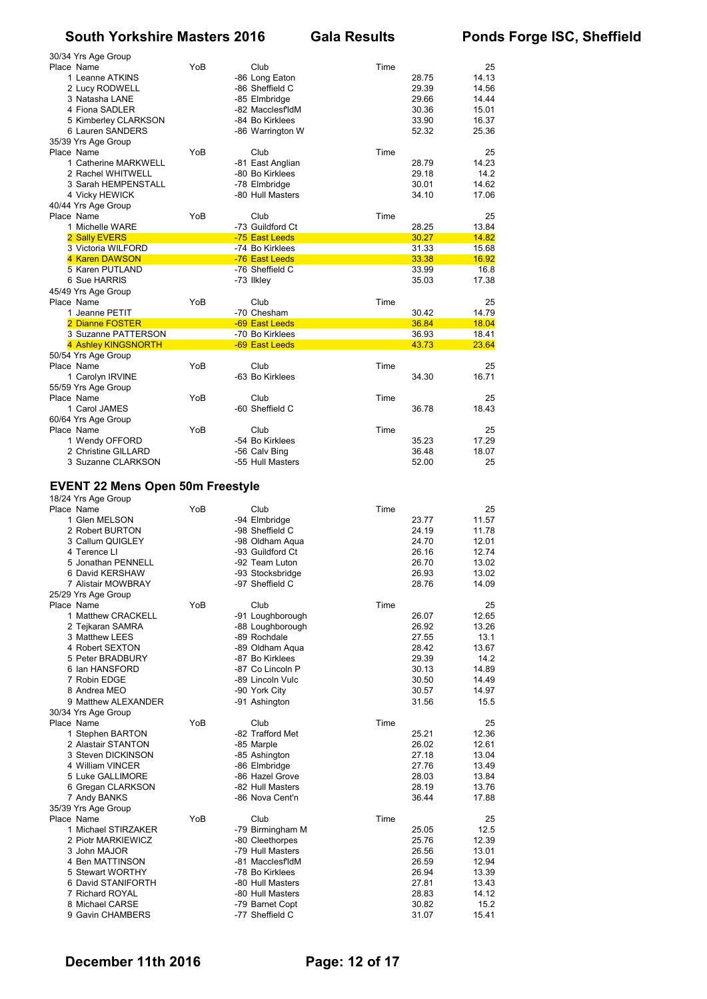| 30/34 Yrs Age Group<br>Place Name                              | YoB | Club                                | Time |                | 25             |
|----------------------------------------------------------------|-----|-------------------------------------|------|----------------|----------------|
| 1 Leanne ATKINS<br>2 Lucy RODWELL                              |     | -86 Long Eaton<br>-86 Sheffield C   |      | 28.75<br>29.39 | 14.13<br>14.56 |
| 3 Natasha LANE                                                 |     | -85 Elmbridge                       |      | 29.66          | 14.44          |
| 4 Fiona SADLER                                                 |     | -82 MacclesfldM                     |      | 30.36          | 15.01          |
| 5 Kimberley CLARKSON                                           |     | -84 Bo Kirklees                     |      | 33.90          | 16.37          |
| 6 Lauren SANDERS<br>35/39 Yrs Age Group                        |     | -86 Warrington W                    |      | 52.32          | 25.36          |
| Place Name                                                     | YoB | Club                                | Time |                | 25             |
| 1 Catherine MARKWELL                                           |     | -81 East Anglian                    |      | 28.79          | 14.23          |
| 2 Rachel WHITWELL                                              |     | -80 Bo Kirklees                     |      | 29.18          | 14.2           |
| 3 Sarah HEMPENSTALL<br>4 Vicky HEWICK                          |     | -78 Elmbridge<br>-80 Hull Masters   |      | 30.01<br>34.10 | 14.62<br>17.06 |
| 40/44 Yrs Age Group                                            |     |                                     |      |                |                |
| Place Name                                                     | YoB | Club                                | Time |                | 25             |
| 1 Michelle WARE<br>2 Sally EVERS                               |     | -73 Guildford Ct<br>-75 East Leeds  |      | 28.25<br>30.27 | 13.84<br>14.82 |
| 3 Victoria WILFORD                                             |     | -74 Bo Kirklees                     |      | 31.33          | 15.68          |
| 4 Karen DAWSON                                                 |     | -76 East Leeds                      |      | 33.38          | 16.92          |
| 5 Karen PUTLAND                                                |     | -76 Sheffield C                     |      | 33.99          | 16.8<br>17.38  |
| 6 Sue HARRIS<br>45/49 Yrs Age Group                            |     | -73 Ilkley                          |      | 35.03          |                |
| Place Name                                                     | YoB | Club                                | Time |                | 25             |
| 1 Jeanne PETIT                                                 |     | -70 Chesham                         |      | 30.42          | 14.79          |
| 2 Dianne FOSTER<br>3 Suzanne PATTERSON                         |     | -69 East Leeds<br>-70 Bo Kirklees   |      | 36.84          | 18.04<br>18.41 |
| 4 Ashley KINGSNORTH                                            |     | -69 East Leeds                      |      | 36.93<br>43.73 | 23.64          |
| 50/54 Yrs Age Group                                            |     |                                     |      |                |                |
| Place Name                                                     | YoB | Club                                | Time |                | 25             |
| 1 Carolyn IRVINE<br>55/59 Yrs Age Group                        |     | -63 Bo Kirklees                     |      | 34.30          | 16.71          |
| Place Name                                                     | YoB | Club                                | Time |                | 25             |
| 1 Carol JAMES                                                  |     | -60 Sheffield C                     |      | 36.78          | 18.43          |
| 60/64 Yrs Age Group                                            |     |                                     |      |                |                |
| Place Name<br>1 Wendy OFFORD                                   | YoB | Club<br>-54 Bo Kirklees             | Time | 35.23          | 25<br>17.29    |
| 2 Christine GILLARD                                            |     | -56 Calv Bing                       |      | 36.48          | 18.07          |
| 3 Suzanne CLARKSON                                             |     | -55 Hull Masters                    |      | 52.00          | 25             |
|                                                                |     |                                     |      |                |                |
| <b>EVENT 22 Mens Open 50m Freestyle</b><br>18/24 Yrs Age Group |     |                                     |      |                |                |
| Place Name                                                     | YoB | Club                                | Time |                | 25             |
| 1 Glen MELSON                                                  |     | -94 Elmbridge                       |      | 23.77          | 11.57          |
| 2 Robert BURTON                                                |     | -98 Sheffield C                     |      | 24.19          | 11.78          |
| 3 Callum QUIGLEY<br>4 Terence LI                               |     | -98 Oldham Aqua                     |      | 24.70<br>26.16 | 12.01<br>12.74 |
|                                                                |     |                                     |      |                | 13.02          |
| 5 Jonathan PENNELL                                             |     | -93 Guildford Ct<br>-92 Team Luton  |      | 26.70          |                |
| 6 David KERSHAW                                                |     | -93 Stocksbridge                    |      | 26.93          | 13.02          |
| 7 Alistair MOWBRAY                                             |     | -97 Sheffield C                     |      | 28.76          | 14.09          |
| 25/29 Yrs Age Group                                            |     |                                     |      |                |                |
| Place Name<br>1 Matthew CRACKELL                               | YoB | Club<br>-91 Loughborough            | Time | 26.07          | 25<br>12.65    |
| 2 Tejkaran SAMRA                                               |     | -88 Loughborough                    |      | 26.92          | 13.26          |
| 3 Matthew LEES                                                 |     | -89 Rochdale                        |      | 27.55          | 13.1           |
| 4 Robert SEXTON                                                |     | -89 Oldham Aqua                     |      | 28.42          | 13.67          |
| 5 Peter BRADBURY<br>6 Ian HANSFORD                             |     | -87 Bo Kirklees<br>-87 Co Lincoln P |      | 29.39<br>30.13 | 14.2<br>14.89  |
| 7 Robin EDGE                                                   |     | -89 Lincoln Vulc                    |      | 30.50          | 14.49          |
| 8 Andrea MEO                                                   |     | -90 York City                       |      | 30.57          | 14.97          |
| 9 Matthew ALEXANDER<br>30/34 Yrs Age Group                     |     | -91 Ashington                       |      | 31.56          | 15.5           |
| Place Name                                                     | YoB | Club                                | Time |                | 25             |
| 1 Stephen BARTON                                               |     | -82 Trafford Met                    |      | 25.21          | 12.36          |
| 2 Alastair STANTON                                             |     | -85 Marple                          |      | 26.02          | 12.61          |
| 3 Steven DICKINSON<br>4 William VINCER                         |     | -85 Ashington<br>-86 Elmbridge      |      | 27.18<br>27.76 | 13.04<br>13.49 |
| 5 Luke GALLIMORE                                               |     | -86 Hazel Grove                     |      | 28.03          | 13.84          |
| 6 Gregan CLARKSON                                              |     | -82 Hull Masters                    |      | 28.19          | 13.76          |
| 7 Andy BANKS                                                   |     | -86 Nova Cent'n                     |      | 36.44          | 17.88          |
| 35/39 Yrs Age Group<br>Place Name                              | YoB | Club                                | Time |                | 25             |
| 1 Michael STIRZAKER                                            |     | -79 Birmingham M                    |      | 25.05          | 12.5           |
| 2 Piotr MARKIEWICZ                                             |     | -80 Cleethorpes                     |      | 25.76          | 12.39          |
| 3 John MAJOR<br>4 Ben MATTINSON                                |     | -79 Hull Masters<br>-81 MacclesfldM |      | 26.56<br>26.59 | 13.01<br>12.94 |
| 5 Stewart WORTHY                                               |     | -78 Bo Kirklees                     |      | 26.94          | 13.39          |
| 6 David STANIFORTH                                             |     | -80 Hull Masters                    |      | 27.81          | 13.43          |
| 7 Richard ROYAL<br>8 Michael CARSE                             |     | -80 Hull Masters<br>-79 Barnet Copt |      | 28.83<br>30.82 | 14.12<br>15.2  |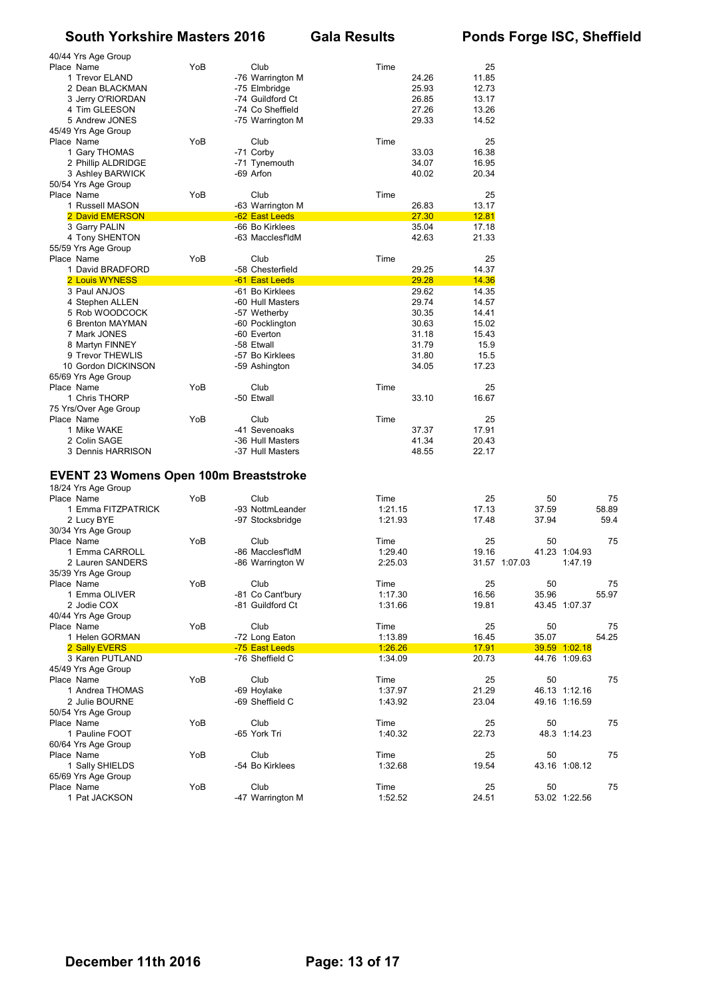| 40/44 Yrs Age Group<br>Place Name<br>1 Trevor ELAND<br>2 Dean BLACKMAN<br>3 Jerry O'RIORDAN<br>4 Tim GLEESON<br>5 Andrew JONES | YoB | Club<br>-76 Warrington M<br>-75 Elmbridge<br>-74 Guildford Ct<br>-74 Co Sheffield<br>-75 Warrington M | Time<br>24.26<br>25.93<br>26.85<br>27.26<br>29.33  | 25<br>11.85<br>12.73<br>13.17<br>13.26<br>14.52   |                      |                                                 |                     |
|--------------------------------------------------------------------------------------------------------------------------------|-----|-------------------------------------------------------------------------------------------------------|----------------------------------------------------|---------------------------------------------------|----------------------|-------------------------------------------------|---------------------|
| 45/49 Yrs Age Group<br>Place Name<br>1 Gary THOMAS<br>2 Phillip ALDRIDGE<br>3 Ashley BARWICK                                   | YoB | Club<br>-71 Corby<br>-71 Tynemouth<br>-69 Arfon                                                       | Time<br>33.03<br>34.07<br>40.02                    | 25<br>16.38<br>16.95<br>20.34                     |                      |                                                 |                     |
| 50/54 Yrs Age Group<br>Place Name<br>1 Russell MASON<br>2 David EMERSON                                                        | YoB | Club<br>-63 Warrington M<br>-62 East Leeds                                                            | Time<br>26.83<br>27.30                             | 25<br>13.17<br>12.81                              |                      |                                                 |                     |
| 3 Garry PALIN<br>4 Tony SHENTON<br>55/59 Yrs Age Group                                                                         |     | -66 Bo Kirklees<br>-63 MacclesfldM                                                                    | 35.04<br>42.63                                     | 17.18<br>21.33                                    |                      |                                                 |                     |
| Place Name<br>1 David BRADFORD<br>2 Louis WYNESS                                                                               | YoB | Club<br>-58 Chesterfield<br>-61 East Leeds                                                            | Time<br>29.25<br>29.28                             | 25<br>14.37<br>14.36                              |                      |                                                 |                     |
| 3 Paul ANJOS<br>4 Stephen ALLEN<br>5 Rob WOODCOCK<br>6 Brenton MAYMAN<br>7 Mark JONES<br>8 Martyn FINNEY                       |     | -61 Bo Kirklees<br>-60 Hull Masters<br>-57 Wetherby<br>-60 Pocklington<br>-60 Everton<br>-58 Etwall   | 29.62<br>29.74<br>30.35<br>30.63<br>31.18<br>31.79 | 14.35<br>14.57<br>14.41<br>15.02<br>15.43<br>15.9 |                      |                                                 |                     |
| 9 Trevor THEWLIS<br>10 Gordon DICKINSON<br>65/69 Yrs Age Group<br>Place Name                                                   | YoB | -57 Bo Kirklees<br>-59 Ashington<br>Club                                                              | 31.80<br>34.05<br>Time                             | 15.5<br>17.23<br>25                               |                      |                                                 |                     |
| 1 Chris THORP<br>75 Yrs/Over Age Group<br>Place Name                                                                           | YoB | -50 Etwall<br>Club                                                                                    | 33.10<br>Time                                      | 16.67<br>25                                       |                      |                                                 |                     |
| 1 Mike WAKE<br>2 Colin SAGE<br>3 Dennis HARRISON                                                                               |     | -41 Sevenoaks<br>-36 Hull Masters<br>-37 Hull Masters                                                 | 37.37<br>41.34<br>48.55                            | 17.91<br>20.43<br>22.17                           |                      |                                                 |                     |
| <b>EVENT 23 Womens Open 100m Breaststroke</b><br>18/24 Yrs Age Group                                                           |     |                                                                                                       |                                                    |                                                   |                      |                                                 |                     |
| Place Name<br>1 Emma FITZPATRICK<br>2 Lucy BYE<br>30/34 Yrs Age Group                                                          | YoB | Club<br>-93 NottmLeander<br>-97 Stocksbridge                                                          | Time<br>1:21.15<br>1:21.93                         | 25<br>17.13<br>17.48                              | 50<br>37.59<br>37.94 |                                                 | 75<br>58.89<br>59.4 |
| Place Name<br>1 Emma CARROLL<br>2 Lauren SANDERS<br>35/39 Yrs Age Group                                                        | YoB | Club<br>-86 MacclesfldM<br>-86 Warrington W                                                           | Time<br>1:29.40<br>2:25.03                         | 25<br>19.16                                       | 50<br>31.57 1:07.03  | 41.23 1:04.93<br>1:47.19                        | 75                  |
| Place Name<br>1 Emma OLIVER<br>2 Jodie COX<br>40/44 Yrs Age Group                                                              | YoB | Club<br>-81 Co Cant'bury<br>-81 Guildford Ct                                                          | Time<br>1:17.30<br>1:31.66                         | 25<br>16.56<br>19.81                              | 50<br>35.96          | 43.45 1:07.37                                   | 75<br>55.97         |
| Place Name<br>1 Helen GORMAN<br>2 Sally EVERS                                                                                  | YoB | Club<br>-72 Long Eaton<br>-75 East Leeds                                                              | Time<br>1:13.89<br>1:26.26                         | 25<br>16.45<br>17.91                              | 50<br>35.07          | 39.59 1:02.18                                   | 75<br>54.25         |
| 3 Karen PUTLAND<br>45/49 Yrs Age Group<br>Place Name<br>1 Andrea THOMAS<br>2 Julie BOURNE                                      | YoB | -76 Sheffield C<br>Club<br>-69 Hoylake<br>-69 Sheffield C                                             | 1:34.09<br>Time<br>1:37.97<br>1:43.92              | 20.73<br>25<br>21.29<br>23.04                     | 50                   | 44.76 1:09.63<br>46.13 1:12.16<br>49.16 1:16.59 | 75                  |
| 50/54 Yrs Age Group<br>Place Name<br>1 Pauline FOOT                                                                            | YoB | Club<br>-65 York Tri                                                                                  | Time<br>1:40.32                                    | 25<br>22.73                                       | 50                   | 48.3 1:14.23                                    | 75                  |
| 60/64 Yrs Age Group<br>Place Name                                                                                              | YoB | Club                                                                                                  | Time                                               | 25                                                | 50                   |                                                 | 75                  |

65/69 Yrs Age Group

1 Sally SHIELDS -54 Bo Kirklees 1:32.68 19.54 43.16 1:08.12

Place Name YoB Club Time 25 50 75 1 Pat JACKSON 22.56<br>1 Pat JACKSON 22.56 -47 Warrington M 252.52 24.51 53.02 1:22.56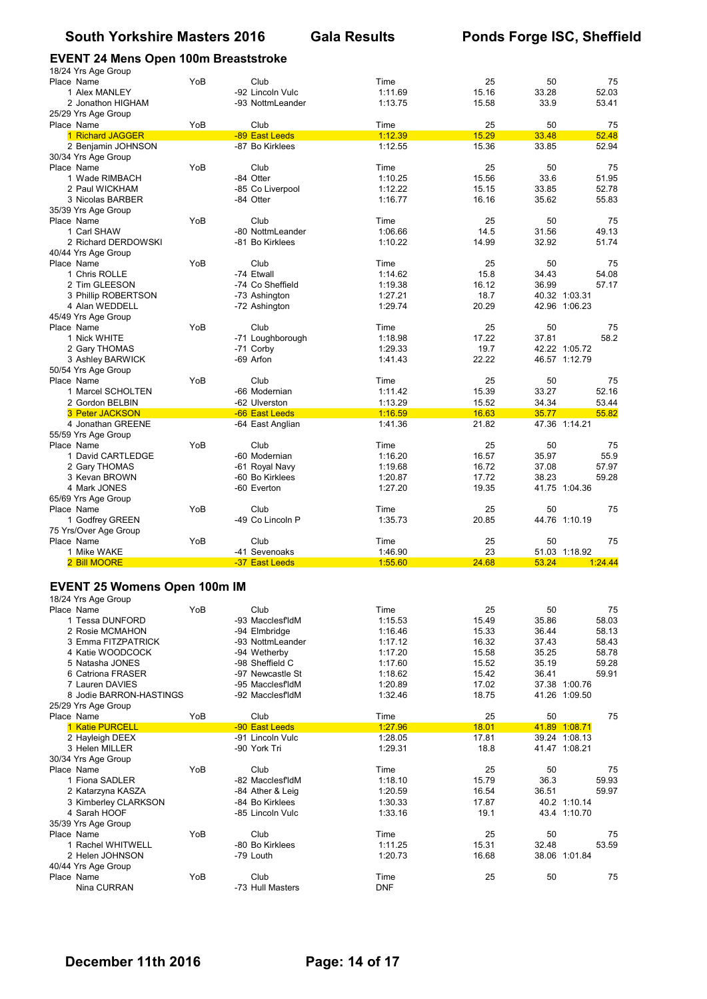# **EVENT 24 Mens Open 100m Breaststroke**

|                                         |     | EVENT 24 Mens Open 100m Breaststroke |                    |                |                                |            |
|-----------------------------------------|-----|--------------------------------------|--------------------|----------------|--------------------------------|------------|
| 18/24 Yrs Age Group<br>Place Name       | YoB | Club                                 | Time               | 25             | 50                             | 75         |
| 1 Alex MANLEY                           |     | -92 Lincoln Vulc                     | 1:11.69            | 15.16          | 33.28                          | 52.03      |
| 2 Jonathon HIGHAM                       |     | -93 NottmLeander                     | 1:13.75            | 15.58          | 33.9                           | 53.41      |
| 25/29 Yrs Age Group                     |     |                                      |                    |                |                                |            |
| Place Name                              | YoB | Club                                 | Time               | 25             | 50                             | 75         |
| 1 Richard JAGGER                        |     | -89 East Leeds                       | 1:12.39            | 15.29          | 33.48                          | 52.48      |
| 2 Benjamin JOHNSON                      |     | -87 Bo Kirklees                      | 1:12.55            | 15.36          | 33.85                          | 52.94      |
| 30/34 Yrs Age Group                     |     |                                      |                    |                |                                |            |
| Place Name                              | YoB | Club                                 | Time               | 25             | 50                             | 75         |
| 1 Wade RIMBACH                          |     | -84 Otter                            | 1:10.25            | 15.56          | 33.6                           | 51.95      |
| 2 Paul WICKHAM                          |     | -85 Co Liverpool                     | 1:12.22            | 15.15          | 33.85                          | 52.78      |
| 3 Nicolas BARBER<br>35/39 Yrs Age Group |     | -84 Otter                            | 1:16.77            | 16.16          | 35.62                          | 55.83      |
| Place Name                              | YoB | Club                                 | Time               | 25             | 50                             | 75         |
| 1 Carl SHAW                             |     | -80 NottmLeander                     | 1:06.66            | 14.5           | 31.56                          | 49.13      |
| 2 Richard DERDOWSKI                     |     | -81 Bo Kirklees                      | 1:10.22            | 14.99          | 32.92                          | 51.74      |
| 40/44 Yrs Age Group                     |     |                                      |                    |                |                                |            |
| Place Name                              | YoB | Club                                 | Time               | 25             | 50                             | 75         |
| 1 Chris ROLLE                           |     | -74 Etwall                           | 1:14.62            | 15.8           | 34.43                          | 54.08      |
| 2 Tim GLEESON                           |     | -74 Co Sheffield                     | 1:19.38            | 16.12          | 36.99                          | 57.17      |
| 3 Phillip ROBERTSON                     |     | -73 Ashington                        | 1:27.21            | 18.7           | 40.32 1:03.31                  |            |
| 4 Alan WEDDELL                          |     | -72 Ashington                        | 1:29.74            | 20.29          | 42.96 1:06.23                  |            |
| 45/49 Yrs Age Group                     |     |                                      |                    |                |                                |            |
| Place Name<br>1 Nick WHITE              | YoB | Club<br>-71 Loughborough             | Time<br>1:18.98    | 25<br>17.22    | 50<br>37.81                    | 75<br>58.2 |
| 2 Gary THOMAS                           |     | -71 Corby                            | 1:29.33            | 19.7           | 42.22 1:05.72                  |            |
| 3 Ashley BARWICK                        |     | -69 Arfon                            | 1:41.43            | 22.22          | 46.57 1:12.79                  |            |
| 50/54 Yrs Age Group                     |     |                                      |                    |                |                                |            |
| Place Name                              | YoB | Club                                 | Time               | 25             | 50                             | 75         |
| 1 Marcel SCHOLTEN                       |     | -66 Modernian                        | 1:11.42            | 15.39          | 33.27                          | 52.16      |
| 2 Gordon BELBIN                         |     | -62 Ulverston                        | 1:13.29            | 15.52          | 34.34                          | 53.44      |
| 3 Peter JACKSON                         |     | -66 East Leeds                       | 1:16.59            | 16.63          | 35.77                          | 55.82      |
| 4 Jonathan GREENE                       |     | -64 East Anglian                     | 1:41.36            | 21.82          | 47.36 1:14.21                  |            |
| 55/59 Yrs Age Group                     |     |                                      |                    |                |                                |            |
| Place Name                              | YoB | Club                                 | Time               | 25             | 50                             | 75         |
| 1 David CARTLEDGE                       |     | -60 Modernian                        | 1:16.20            | 16.57          | 35.97                          | 55.9       |
| 2 Gary THOMAS                           |     | -61 Royal Navy                       | 1:19.68            | 16.72          | 37.08                          | 57.97      |
| 3 Kevan BROWN<br>4 Mark JONES           |     | -60 Bo Kirklees<br>-60 Everton       | 1:20.87<br>1:27.20 | 17.72<br>19.35 | 38.23<br>41.75 1:04.36         | 59.28      |
| 65/69 Yrs Age Group                     |     |                                      |                    |                |                                |            |
| Place Name                              | YoB | Club                                 | Time               | 25             | 50                             | 75         |
| 1 Godfrey GREEN                         |     | -49 Co Lincoln P                     | 1:35.73            | 20.85          |                                |            |
| 75 Yrs/Over Age Group                   |     |                                      |                    |                |                                |            |
|                                         |     |                                      |                    |                | 44.76 1:10.19                  |            |
| Place Name                              | YoB | Club                                 | Time               | 25             | 50                             | 75         |
| 1 Mike WAKE                             |     | -41 Sevenoaks                        | 1:46.90            | 23             | 51.03 1:18.92                  |            |
| 2 Bill MOORE                            |     | -37 East Leeds                       | 1:55.60            | 24.68          | 53.24                          | 1:24.44    |
|                                         |     |                                      |                    |                |                                |            |
| <b>EVENT 25 Womens Open 100m IM</b>     |     |                                      |                    |                |                                |            |
| 18/24 Yrs Age Group                     |     |                                      |                    |                |                                |            |
| Place Name                              | YoB | Club                                 | Time               | 25             | 50                             | 75         |
| 1 Tessa DUNFORD                         |     | -93 MacclesfldM                      | 1:15.53            | 15.49          | 35.86                          | 58.03      |
| 2 Rosie MCMAHON                         |     | -94 Elmbridge                        | 1:16.46            | 15.33          | 36.44                          | 58.13      |
| 3 Emma FITZPATRICK                      |     | -93 NottmLeander                     | 1:17.12            | 16.32          | 37.43                          | 58.43      |
| 4 Katie WOODCOCK                        |     | -94 Wetherby                         | 1:17.20            | 15.58          | 35.25                          | 58.78      |
| 5 Natasha JONES                         |     | -98 Sheffield C                      | 1:17.60            | 15.52          | 35.19                          | 59.28      |
| 6 Catriona FRASER                       |     | -97 Newcastle St                     | 1:18.62            | 15.42          | 36.41                          | 59.91      |
| 7 Lauren DAVIES                         |     | -95 MacclesfldM                      | 1:20.89            | 17.02          | 37.38 1:00.76                  |            |
| 8 Jodie BARRON-HASTINGS                 |     | -92 MacclesfldM                      | 1:32.46            | 18.75          | 41.26 1:09.50                  |            |
| 25/29 Yrs Age Group<br>Place Name       | YoB |                                      |                    |                |                                | 75         |
| 1 Katie PURCELL                         |     | Club<br>-90 East Leeds               | Time<br>1:27.96    | 25<br>18.01    | 50                             |            |
| 2 Hayleigh DEEX                         |     | -91 Lincoln Vulc                     | 1:28.05            | 17.81          | 41.89 1:08.71<br>39.24 1:08.13 |            |
| 3 Helen MILLER                          |     | -90 York Tri                         | 1:29.31            | 18.8           | 41.47 1:08.21                  |            |
| 30/34 Yrs Age Group                     |     |                                      |                    |                |                                |            |
| Place Name                              | YoB | Club                                 | Time               | 25             | 50                             | 75         |
| 1 Fiona SADLER                          |     | -82 MacclesfldM                      | 1:18.10            | 15.79          | 36.3                           | 59.93      |
| 2 Katarzyna KASZA                       |     | -84 Ather & Leig                     | 1:20.59            | 16.54          | 36.51                          | 59.97      |
| 3 Kimberley CLARKSON                    |     | -84 Bo Kirklees                      | 1:30.33            | 17.87          | 40.2 1:10.14                   |            |
| 4 Sarah HOOF                            |     | -85 Lincoln Vulc                     | 1:33.16            | 19.1           | 43.4 1:10.70                   |            |
| 35/39 Yrs Age Group                     |     |                                      |                    |                |                                |            |
| Place Name                              | YoB | Club                                 | Time               | 25             | 50                             | 75         |
| 1 Rachel WHITWELL                       |     | -80 Bo Kirklees                      | 1:11.25            | 15.31          | 32.48                          | 53.59      |
| 2 Helen JOHNSON<br>40/44 Yrs Age Group  |     | -79 Louth                            | 1:20.73            | 16.68          | 38.06 1:01.84                  |            |
| Place Name                              | YoB | Club                                 | Time               | 25             | 50                             | 75         |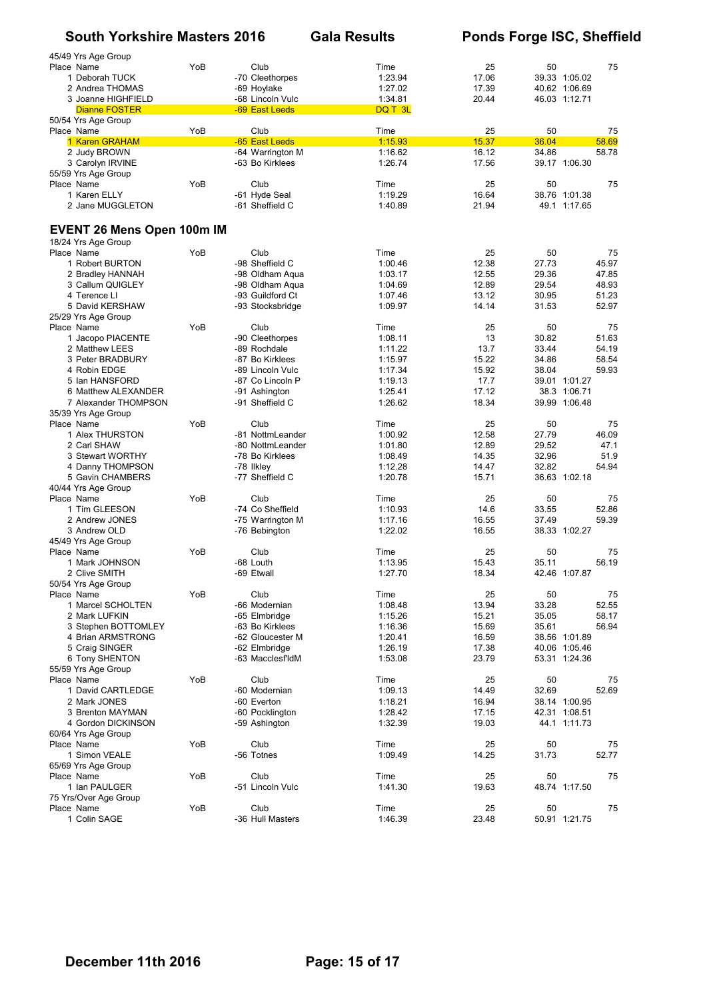|            | 45/49 Yrs Age Group               |     |                  |         |       |       |               |
|------------|-----------------------------------|-----|------------------|---------|-------|-------|---------------|
| Place Name |                                   | YoB | Club             | Time    | 25    | 50    | 75            |
|            | 1 Deborah TUCK                    |     | -70 Cleethorpes  | 1:23.94 | 17.06 |       | 39.33 1:05.02 |
|            | 2 Andrea THOMAS                   |     | -69 Hoylake      | 1:27.02 | 17.39 |       | 40.62 1:06.69 |
|            | 3 Joanne HIGHFIELD                |     | -68 Lincoln Vulc | 1:34.81 | 20.44 |       | 46.03 1:12.71 |
|            | <b>Dianne FOSTER</b>              |     | -69 East Leeds   | DQ T 3L |       |       |               |
|            | 50/54 Yrs Age Group               |     |                  |         |       |       |               |
| Place Name |                                   | YoB | Club             | Time    | 25    | 50    | 75            |
|            | 1 Karen GRAHAM                    |     | -65 East Leeds   | 1:15.93 | 15.37 | 36.04 | 58.69         |
|            | 2 Judy BROWN                      |     | -64 Warrington M | 1:16.62 | 16.12 | 34.86 | 58.78         |
|            | 3 Carolyn IRVINE                  |     | -63 Bo Kirklees  | 1:26.74 | 17.56 |       | 39.17 1:06.30 |
|            | 55/59 Yrs Age Group               |     |                  |         |       |       |               |
| Place Name |                                   | YoB | Club             | Time    | 25    | 50    | 75            |
|            | 1 Karen ELLY                      |     | -61 Hyde Seal    | 1:19.29 | 16.64 |       | 38.76 1:01.38 |
|            | 2 Jane MUGGLETON                  |     | -61 Sheffield C  | 1:40.89 | 21.94 |       | 49.1 1:17.65  |
|            |                                   |     |                  |         |       |       |               |
|            | <b>EVENT 26 Mens Open 100m IM</b> |     |                  |         |       |       |               |
|            | 18/24 Yrs Age Group               |     |                  |         |       |       |               |
| Place Name |                                   | YoB | Club             | Time    | 25    | 50    | 75            |
|            |                                   |     | -98 Sheffield C  | 1:00.46 | 12.38 | 27.73 | 45.97         |
|            | 1 Robert BURTON                   |     |                  |         |       |       |               |
|            | 2 Bradley HANNAH                  |     | -98 Oldham Aqua  | 1:03.17 | 12.55 | 29.36 | 47.85         |
|            | 3 Callum QUIGLEY                  |     | -98 Oldham Aqua  | 1:04.69 | 12.89 | 29.54 | 48.93         |
|            | 4 Terence Ll                      |     | -93 Guildford Ct | 1:07.46 | 13.12 | 30.95 | 51.23         |
|            | 5 David KERSHAW                   |     | -93 Stocksbridge | 1:09.97 | 14.14 | 31.53 | 52.97         |
|            | 25/29 Yrs Age Group               |     |                  |         |       |       |               |
| Place Name |                                   | YoB | Club             | Time    | 25    | 50    | 75            |
|            | 1 Jacopo PIACENTE                 |     | -90 Cleethorpes  | 1:08.11 | 13    | 30.82 | 51.63         |
|            | 2 Matthew LEES                    |     | -89 Rochdale     | 1:11.22 | 13.7  | 33.44 | 54.19         |
|            | 3 Peter BRADBURY                  |     | -87 Bo Kirklees  | 1:15.97 | 15.22 | 34.86 | 58.54         |
|            | 4 Robin EDGE                      |     | -89 Lincoln Vulc | 1:17.34 | 15.92 | 38.04 | 59.93         |
|            | 5 Ian HANSFORD                    |     | -87 Co Lincoln P | 1:19.13 | 17.7  |       | 39.01 1:01.27 |
|            | 6 Matthew ALEXANDER               |     | -91 Ashington    | 1:25.41 | 17.12 |       | 38.3 1:06.71  |
|            | 7 Alexander THOMPSON              |     | -91 Sheffield C  | 1:26.62 | 18.34 |       | 39.99 1:06.48 |
|            |                                   |     |                  |         |       |       |               |
|            | 35/39 Yrs Age Group               |     |                  |         |       |       |               |
| Place Name |                                   | YoB | Club             | Time    | 25    | 50    | 75            |
|            | 1 Alex THURSTON                   |     | -81 NottmLeander | 1:00.92 | 12.58 | 27.79 | 46.09         |
|            | 2 Carl SHAW                       |     | -80 NottmLeander | 1:01.80 | 12.89 | 29.52 | 47.1          |
|            | 3 Stewart WORTHY                  |     | -78 Bo Kirklees  | 1:08.49 | 14.35 | 32.96 | 51.9          |
|            | 4 Danny THOMPSON                  |     | -78 Ilkley       | 1:12.28 | 14.47 | 32.82 | 54.94         |
|            | 5 Gavin CHAMBERS                  |     | -77 Sheffield C  | 1:20.78 | 15.71 |       | 36.63 1:02.18 |
|            | 40/44 Yrs Age Group               |     |                  |         |       |       |               |
| Place Name |                                   | YoB | Club             | Time    | 25    | 50    | 75            |
|            | 1 Tim GLEESON                     |     | -74 Co Sheffield | 1:10.93 | 14.6  | 33.55 | 52.86         |
|            | 2 Andrew JONES                    |     | -75 Warrington M | 1:17.16 | 16.55 | 37.49 | 59.39         |
|            | 3 Andrew OLD                      |     | -76 Bebington    | 1:22.02 | 16.55 |       | 38.33 1:02.27 |
|            | 45/49 Yrs Age Group               |     |                  |         |       |       |               |
| Place Name |                                   | YoB | Club             | Time    | 25    | 50    | 75            |
|            |                                   |     | -68 Louth        |         |       | 35.11 |               |
|            | 1 Mark JOHNSON                    |     |                  | 1:13.95 | 15.43 |       | 56.19         |
|            | 2 Clive SMITH                     |     | -69 Etwall       | 1:27.70 | 18.34 |       | 42.46 1:07.87 |
|            | 50/54 Yrs Age Group               |     |                  |         |       |       |               |
| Place Name |                                   | YoB | Club             | Time    | 25    | 50    | 75            |
|            | 1 Marcel SCHOLTEN                 |     | -66 Modernian    | 1:08.48 | 13.94 | 33.28 | 52.55         |
|            | 2 Mark LUFKIN                     |     | -65 Elmbridge    | 1:15.26 | 15.21 | 35.05 | 58.17         |
|            | 3 Stephen BOTTOMLEY               |     | -63 Bo Kirklees  | 1:16.36 | 15.69 | 35.61 | 56.94         |
|            | 4 Brian ARMSTRONG                 |     | -62 Gloucester M | 1:20.41 | 16.59 |       | 38.56 1:01.89 |
|            | 5 Craig SINGER                    |     | -62 Elmbridge    | 1:26.19 | 17.38 |       | 40.06 1:05.46 |
|            | 6 Tony SHENTON                    |     | -63 MacclesfldM  | 1:53.08 | 23.79 |       | 53.31 1:24.36 |
|            | 55/59 Yrs Age Group               |     |                  |         |       |       |               |
| Place Name |                                   | YoB | Club             | Time    | 25    | 50    | 75            |
|            | 1 David CARTLEDGE                 |     | -60 Modernian    | 1:09.13 | 14.49 | 32.69 | 52.69         |
|            | 2 Mark JONES                      |     | -60 Everton      | 1:18.21 | 16.94 |       | 38.14 1:00.95 |
|            | 3 Brenton MAYMAN                  |     |                  | 1:28.42 | 17.15 |       |               |
|            |                                   |     | -60 Pocklington  |         |       |       | 42.31 1:08.51 |
|            | 4 Gordon DICKINSON                |     | -59 Ashington    | 1:32.39 | 19.03 |       | 44.1 1:11.73  |
|            | 60/64 Yrs Age Group               |     |                  |         |       |       |               |
| Place Name |                                   | YoB | Club             | Time    | 25    | 50    | 75            |
|            | 1 Simon VEALE                     |     | -56 Totnes       | 1:09.49 | 14.25 | 31.73 | 52.77         |
|            | 65/69 Yrs Age Group               |     |                  |         |       |       |               |
| Place Name |                                   | YoB | Club             | Time    | 25    | 50    | 75            |
|            | 1 Ian PAULGER                     |     | -51 Lincoln Vulc | 1:41.30 | 19.63 |       | 48.74 1:17.50 |
|            | 75 Yrs/Over Age Group             |     |                  |         |       |       |               |
| Place Name |                                   | YoB | Club             | Time    | 25    | 50    | 75            |
|            | 1 Colin SAGE                      |     | -36 Hull Masters | 1:46.39 | 23.48 |       | 50.91 1:21.75 |
|            |                                   |     |                  |         |       |       |               |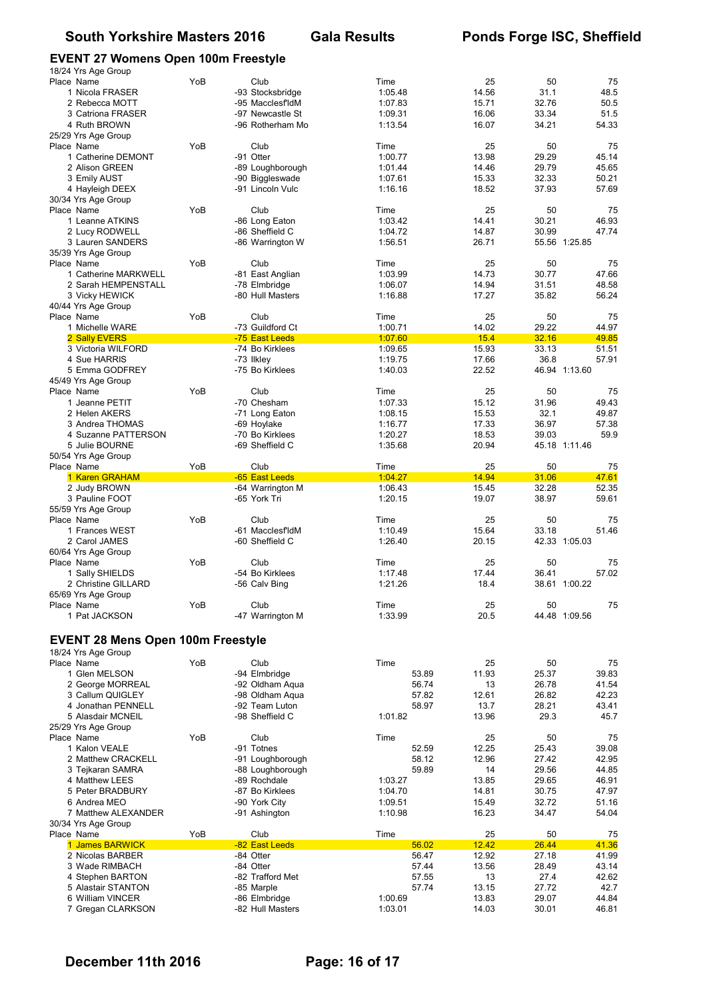## **EVENT 27 Womens Open 100m Freestyle**

| <br>18/24 Yrs Age Group                  |     |                                      |                    |                |                |                |
|------------------------------------------|-----|--------------------------------------|--------------------|----------------|----------------|----------------|
| Place Name                               | YoB | Club                                 | Time               | 25             | 50             | 75             |
| 1 Nicola FRASER                          |     | -93 Stocksbridge                     | 1:05.48            | 14.56          | 31.1           | 48.5           |
| 2 Rebecca MOTT                           |     | -95 MacclesfldM                      | 1:07.83            | 15.71          | 32.76          | 50.5           |
| 3 Catriona FRASER                        |     | -97 Newcastle St                     | 1:09.31            | 16.06          | 33.34          | 51.5           |
| 4 Ruth BROWN                             |     | -96 Rotherham Mo                     | 1:13.54            | 16.07          | 34.21          | 54.33          |
| 25/29 Yrs Age Group<br>Place Name        | YoB | Club                                 | Time               | 25             | 50             | 75             |
| 1 Catherine DEMONT                       |     | -91 Otter                            | 1:00.77            | 13.98          | 29.29          | 45.14          |
| 2 Alison GREEN                           |     | -89 Loughborough                     | 1:01.44            | 14.46          | 29.79          | 45.65          |
| 3 Emily AUST                             |     | -90 Biggleswade                      | 1:07.61            | 15.33          | 32.33          | 50.21          |
| 4 Hayleigh DEEX                          |     | -91 Lincoln Vulc                     | 1:16.16            | 18.52          | 37.93          | 57.69          |
| 30/34 Yrs Age Group                      |     |                                      |                    |                |                |                |
| Place Name                               | YoB | Club                                 | Time               | 25             | 50             | 75             |
| 1 Leanne ATKINS                          |     | -86 Long Eaton                       | 1:03.42            | 14.41          | 30.21          | 46.93          |
| 2 Lucy RODWELL                           |     | -86 Sheffield C                      | 1:04.72            | 14.87          | 30.99          | 47.74          |
| 3 Lauren SANDERS                         |     | -86 Warrington W                     | 1:56.51            | 26.71          |                | 55.56 1:25.85  |
| 35/39 Yrs Age Group                      |     |                                      |                    |                |                |                |
| Place Name                               | YoB | Club                                 | Time               | 25             | 50             | 75             |
| 1 Catherine MARKWELL                     |     | -81 East Anglian                     | 1:03.99            | 14.73          | 30.77          | 47.66          |
| 2 Sarah HEMPENSTALL                      |     | -78 Elmbridge<br>-80 Hull Masters    | 1:06.07            | 14.94<br>17.27 | 31.51<br>35.82 | 48.58<br>56.24 |
| 3 Vicky HEWICK                           |     |                                      | 1:16.88            |                |                |                |
| 40/44 Yrs Age Group<br>Place Name        | YoB | Club                                 | Time               | 25             | 50             | 75             |
| 1 Michelle WARE                          |     | -73 Guildford Ct                     | 1:00.71            | 14.02          | 29.22          | 44.97          |
| 2 Sally EVERS                            |     | -75 East Leeds                       | 1:07.60            | 15.4           | 32.16          | 49.85          |
| 3 Victoria WILFORD                       |     | -74 Bo Kirklees                      | 1:09.65            | 15.93          | 33.13          | 51.51          |
| 4 Sue HARRIS                             |     | -73 Ilkley                           | 1:19.75            | 17.66          | 36.8           | 57.91          |
| 5 Emma GODFREY                           |     | -75 Bo Kirklees                      | 1:40.03            | 22.52          |                | 46.94 1:13.60  |
| 45/49 Yrs Age Group                      |     |                                      |                    |                |                |                |
| Place Name                               | YoB | Club                                 | Time               | 25             | 50             | 75             |
| 1 Jeanne PETIT                           |     | -70 Chesham                          | 1:07.33            | 15.12          | 31.96          | 49.43          |
| 2 Helen AKERS                            |     | -71 Long Eaton                       | 1:08.15            | 15.53          | 32.1           | 49.87          |
| 3 Andrea THOMAS                          |     | -69 Hoylake                          | 1:16.77            | 17.33          | 36.97          | 57.38          |
| 4 Suzanne PATTERSON                      |     | -70 Bo Kirklees                      | 1:20.27            | 18.53          | 39.03          | 59.9           |
| 5 Julie BOURNE                           |     | -69 Sheffield C                      | 1:35.68            | 20.94          |                | 45.18 1:11.46  |
| 50/54 Yrs Age Group                      |     |                                      |                    |                |                |                |
| Place Name                               | YoB | Club                                 | Time               | 25             | 50             | 75             |
| 1 Karen GRAHAM                           |     | -65 East Leeds                       | 1:04.27            | 14.94          | 31.06          | 47.61          |
|                                          |     |                                      |                    |                |                |                |
| 2 Judy BROWN                             |     | -64 Warrington M                     | 1:06.43            | 15.45          | 32.28          | 52.35          |
| 3 Pauline FOOT                           |     | -65 York Tri                         | 1:20.15            | 19.07          | 38.97          | 59.61          |
| 55/59 Yrs Age Group                      |     |                                      |                    |                |                |                |
| Place Name                               | YoB | Club                                 | Time               | 25             | 50             | 75<br>51.46    |
| 1 Frances WEST<br>2 Carol JAMES          |     | -61 MacclesfldM<br>-60 Sheffield C   | 1:10.49<br>1:26.40 | 15.64<br>20.15 | 33.18          | 42.33 1:05.03  |
| 60/64 Yrs Age Group                      |     |                                      |                    |                |                |                |
| Place Name                               | YoB | Club                                 | Time               | 25             | 50             | 75             |
| 1 Sally SHIELDS                          |     | -54 Bo Kirklees                      | 1:17.48            | 17.44          | 36.41          | 57.02          |
| 2 Christine GILLARD                      |     | -56 Calv Bing                        | 1:21.26            | 18.4           |                | 38.61 1:00.22  |
| 65/69 Yrs Age Group                      |     |                                      |                    |                |                |                |
| Place Name                               | YoB | Club                                 | Time               | 25             | 50             | 75             |
| 1 Pat JACKSON                            |     | -47 Warrington M                     | 1:33.99            | 20.5           |                | 44.48 1:09.56  |
|                                          |     |                                      |                    |                |                |                |
| <b>EVENT 28 Mens Open 100m Freestyle</b> |     |                                      |                    |                |                |                |
| 18/24 Yrs Age Group                      |     |                                      |                    |                |                |                |
| Place Name                               | YoB | Club                                 | Time               | 25             | 50             | 75             |
| 1 Glen MELSON                            |     | -94 Elmbridge                        | 53.89              | 11.93          | 25.37          | 39.83          |
| 2 George MORREAL                         |     | -92 Oldham Agua                      | 56.74              | 13             | 26.78          | 41.54          |
| 3 Callum QUIGLEY                         |     | -98 Oldham Aqua                      | 57.82              | 12.61          | 26.82          | 42.23          |
| 4 Jonathan PENNELL                       |     | -92 Team Luton                       | 58.97              | 13.7           | 28.21          | 43.41          |
| 5 Alasdair MCNEIL                        |     | -98 Sheffield C                      | 1:01.82            | 13.96          | 29.3           | 45.7           |
| 25/29 Yrs Age Group                      |     |                                      |                    |                |                |                |
| Place Name                               | YoB | Club                                 | Time               | 25             | 50             | 75             |
| 1 Kalon VEALE                            |     | -91 Totnes                           | 52.59              | 12.25          | 25.43<br>27.42 | 39.08          |
| 2 Matthew CRACKELL<br>3 Tejkaran SAMRA   |     | -91 Loughborough<br>-88 Loughborough | 58.12<br>59.89     | 12.96<br>14    | 29.56          | 42.95<br>44.85 |
| 4 Matthew LEES                           |     | -89 Rochdale                         | 1:03.27            | 13.85          | 29.65          | 46.91          |
| 5 Peter BRADBURY                         |     | -87 Bo Kirklees                      | 1:04.70            | 14.81          | 30.75          | 47.97          |
| 6 Andrea MEO                             |     | -90 York City                        | 1:09.51            | 15.49          | 32.72          | 51.16          |
| 7 Matthew ALEXANDER                      |     | -91 Ashington                        | 1:10.98            | 16.23          | 34.47          | 54.04          |
| 30/34 Yrs Age Group                      |     |                                      |                    |                |                |                |
| Place Name                               | YoB | Club                                 | Time               | 25             | 50             | 75             |
| 1 James BARWICK                          |     | -82 East Leeds                       | 56.02              | 12.42          | 26.44          | 41.36          |
| 2 Nicolas BARBER                         |     | -84 Otter                            | 56.47              | 12.92          | 27.18          | 41.99          |
| 3 Wade RIMBACH                           |     | -84 Otter                            | 57.44              | 13.56          | 28.49          | 43.14          |
| 4 Stephen BARTON                         |     | -82 Trafford Met                     | 57.55              | 13             | 27.4           | 42.62          |
| 5 Alastair STANTON<br>6 William VINCER   |     | -85 Marple<br>-86 Elmbridge          | 57.74<br>1:00.69   | 13.15<br>13.83 | 27.72<br>29.07 | 42.7<br>44.84  |